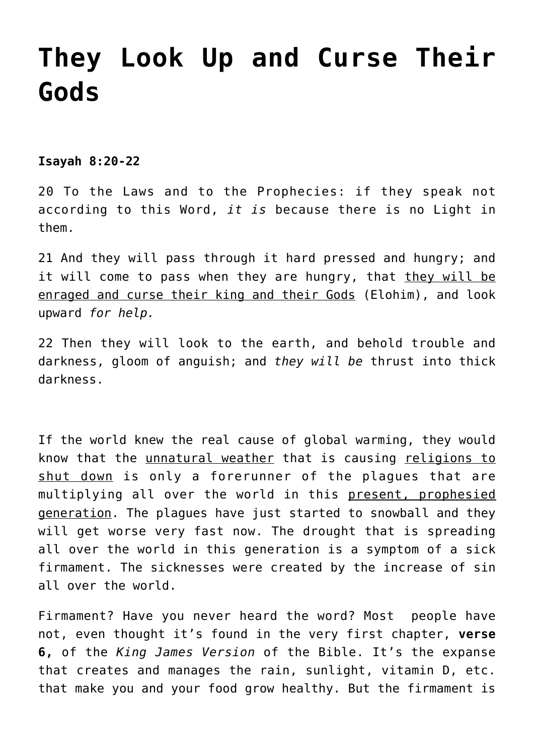# **[They Look Up and Curse Their](https://yahwehsbranch.com/they-look-up-and-curse-their-gods/) [Gods](https://yahwehsbranch.com/they-look-up-and-curse-their-gods/)**

**Isayah 8:20-22**

20 To the Laws and to the Prophecies: if they speak not according to this Word, *it is* because there is no Light in them.

21 And they will pass through it hard pressed and hungry; and it will come to pass when they are hungry, that they will be enraged and curse their king and their Gods (Elohim), and look upward *for help.*

22 Then they will look to the earth, and behold trouble and darkness, gloom of anguish; and *they will be* thrust into thick darkness.

If the world knew the real cause of global warming, they would know that the unnatural weather that is causing religions to shut down is only a forerunner of the plagues that are multiplying all over the world in this present, prophesied generation. The plagues have just started to snowball and they will get worse very fast now. The drought that is spreading all over the world in this generation is a symptom of a sick firmament. The sicknesses were created by the increase of sin all over the world.

Firmament? Have you never heard the word? Most people have not, even thought it's found in the very first chapter, **verse 6,** of the *King James Version* of the Bible. It's the expanse that creates and manages the rain, sunlight, vitamin D, etc. that make you and your food grow healthy. But the firmament is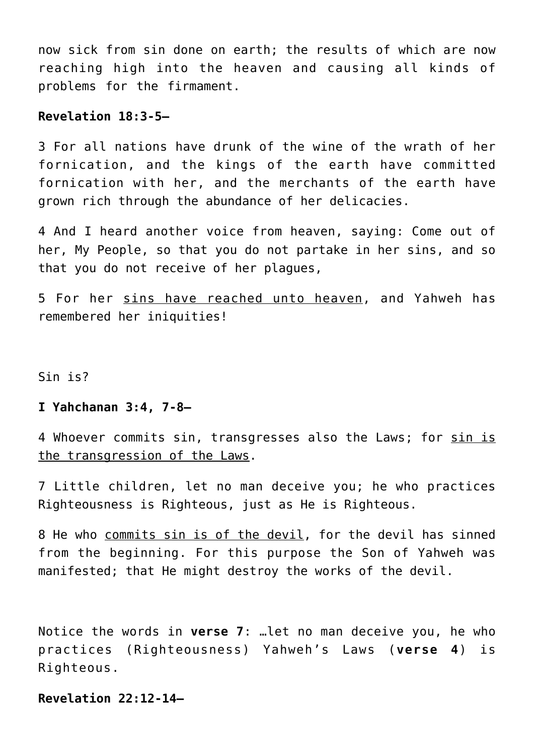now sick from sin done on earth; the results of which are now reaching high into the heaven and causing all kinds of problems for the firmament.

## **Revelation 18:3-5—**

3 For all nations have drunk of the wine of the wrath of her fornication, and the kings of the earth have committed fornication with her, and the merchants of the earth have grown rich through the abundance of her delicacies.

4 And I heard another voice from heaven, saying: Come out of her, My People, so that you do not partake in her sins, and so that you do not receive of her plagues,

5 For her sins have reached unto heaven, and Yahweh has remembered her iniquities!

Sin is?

# **I Yahchanan 3:4, 7-8—**

4 Whoever commits sin, transgresses also the Laws; for sin is the transgression of the Laws.

7 Little children, let no man deceive you; he who practices Righteousness is Righteous, just as He is Righteous.

8 He who commits sin is of the devil, for the devil has sinned from the beginning. For this purpose the Son of Yahweh was manifested; that He might destroy the works of the devil.

Notice the words in **verse 7**: …let no man deceive you, he who practices (Righteousness) Yahweh's Laws (**verse 4**) is Righteous.

# **Revelation 22:12-14—**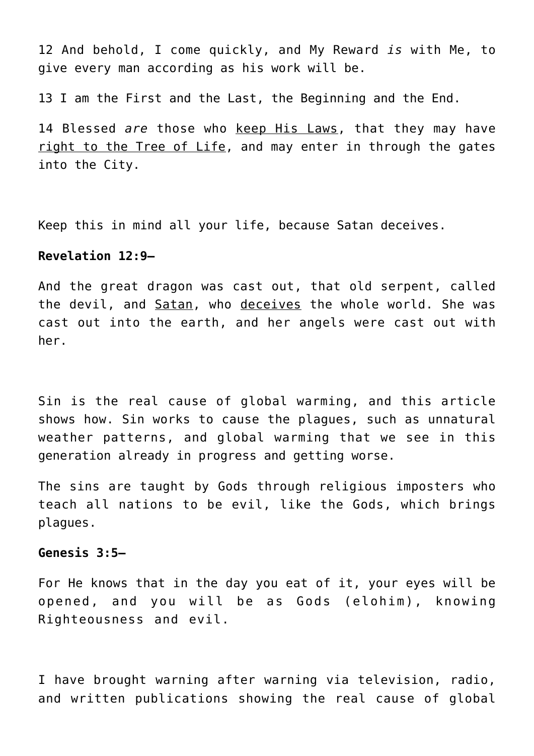12 And behold, I come quickly, and My Reward *is* with Me, to give every man according as his work will be.

13 I am the First and the Last, the Beginning and the End.

14 Blessed *are* those who keep His Laws, that they may have right to the Tree of Life, and may enter in through the gates into the City.

Keep this in mind all your life, because Satan deceives.

#### **Revelation 12:9—**

And the great dragon was cast out, that old serpent, called the devil, and Satan, who deceives the whole world. She was cast out into the earth, and her angels were cast out with her.

Sin is the real cause of global warming, and this article shows how. Sin works to cause the plagues, such as unnatural weather patterns, and global warming that we see in this generation already in progress and getting worse.

The sins are taught by Gods through religious imposters who teach all nations to be evil, like the Gods, which brings plagues.

#### **Genesis 3:5—**

For He knows that in the day you eat of it, your eyes will be opened, and you will be as Gods (elohim), knowing Righteousness and evil.

I have brought warning after warning via television, radio, and written publications showing the real cause of global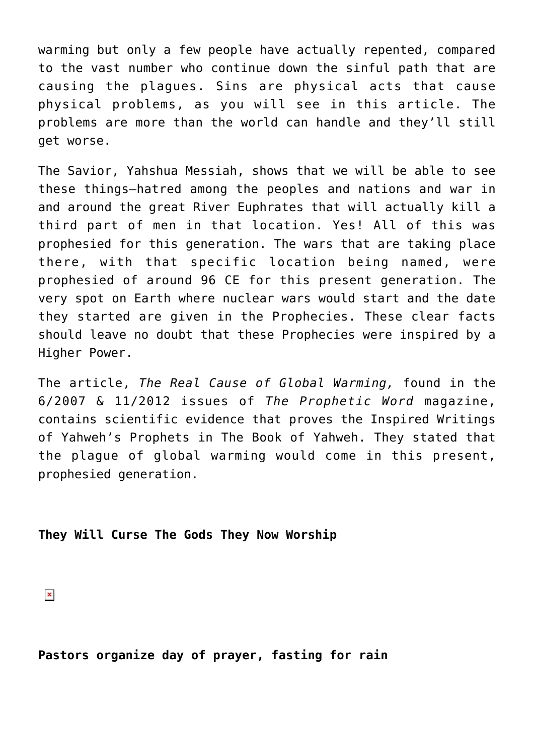warming but only a few people have actually repented, compared to the vast number who continue down the sinful path that are causing the plagues. Sins are physical acts that cause physical problems, as you will see in this article. The problems are more than the world can handle and they'll still get worse.

The Savior, Yahshua Messiah, shows that we will be able to see these things–hatred among the peoples and nations and war in and around the great River Euphrates that will actually kill a third part of men in that location. Yes! All of this was prophesied for this generation. The wars that are taking place there, with that specific location being named, were prophesied of around 96 CE for this present generation. The very spot on Earth where nuclear wars would start and the date they started are given in the Prophecies. These clear facts should leave no doubt that these Prophecies were inspired by a Higher Power.

The article, *The Real Cause of Global Warming,* found in the 6/2007 & 11/2012 issues of *The Prophetic Word* magazine, contains scientific evidence that proves the Inspired Writings of Yahweh's Prophets in The Book of Yahweh. They stated that the plague of global warming would come in this present, prophesied generation.

# **They Will Curse The Gods They Now Worship**

 $\pmb{\times}$ 

**Pastors organize day of prayer, fasting for rain**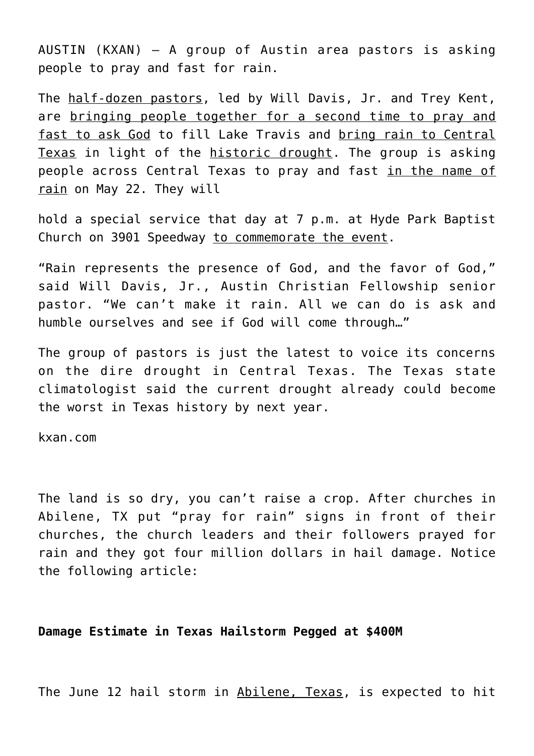AUSTIN (KXAN) — A group of Austin area pastors is asking people to pray and fast for rain.

The half-dozen pastors, led by Will Davis, Jr. and Trey Kent, are bringing people together for a second time to pray and fast to ask God to fill Lake Travis and bring rain to Central Texas in light of the historic drought. The group is asking people across Central Texas to pray and fast in the name of rain on May 22. They will

hold a special service that day at 7 p.m. at Hyde Park Baptist Church on 3901 Speedway to commemorate the event.

"Rain represents the presence of God, and the favor of God," said Will Davis, Jr., Austin Christian Fellowship senior pastor. "We can't make it rain. All we can do is ask and humble ourselves and see if God will come through…"

The group of pastors is just the latest to voice its concerns on the dire drought in Central Texas. The Texas state climatologist said the current drought already could become the worst in Texas history by next year.

kxan.com

The land is so dry, you can't raise a crop. After churches in Abilene, TX put "pray for rain" signs in front of their churches, the church leaders and their followers prayed for rain and they got four million dollars in hail damage. Notice the following article:

## **Damage Estimate in Texas Hailstorm Pegged at \$400M**

The June 12 hail storm in Abilene, Texas, is expected to hit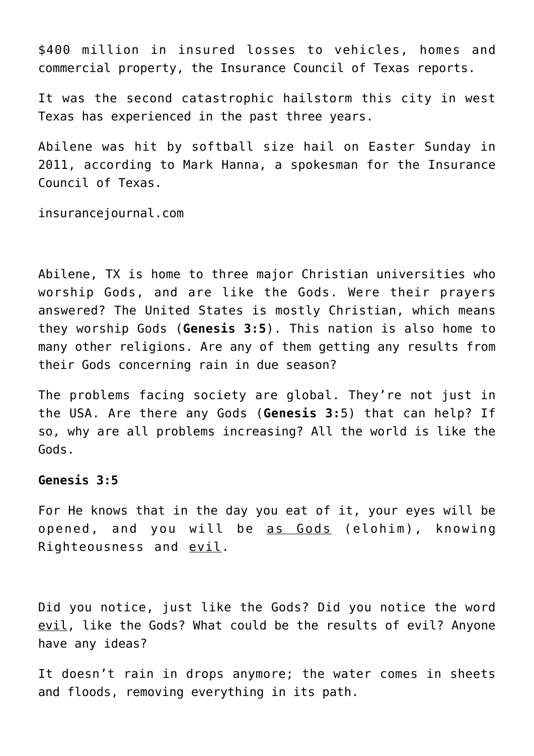\$400 million in insured losses to vehicles, homes and commercial property, the Insurance Council of Texas reports.

It was the second catastrophic hailstorm this city in west Texas has experienced in the past three years.

Abilene was hit by softball size hail on Easter Sunday in 2011, according to Mark Hanna, a spokesman for the Insurance Council of Texas.

insurancejournal.com

Abilene, TX is home to three major Christian universities who worship Gods, and are like the Gods. Were their prayers answered? The United States is mostly Christian, which means they worship Gods (**Genesis 3:5**). This nation is also home to many other religions. Are any of them getting any results from their Gods concerning rain in due season?

The problems facing society are global. They're not just in the USA. Are there any Gods (**Genesis 3:**5) that can help? If so, why are all problems increasing? All the world is like the Gods.

#### **Genesis 3:5**

For He knows that in the day you eat of it, your eyes will be opened, and you will be as Gods (elohim), knowing Righteousness and evil.

Did you notice, just like the Gods? Did you notice the word evil, like the Gods? What could be the results of evil? Anyone have any ideas?

It doesn't rain in drops anymore; the water comes in sheets and floods, removing everything in its path.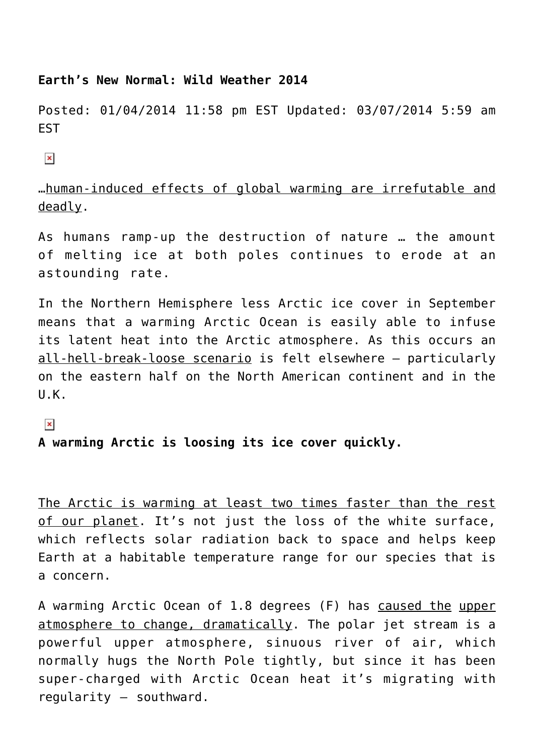### **Earth's New Normal: Wild Weather 2014**

Posted: 01/04/2014 11:58 pm EST Updated: 03/07/2014 5:59 am **FST** 

 $\pmb{\times}$ 

…human-induced effects of global warming are irrefutable and deadly.

As humans ramp-up the destruction of nature … the amount of melting ice at both poles continues to erode at an astounding rate.

In the Northern Hemisphere less Arctic ice cover in September means that a warming Arctic Ocean is easily able to infuse its latent heat into the Arctic atmosphere. As this occurs an all-hell-break-loose scenario is felt elsewhere – particularly on the eastern half on the North American continent and in the U.K.

 $\pmb{\times}$ 

# **A warming Arctic is loosing its ice cover quickly.**

The Arctic is warming at least two times faster than the rest of our planet. It's not just the loss of the white surface, which reflects solar radiation back to space and helps keep Earth at a habitable temperature range for our species that is a concern.

A warming Arctic Ocean of 1.8 degrees (F) has caused the upper atmosphere to change, dramatically. The polar jet stream is a powerful upper atmosphere, sinuous river of air, which normally hugs the North Pole tightly, but since it has been super-charged with Arctic Ocean heat it's migrating with regularity – southward.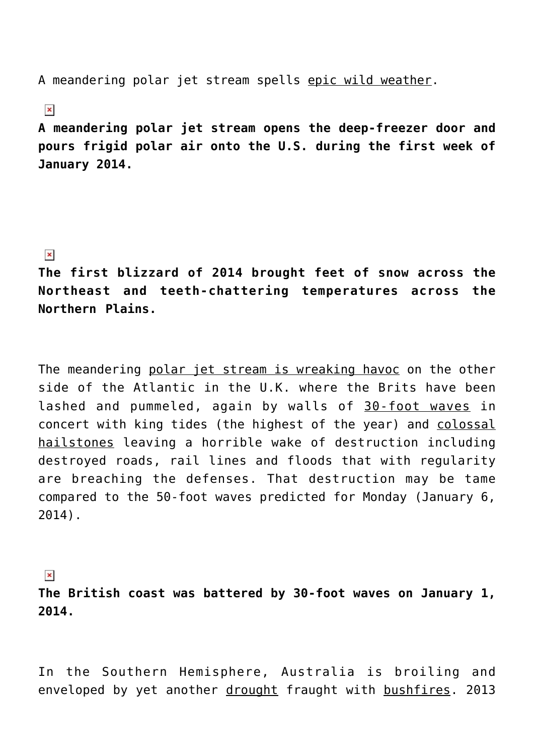A meandering polar jet stream spells epic wild weather.

# $\pmb{\times}$

**A meandering polar jet stream opens the deep-freezer door and pours frigid polar air onto the U.S. during the first week of January 2014.**

# $\pmb{\times}$

**The first blizzard of 2014 brought feet of snow across the Northeast and teeth-chattering temperatures across the Northern Plains.**

The meandering polar jet stream is wreaking havoc on the other side of the Atlantic in the U.K. where the Brits have been lashed and pummeled, again by walls of 30-foot waves in concert with king tides (the highest of the year) and colossal hailstones leaving a horrible wake of destruction including destroyed roads, rail lines and floods that with regularity are breaching the defenses. That destruction may be tame compared to the 50-foot waves predicted for Monday (January 6, 2014).

# $\pmb{\times}$

**The British coast was battered by 30-foot waves on January 1, 2014.**

In the Southern Hemisphere, Australia is broiling and enveloped by yet another drought fraught with bushfires. 2013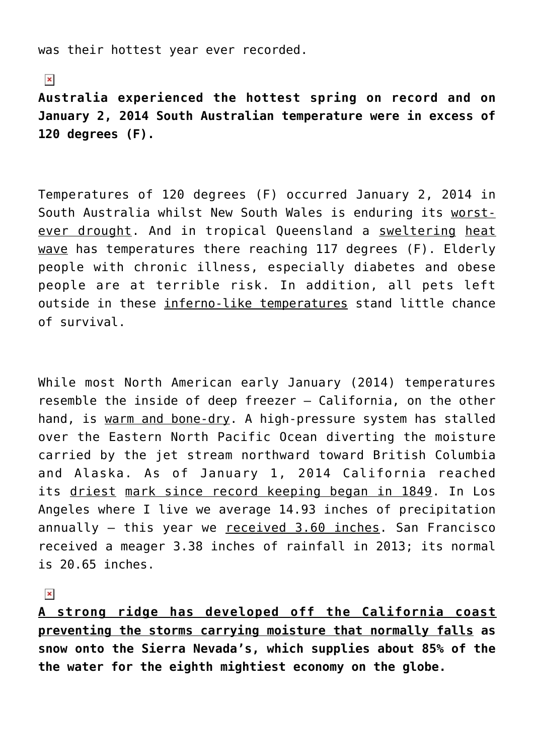was their hottest year ever recorded.

 $\pmb{\times}$ 

**Australia experienced the hottest spring on record and on January 2, 2014 South Australian temperature were in excess of 120 degrees (F).**

Temperatures of 120 degrees (F) occurred January 2, 2014 in South Australia whilst New South Wales is enduring its worstever drought. And in tropical Queensland a sweltering heat wave has temperatures there reaching 117 degrees (F). Elderly people with chronic illness, especially diabetes and obese people are at terrible risk. In addition, all pets left outside in these inferno-like temperatures stand little chance of survival.

While most North American early January (2014) temperatures resemble the inside of deep freezer – California, on the other hand, is warm and bone-dry. A high-pressure system has stalled over the Eastern North Pacific Ocean diverting the moisture carried by the jet stream northward toward British Columbia and Alaska. As of January 1, 2014 California reached its driest mark since record keeping began in 1849. In Los Angeles where I live we average 14.93 inches of precipitation annually – this year we received 3.60 inches. San Francisco received a meager 3.38 inches of rainfall in 2013; its normal is 20.65 inches.

 $\pmb{\times}$ 

**A strong ridge has developed off the California coast preventing the storms carrying moisture that normally falls as snow onto the Sierra Nevada's, which supplies about 85% of the the water for the eighth mightiest economy on the globe.**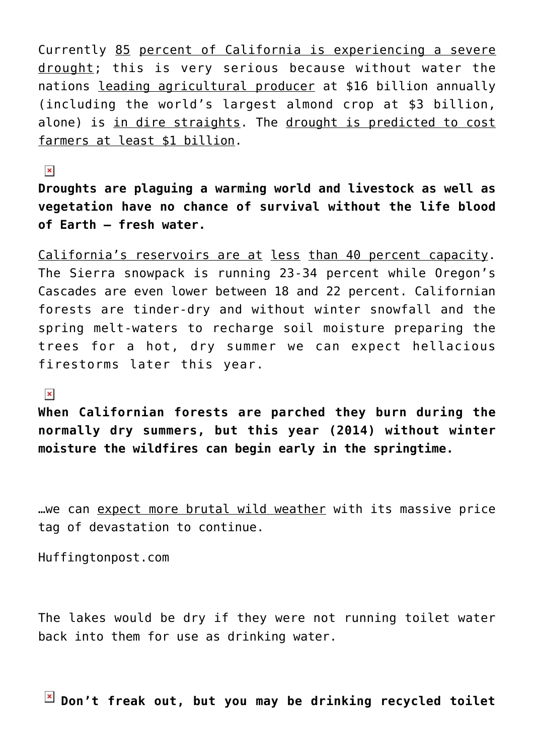Currently 85 percent of California is experiencing a severe drought; this is very serious because without water the nations leading agricultural producer at \$16 billion annually (including the world's largest almond crop at \$3 billion, alone) is in dire straights. The drought is predicted to cost farmers at least \$1 billion.

 $\pmb{\times}$ 

**Droughts are plaguing a warming world and livestock as well as vegetation have no chance of survival without the life blood of Earth — fresh water.**

California's reservoirs are at less than 40 percent capacity. The Sierra snowpack is running 23-34 percent while Oregon's Cascades are even lower between 18 and 22 percent. Californian forests are tinder-dry and without winter snowfall and the spring melt-waters to recharge soil moisture preparing the trees for a hot, dry summer we can expect hellacious firestorms later this year.

 $\pmb{\times}$ 

**When Californian forests are parched they burn during the normally dry summers, but this year (2014) without winter moisture the wildfires can begin early in the springtime.**

we can expect more brutal wild weather with its massive price tag of devastation to continue.

Huffingtonpost.com

The lakes would be dry if they were not running toilet water back into them for use as drinking water.

**Don't freak out, but you may be drinking recycled toilet**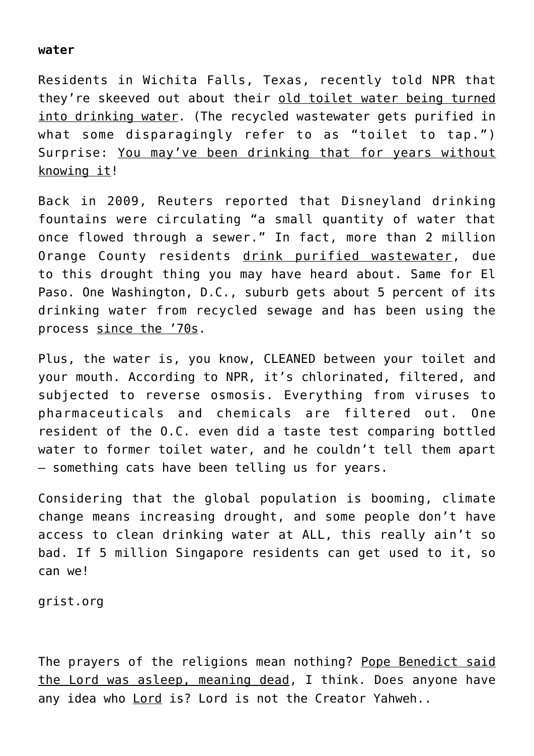### **water**

Residents in Wichita Falls, Texas, recently told NPR that they're skeeved out about their old toilet water being turned into drinking water. (The recycled wastewater gets purified in what some disparagingly refer to as "toilet to tap.") Surprise: You may've been drinking that for years without knowing it!

Back in 2009, Reuters reported that Disneyland drinking fountains were circulating "a small quantity of water that once flowed through a sewer." In fact, more than 2 million Orange County residents drink purified wastewater, due to this drought thing you may have heard about. Same for El Paso. One Washington, D.C., suburb gets about 5 percent of its drinking water from recycled sewage and has been using the process since the '70s.

Plus, the water is, you know, CLEANED between your toilet and your mouth. According to NPR, it's chlorinated, filtered, and subjected to reverse osmosis. Everything from viruses to pharmaceuticals and chemicals are filtered out. One resident of the O.C. even did a taste test comparing bottled water to former toilet water, and he couldn't tell them apart — something cats have been telling us for years.

Considering that the global population is booming, climate change means increasing drought, and some people don't have access to clean drinking water at ALL, this really ain't so bad. If 5 million Singapore residents can get used to it, so can we!

grist.org

The prayers of the religions mean nothing? Pope Benedict said the Lord was asleep, meaning dead, I think. Does anyone have any idea who **Lord** is? Lord is not the Creator Yahweh..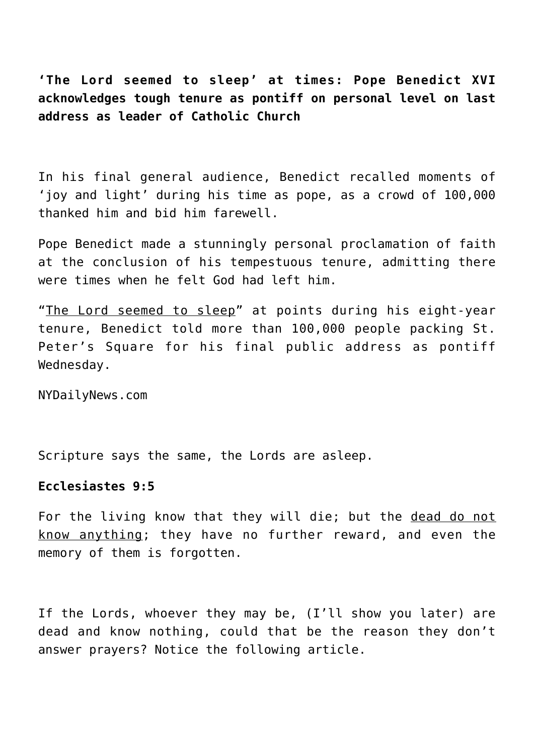**'The Lord seemed to sleep' at times: Pope Benedict XVI acknowledges tough tenure as pontiff on personal level on last address as leader of Catholic Church**

In his final general audience, Benedict recalled moments of 'joy and light' during his time as pope, as a crowd of 100,000 thanked him and bid him farewell.

Pope Benedict made a stunningly personal proclamation of faith at the conclusion of his tempestuous tenure, admitting there were times when he felt God had left him.

"The Lord seemed to sleep" at points during his eight-year tenure, Benedict told more than 100,000 people packing St. Peter's Square for his final public address as pontiff Wednesday.

NYDailyNews.com

Scripture says the same, the Lords are asleep.

#### **Ecclesiastes 9:5**

For the living know that they will die; but the dead do not know anything; they have no further reward, and even the memory of them is forgotten.

If the Lords, whoever they may be, (I'll show you later) are dead and know nothing, could that be the reason they don't answer prayers? Notice the following article.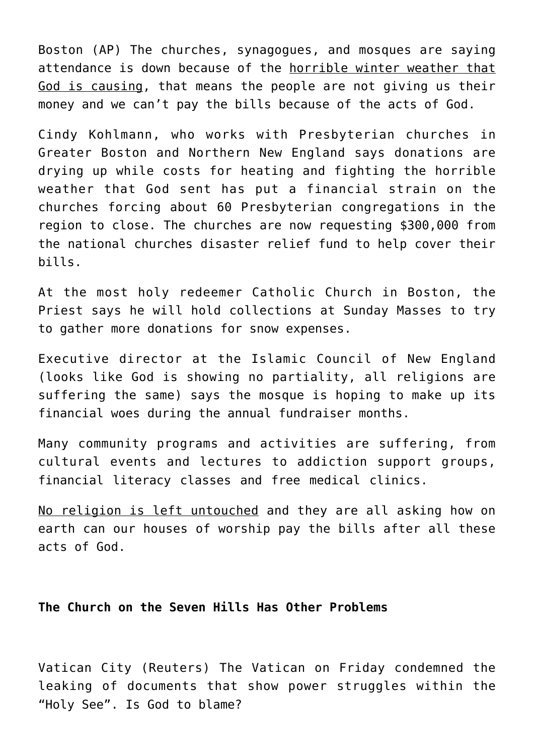Boston (AP) The churches, synagogues, and mosques are saying attendance is down because of the horrible winter weather that God is causing, that means the people are not giving us their money and we can't pay the bills because of the acts of God.

Cindy Kohlmann, who works with Presbyterian churches in Greater Boston and Northern New England says donations are drying up while costs for heating and fighting the horrible weather that God sent has put a financial strain on the churches forcing about 60 Presbyterian congregations in the region to close. The churches are now requesting \$300,000 from the national churches disaster relief fund to help cover their bills.

At the most holy redeemer Catholic Church in Boston, the Priest says he will hold collections at Sunday Masses to try to gather more donations for snow expenses.

Executive director at the Islamic Council of New England (looks like God is showing no partiality, all religions are suffering the same) says the mosque is hoping to make up its financial woes during the annual fundraiser months.

Many community programs and activities are suffering, from cultural events and lectures to addiction support groups, financial literacy classes and free medical clinics.

No religion is left untouched and they are all asking how on earth can our houses of worship pay the bills after all these acts of God.

#### **The Church on the Seven Hills Has Other Problems**

Vatican City (Reuters) The Vatican on Friday condemned the leaking of documents that show power struggles within the "Holy See". Is God to blame?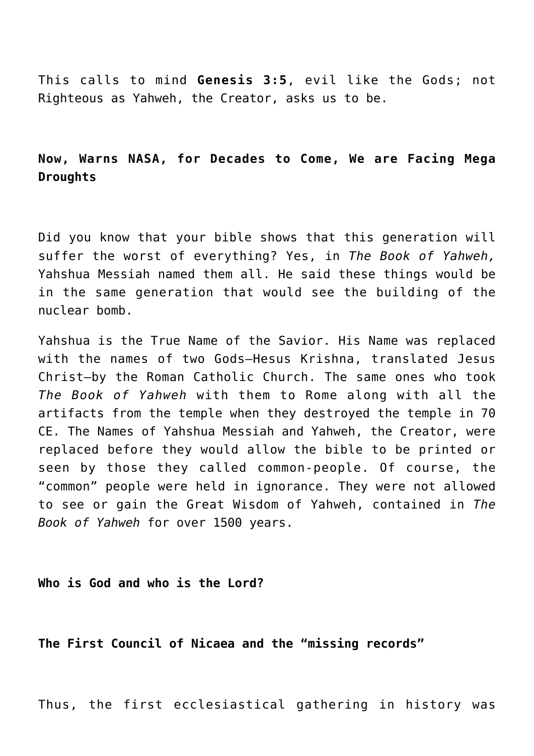This calls to mind **Genesis 3:5**, evil like the Gods; not Righteous as Yahweh, the Creator, asks us to be.

# **Now, Warns NASA, for Decades to Come, We are Facing Mega Droughts**

Did you know that your bible shows that this generation will suffer the worst of everything? Yes, in *The Book of Yahweh,* Yahshua Messiah named them all. He said these things would be in the same generation that would see the building of the nuclear bomb.

Yahshua is the True Name of the Savior. His Name was replaced with the names of two Gods–Hesus Krishna, translated Jesus Christ–by the Roman Catholic Church. The same ones who took *The Book of Yahweh* with them to Rome along with all the artifacts from the temple when they destroyed the temple in 70 CE. The Names of Yahshua Messiah and Yahweh, the Creator, were replaced before they would allow the bible to be printed or seen by those they called common-people. Of course, the "common" people were held in ignorance. They were not allowed to see or gain the Great Wisdom of Yahweh, contained in *The Book of Yahweh* for over 1500 years.

#### **Who is God and who is the Lord?**

**The First Council of Nicaea and the "missing records"**

Thus, the first ecclesiastical gathering in history was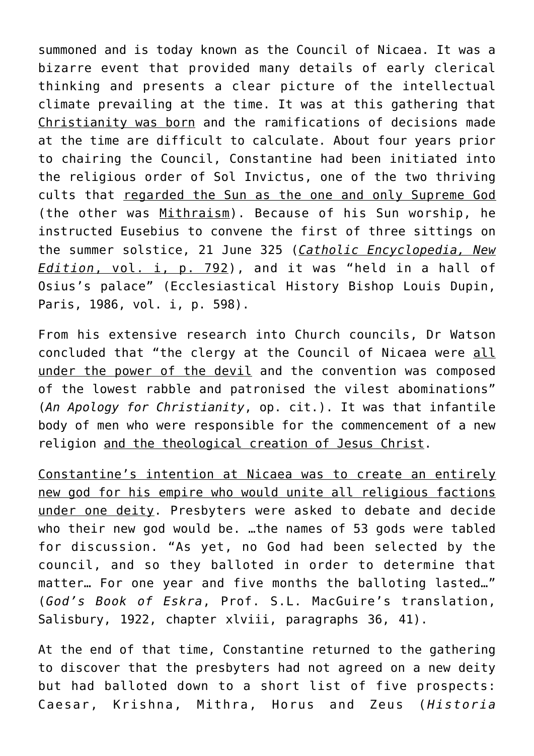summoned and is today known as the Council of Nicaea. It was a bizarre event that provided many details of early clerical thinking and presents a clear picture of the intellectual climate prevailing at the time. It was at this gathering that Christianity was born and the ramifications of decisions made at the time are difficult to calculate. About four years prior to chairing the Council, Constantine had been initiated into the religious order of Sol Invictus, one of the two thriving cults that regarded the Sun as the one and only Supreme God (the other was Mithraism). Because of his Sun worship, he instructed Eusebius to convene the first of three sittings on the summer solstice, 21 June 325 (*Catholic Encyclopedia, New Edition*, vol. i, p. 792), and it was "held in a hall of Osius's palace" (Ecclesiastical History Bishop Louis Dupin, Paris, 1986, vol. i, p. 598).

From his extensive research into Church councils, Dr Watson concluded that "the clergy at the Council of Nicaea were all under the power of the devil and the convention was composed of the lowest rabble and patronised the vilest abominations" (*An Apology for Christianity*, op. cit.). It was that infantile body of men who were responsible for the commencement of a new religion and the theological creation of Jesus Christ.

Constantine's intention at Nicaea was to create an entirely new god for his empire who would unite all religious factions under one deity. Presbyters were asked to debate and decide who their new god would be. …the names of 53 gods were tabled for discussion. "As yet, no God had been selected by the council, and so they balloted in order to determine that matter… For one year and five months the balloting lasted…" (*God's Book of Eskra*, Prof. S.L. MacGuire's translation, Salisbury, 1922, chapter xlviii, paragraphs 36, 41).

At the end of that time, Constantine returned to the gathering to discover that the presbyters had not agreed on a new deity but had balloted down to a short list of five prospects: Caesar, Krishna, Mithra, Horus and Zeus (*Historia*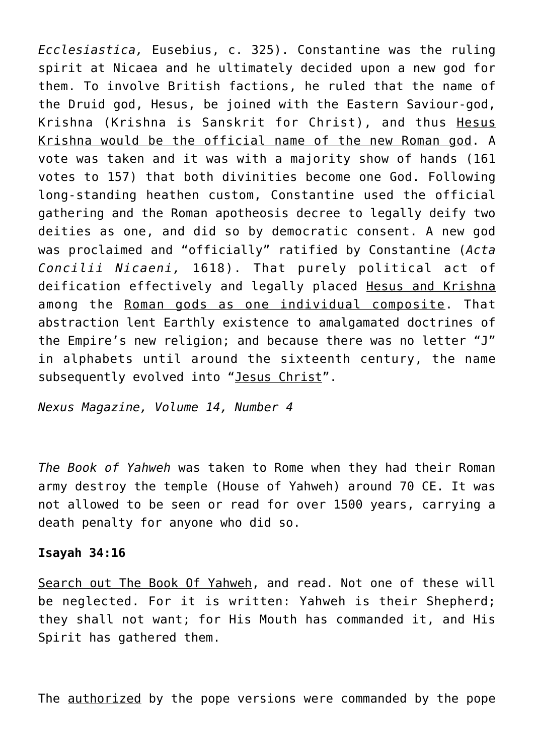*Ecclesiastica,* Eusebius, c. 325). Constantine was the ruling spirit at Nicaea and he ultimately decided upon a new god for them. To involve British factions, he ruled that the name of the Druid god, Hesus, be joined with the Eastern Saviour-god, Krishna (Krishna is Sanskrit for Christ), and thus Hesus Krishna would be the official name of the new Roman god. A vote was taken and it was with a majority show of hands (161 votes to 157) that both divinities become one God. Following long-standing heathen custom, Constantine used the official gathering and the Roman apotheosis decree to legally deify two deities as one, and did so by democratic consent. A new god was proclaimed and "officially" ratified by Constantine (*Acta Concilii Nicaeni,* 1618). That purely political act of deification effectively and legally placed Hesus and Krishna among the Roman gods as one individual composite. That abstraction lent Earthly existence to amalgamated doctrines of the Empire's new religion; and because there was no letter "J" in alphabets until around the sixteenth century, the name subsequently evolved into "Jesus Christ".

*Nexus Magazine, Volume 14, Number 4*

*The Book of Yahweh* was taken to Rome when they had their Roman army destroy the temple (House of Yahweh) around 70 CE. It was not allowed to be seen or read for over 1500 years, carrying a death penalty for anyone who did so.

#### **Isayah 34:16**

Search out The Book Of Yahweh, and read. Not one of these will be neglected. For it is written: Yahweh is their Shepherd; they shall not want; for His Mouth has commanded it, and His Spirit has gathered them.

The **authorized** by the pope versions were commanded by the pope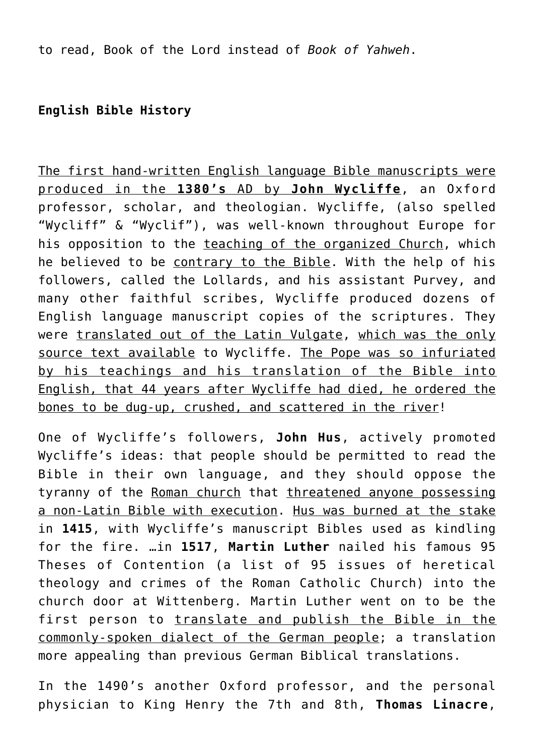to read, Book of the Lord instead of *Book of Yahweh*.

# **English Bible History**

The first hand-written English language Bible manuscripts were produced in the **1380's** AD by **John Wycliffe**, an Oxford professor, scholar, and theologian. Wycliffe, (also spelled "Wycliff" & "Wyclif"), was well-known throughout Europe for his opposition to the teaching of the organized Church, which he believed to be contrary to the Bible. With the help of his followers, called the Lollards, and his assistant Purvey, and many other faithful scribes, Wycliffe produced dozens of English language manuscript copies of the scriptures. They were translated out of the Latin Vulgate, which was the only source text available to Wycliffe. The Pope was so infuriated by his teachings and his translation of the Bible into English, that 44 years after Wycliffe had died, he ordered the bones to be dug-up, crushed, and scattered in the river!

One of Wycliffe's followers, **John Hus**, actively promoted Wycliffe's ideas: that people should be permitted to read the Bible in their own language, and they should oppose the tyranny of the Roman church that threatened anyone possessing a non-Latin Bible with execution. Hus was burned at the stake in **1415**, with Wycliffe's manuscript Bibles used as kindling for the fire. …in **1517**, **Martin Luther** nailed his famous 95 Theses of Contention (a list of 95 issues of heretical theology and crimes of the Roman Catholic Church) into the church door at Wittenberg. Martin Luther went on to be the first person to translate and publish the Bible in the commonly-spoken dialect of the German people; a translation more appealing than previous German Biblical translations.

In the 1490's another Oxford professor, and the personal physician to King Henry the 7th and 8th, **Thomas Linacre**,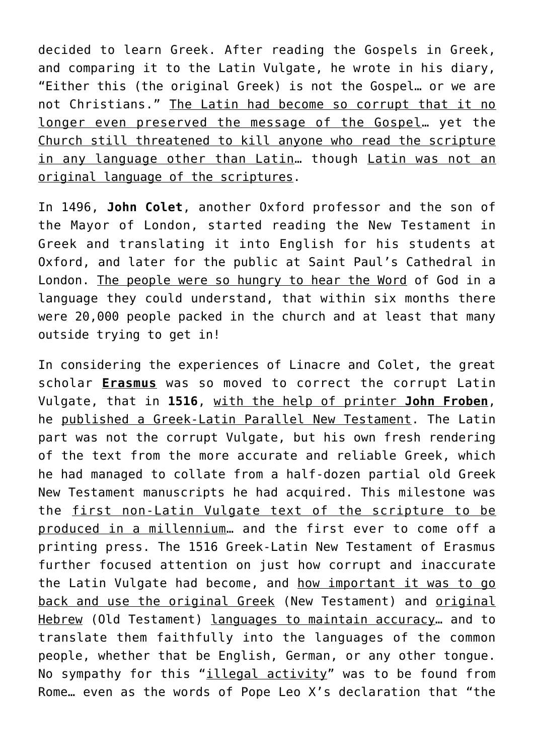decided to learn Greek. After reading the Gospels in Greek, and comparing it to the Latin Vulgate, he wrote in his diary, "Either this (the original Greek) is not the Gospel… or we are not Christians." The Latin had become so corrupt that it no longer even preserved the message of the Gospel… yet the Church still threatened to kill anyone who read the scripture in any language other than Latin… though Latin was not an original language of the scriptures.

In 1496, **John Colet**, another Oxford professor and the son of the Mayor of London, started reading the New Testament in Greek and translating it into English for his students at Oxford, and later for the public at Saint Paul's Cathedral in London. The people were so hungry to hear the Word of God in a language they could understand, that within six months there were 20,000 people packed in the church and at least that many outside trying to get in!

In considering the experiences of Linacre and Colet, the great scholar **Erasmus** was so moved to correct the corrupt Latin Vulgate, that in **1516**, with the help of printer **John Froben**, he published a Greek-Latin Parallel New Testament. The Latin part was not the corrupt Vulgate, but his own fresh rendering of the text from the more accurate and reliable Greek, which he had managed to collate from a half-dozen partial old Greek New Testament manuscripts he had acquired. This milestone was the first non-Latin Vulgate text of the scripture to be produced in a millennium… and the first ever to come off a printing press. The 1516 Greek-Latin New Testament of Erasmus further focused attention on just how corrupt and inaccurate the Latin Vulgate had become, and how important it was to go back and use the original Greek (New Testament) and original Hebrew (Old Testament) languages to maintain accuracy... and to translate them faithfully into the languages of the common people, whether that be English, German, or any other tongue. No sympathy for this "*illegal activity*" was to be found from Rome… even as the words of Pope Leo X's declaration that "the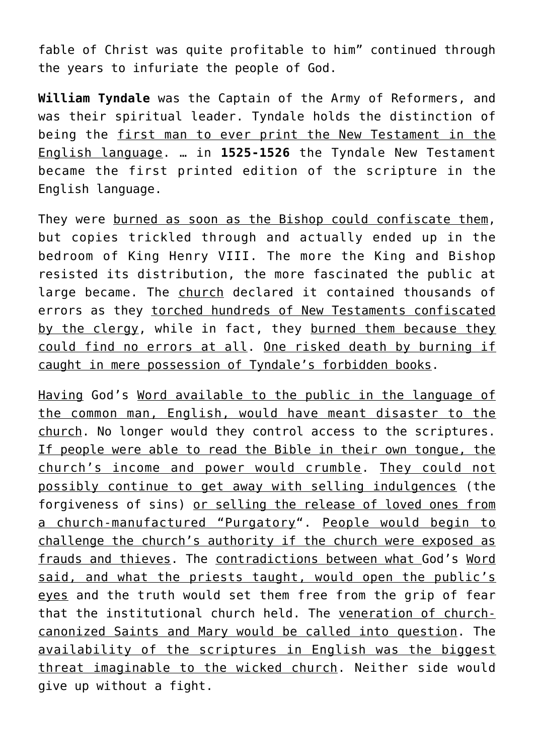fable of Christ was quite profitable to him" continued through the years to infuriate the people of God.

**William Tyndale** was the Captain of the Army of Reformers, and was their spiritual leader. Tyndale holds the distinction of being the first man to ever print the New Testament in the English language. … in **1525-1526** the Tyndale New Testament became the first printed edition of the scripture in the English language.

They were burned as soon as the Bishop could confiscate them, but copies trickled through and actually ended up in the bedroom of King Henry VIII. The more the King and Bishop resisted its distribution, the more fascinated the public at large became. The church declared it contained thousands of errors as they torched hundreds of New Testaments confiscated by the clergy, while in fact, they burned them because they could find no errors at all. One risked death by burning if caught in mere possession of Tyndale's forbidden books.

Having God's Word available to the public in the language of the common man, English, would have meant disaster to the church. No longer would they control access to the scriptures. If people were able to read the Bible in their own tongue, the church's income and power would crumble. They could not possibly continue to get away with selling indulgences (the forgiveness of sins) or selling the release of loved ones from a church-manufactured "Purgatory". People would begin to challenge the church's authority if the church were exposed as frauds and thieves. The contradictions between what God's Word said, and what the priests taught, would open the public's eyes and the truth would set them free from the grip of fear that the institutional church held. The veneration of churchcanonized Saints and Mary would be called into question. The availability of the scriptures in English was the biggest threat imaginable to the wicked church. Neither side would give up without a fight.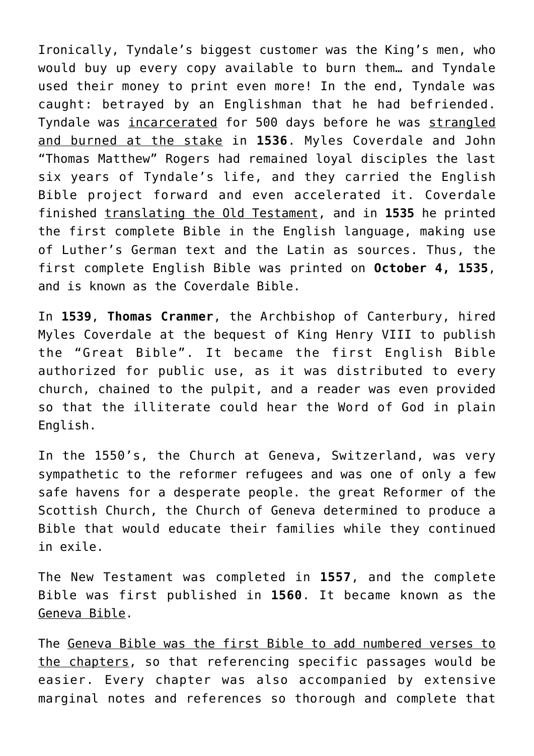Ironically, Tyndale's biggest customer was the King's men, who would buy up every copy available to burn them… and Tyndale used their money to print even more! In the end, Tyndale was caught: betrayed by an Englishman that he had befriended. Tyndale was incarcerated for 500 days before he was strangled and burned at the stake in **1536**. Myles Coverdale and John "Thomas Matthew" Rogers had remained loyal disciples the last six years of Tyndale's life, and they carried the English Bible project forward and even accelerated it. Coverdale finished translating the Old Testament, and in **1535** he printed the first complete Bible in the English language, making use of Luther's German text and the Latin as sources. Thus, the first complete English Bible was printed on **October 4, 1535**, and is known as the Coverdale Bible.

In **1539**, **Thomas Cranmer**, the Archbishop of Canterbury, hired Myles Coverdale at the bequest of King Henry VIII to publish the "Great Bible". It became the first English Bible authorized for public use, as it was distributed to every church, chained to the pulpit, and a reader was even provided so that the illiterate could hear the Word of God in plain English.

In the 1550's, the Church at Geneva, Switzerland, was very sympathetic to the reformer refugees and was one of only a few safe havens for a desperate people. the great Reformer of the Scottish Church, the Church of Geneva determined to produce a Bible that would educate their families while they continued in exile.

The New Testament was completed in **1557**, and the complete Bible was first published in **1560**. It became known as the Geneva Bible.

The Geneva Bible was the first Bible to add numbered verses to the chapters, so that referencing specific passages would be easier. Every chapter was also accompanied by extensive marginal notes and references so thorough and complete that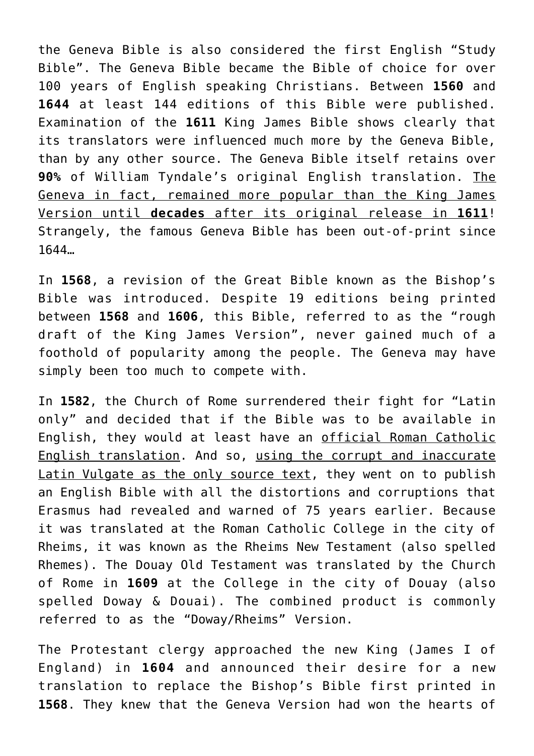the Geneva Bible is also considered the first English "Study Bible". The Geneva Bible became the Bible of choice for over 100 years of English speaking Christians. Between **1560** and **1644** at least 144 editions of this Bible were published. Examination of the **1611** King James Bible shows clearly that its translators were influenced much more by the Geneva Bible, than by any other source. The Geneva Bible itself retains over **90%** of William Tyndale's original English translation. The Geneva in fact, remained more popular than the King James Version until **decades** after its original release in **1611**! Strangely, the famous Geneva Bible has been out-of-print since 1644…

In **1568**, a revision of the Great Bible known as the Bishop's Bible was introduced. Despite 19 editions being printed between **1568** and **1606**, this Bible, referred to as the "rough draft of the King James Version", never gained much of a foothold of popularity among the people. The Geneva may have simply been too much to compete with.

In **1582**, the Church of Rome surrendered their fight for "Latin only" and decided that if the Bible was to be available in English, they would at least have an official Roman Catholic English translation. And so, using the corrupt and inaccurate Latin Vulgate as the only source text, they went on to publish an English Bible with all the distortions and corruptions that Erasmus had revealed and warned of 75 years earlier. Because it was translated at the Roman Catholic College in the city of Rheims, it was known as the Rheims New Testament (also spelled Rhemes). The Douay Old Testament was translated by the Church of Rome in **1609** at the College in the city of Douay (also spelled Doway & Douai). The combined product is commonly referred to as the "Doway/Rheims" Version.

The Protestant clergy approached the new King (James I of England) in **1604** and announced their desire for a new translation to replace the Bishop's Bible first printed in **1568**. They knew that the Geneva Version had won the hearts of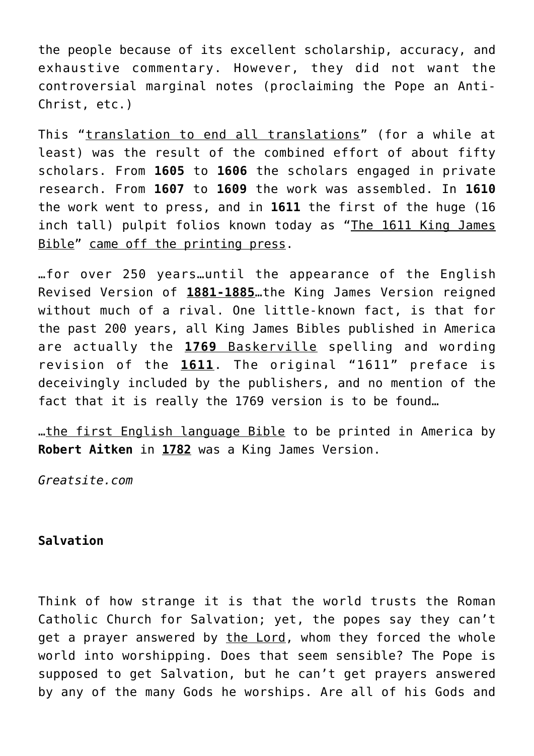the people because of its excellent scholarship, accuracy, and exhaustive commentary. However, they did not want the controversial marginal notes (proclaiming the Pope an Anti-Christ, etc.)

This "translation to end all translations" (for a while at least) was the result of the combined effort of about fifty scholars. From **1605** to **1606** the scholars engaged in private research. From **1607** to **1609** the work was assembled. In **1610** the work went to press, and in **1611** the first of the huge (16 inch tall) pulpit folios known today as "The 1611 King James Bible" came off the printing press.

…for over 250 years…until the appearance of the English Revised Version of **1881-1885**…the King James Version reigned without much of a rival. One little-known fact, is that for the past 200 years, all King James Bibles published in America are actually the **1769** Baskerville spelling and wording revision of the **1611**. The original "1611" preface is deceivingly included by the publishers, and no mention of the fact that it is really the 1769 version is to be found…

…the first English language Bible to be printed in America by **Robert Aitken** in **1782** was a King James Version.

*Greatsite.com*

# **Salvation**

Think of how strange it is that the world trusts the Roman Catholic Church for Salvation; yet, the popes say they can't get a prayer answered by the Lord, whom they forced the whole world into worshipping. Does that seem sensible? The Pope is supposed to get Salvation, but he can't get prayers answered by any of the many Gods he worships. Are all of his Gods and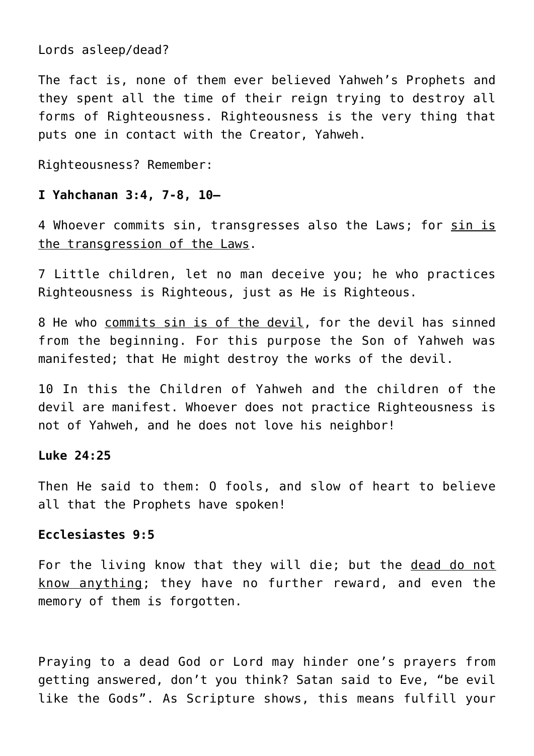Lords asleep/dead?

The fact is, none of them ever believed Yahweh's Prophets and they spent all the time of their reign trying to destroy all forms of Righteousness. Righteousness is the very thing that puts one in contact with the Creator, Yahweh.

Righteousness? Remember:

## **I Yahchanan 3:4, 7-8, 10—**

4 Whoever commits sin, transgresses also the Laws; for sin is the transgression of the Laws.

7 Little children, let no man deceive you; he who practices Righteousness is Righteous, just as He is Righteous.

8 He who commits sin is of the devil, for the devil has sinned from the beginning. For this purpose the Son of Yahweh was manifested; that He might destroy the works of the devil.

10 In this the Children of Yahweh and the children of the devil are manifest. Whoever does not practice Righteousness is not of Yahweh, and he does not love his neighbor!

#### **Luke 24:25**

Then He said to them: O fools, and slow of heart to believe all that the Prophets have spoken!

# **Ecclesiastes 9:5**

For the living know that they will die; but the dead do not know anything; they have no further reward, and even the memory of them is forgotten.

Praying to a dead God or Lord may hinder one's prayers from getting answered, don't you think? Satan said to Eve, "be evil like the Gods". As Scripture shows, this means fulfill your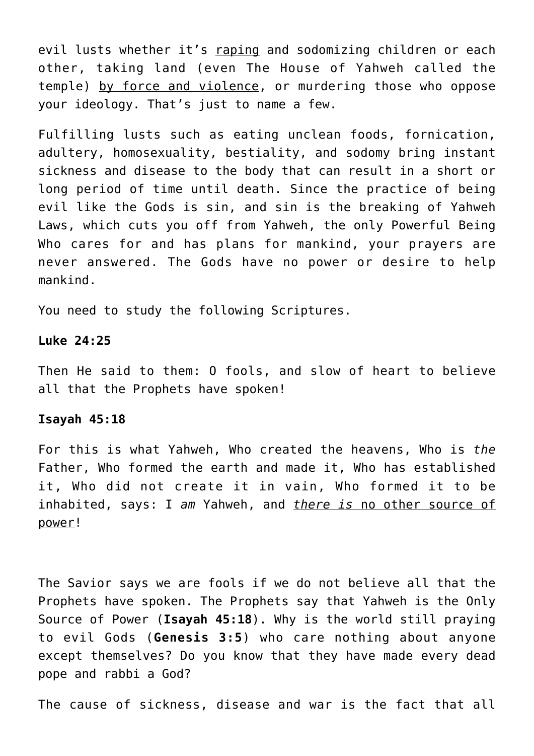evil lusts whether it's raping and sodomizing children or each other, taking land (even The House of Yahweh called the temple) by force and violence, or murdering those who oppose your ideology. That's just to name a few.

Fulfilling lusts such as eating unclean foods, fornication, adultery, homosexuality, bestiality, and sodomy bring instant sickness and disease to the body that can result in a short or long period of time until death. Since the practice of being evil like the Gods is sin, and sin is the breaking of Yahweh Laws, which cuts you off from Yahweh, the only Powerful Being Who cares for and has plans for mankind, your prayers are never answered. The Gods have no power or desire to help mankind.

You need to study the following Scriptures.

#### **Luke 24:25**

Then He said to them: O fools, and slow of heart to believe all that the Prophets have spoken!

#### **Isayah 45:18**

For this is what Yahweh, Who created the heavens, Who is *the* Father, Who formed the earth and made it, Who has established it, Who did not create it in vain, Who formed it to be inhabited, says: I *am* Yahweh, and *there is* no other source of power!

The Savior says we are fools if we do not believe all that the Prophets have spoken. The Prophets say that Yahweh is the Only Source of Power (**Isayah 45:18**). Why is the world still praying to evil Gods (**Genesis 3:5**) who care nothing about anyone except themselves? Do you know that they have made every dead pope and rabbi a God?

The cause of sickness, disease and war is the fact that all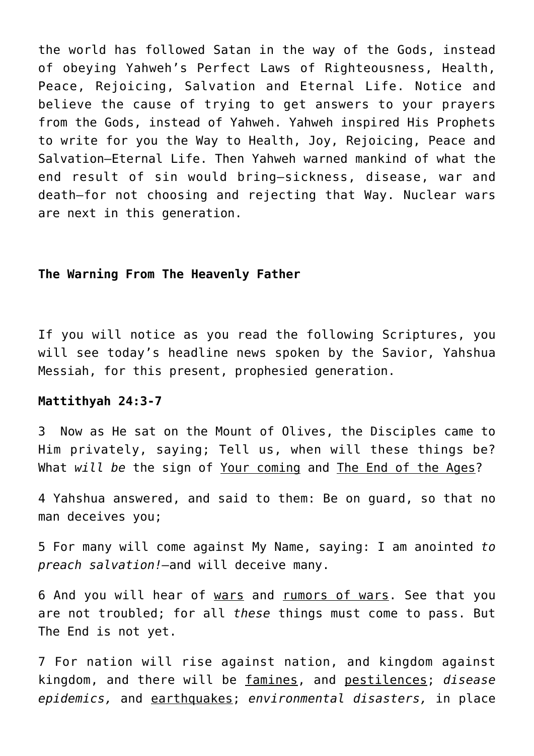the world has followed Satan in the way of the Gods, instead of obeying Yahweh's Perfect Laws of Righteousness, Health, Peace, Rejoicing, Salvation and Eternal Life. Notice and believe the cause of trying to get answers to your prayers from the Gods, instead of Yahweh. Yahweh inspired His Prophets to write for you the Way to Health, Joy, Rejoicing, Peace and Salvation–Eternal Life. Then Yahweh warned mankind of what the end result of sin would bring–sickness, disease, war and death–for not choosing and rejecting that Way. Nuclear wars are next in this generation.

#### **The Warning From The Heavenly Father**

If you will notice as you read the following Scriptures, you will see today's headline news spoken by the Savior, Yahshua Messiah, for this present, prophesied generation.

#### **Mattithyah 24:3-7**

3 Now as He sat on the Mount of Olives, the Disciples came to Him privately, saying; Tell us, when will these things be? What *will be* the sign of Your coming and The End of the Ages?

4 Yahshua answered, and said to them: Be on guard, so that no man deceives you;

5 For many will come against My Name, saying: I am anointed *to preach salvation!—*and will deceive many.

6 And you will hear of wars and rumors of wars. See that you are not troubled; for all *these* things must come to pass. But The End is not yet.

7 For nation will rise against nation, and kingdom against kingdom, and there will be famines, and pestilences; *disease epidemics,* and earthquakes; *environmental disasters,* in place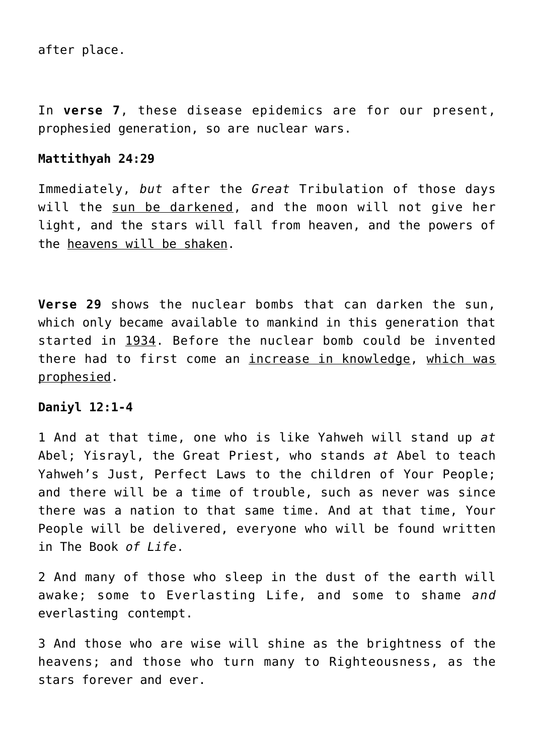after place.

In **verse 7**, these disease epidemics are for our present, prophesied generation, so are nuclear wars.

## **Mattithyah 24:29**

Immediately, *but* after the *Great* Tribulation of those days will the sun be darkened, and the moon will not give her light, and the stars will fall from heaven, and the powers of the heavens will be shaken.

**Verse 29** shows the nuclear bombs that can darken the sun, which only became available to mankind in this generation that started in 1934. Before the nuclear bomb could be invented there had to first come an increase in knowledge, which was prophesied.

#### **Daniyl 12:1-4**

1 And at that time, one who is like Yahweh will stand up *at* Abel; Yisrayl, the Great Priest, who stands *at* Abel to teach Yahweh's Just, Perfect Laws to the children of Your People; and there will be a time of trouble, such as never was since there was a nation to that same time. And at that time, Your People will be delivered, everyone who will be found written in The Book *of Life*.

2 And many of those who sleep in the dust of the earth will awake; some to Everlasting Life, and some to shame *and* everlasting contempt.

3 And those who are wise will shine as the brightness of the heavens; and those who turn many to Righteousness, as the stars forever and ever.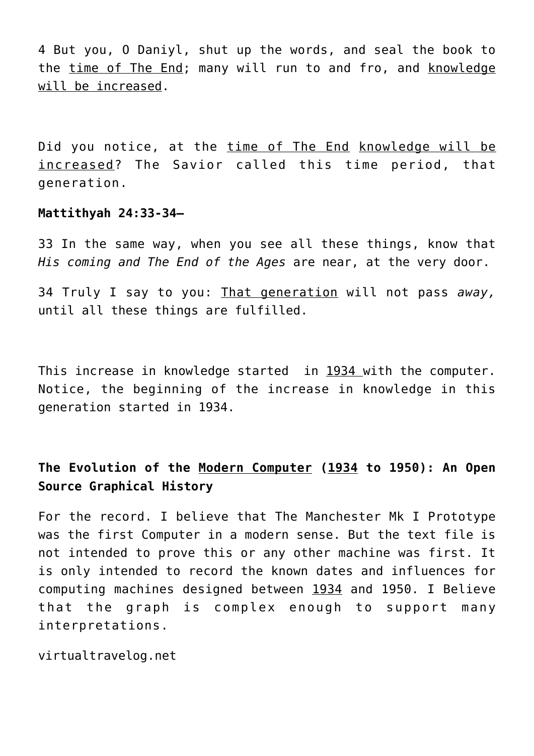4 But you, O Daniyl, shut up the words, and seal the book to the time of The End; many will run to and fro, and knowledge will be increased.

Did you notice, at the time of The End knowledge will be increased? The Savior called this time period, that generation.

#### **Mattithyah 24:33-34—**

33 In the same way, when you see all these things, know that *His coming and The End of the Ages* are near, at the very door.

34 Truly I say to you: That generation will not pass *away,* until all these things are fulfilled.

This increase in knowledge started in 1934 with the computer. Notice, the beginning of the increase in knowledge in this generation started in 1934.

# **The Evolution of the Modern Computer (1934 to 1950): An Open Source Graphical History**

For the record. I believe that The Manchester Mk I Prototype was the first Computer in a modern sense. But the text file is not intended to prove this or any other machine was first. It is only intended to record the known dates and influences for computing machines designed between 1934 and 1950. I Believe that the graph is complex enough to support many interpretations.

virtualtravelog.net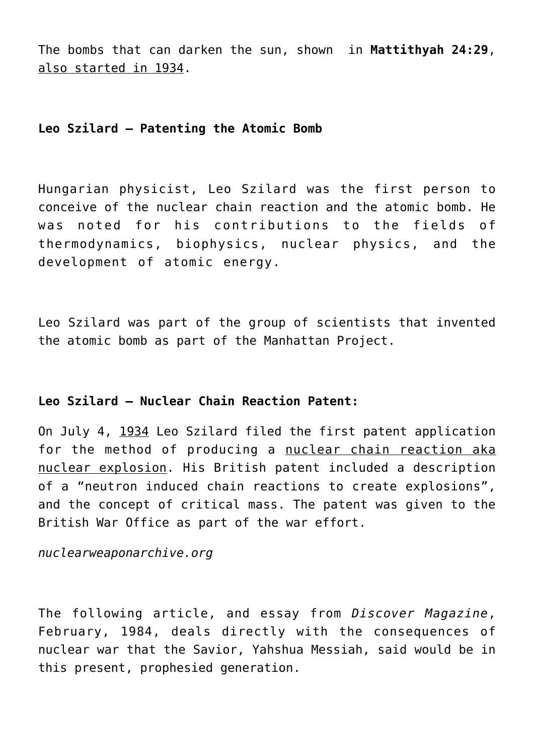The bombs that can darken the sun, shown in **Mattithyah 24:29**, also started in 1934.

# **Leo Szilard – Patenting the Atomic Bomb**

Hungarian physicist, Leo Szilard was the first person to conceive of the nuclear chain reaction and the atomic bomb. He was noted for his contributions to the fields of thermodynamics, biophysics, nuclear physics, and the development of atomic energy.

Leo Szilard was part of the group of scientists that invented the atomic bomb as part of the Manhattan Project.

# **Leo Szilard – Nuclear Chain Reaction Patent:**

On July 4, 1934 Leo Szilard filed the first patent application for the method of producing a nuclear chain reaction aka nuclear explosion. His British patent included a description of a "neutron induced chain reactions to create explosions", and the concept of critical mass. The patent was given to the British War Office as part of the war effort.

*nuclearweaponarchive.org*

The following article, and essay from *Discover Magazine*, February, 1984, deals directly with the consequences of nuclear war that the Savior, Yahshua Messiah, said would be in this present, prophesied generation.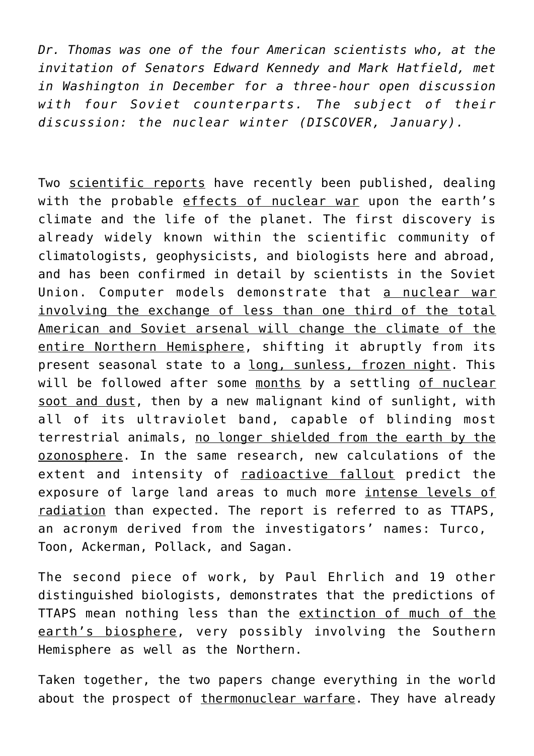*Dr. Thomas was one of the four American scientists who, at the invitation of Senators Edward Kennedy and Mark Hatfield, met in Washington in December for a three-hour open discussion with four Soviet counterparts. The subject of their discussion: the nuclear winter (DISCOVER, January).*

Two scientific reports have recently been published, dealing with the probable effects of nuclear war upon the earth's climate and the life of the planet. The first discovery is already widely known within the scientific community of climatologists, geophysicists, and biologists here and abroad, and has been confirmed in detail by scientists in the Soviet Union. Computer models demonstrate that a nuclear war involving the exchange of less than one third of the total American and Soviet arsenal will change the climate of the entire Northern Hemisphere, shifting it abruptly from its present seasonal state to a long, sunless, frozen night. This will be followed after some months by a settling of nuclear soot and dust, then by a new malignant kind of sunlight, with all of its ultraviolet band, capable of blinding most terrestrial animals, no longer shielded from the earth by the ozonosphere. In the same research, new calculations of the extent and intensity of radioactive fallout predict the exposure of large land areas to much more intense levels of radiation than expected. The report is referred to as TTAPS, an acronym derived from the investigators' names: Turco, Toon, Ackerman, Pollack, and Sagan.

The second piece of work, by Paul Ehrlich and 19 other distinguished biologists, demonstrates that the predictions of TTAPS mean nothing less than the extinction of much of the earth's biosphere, very possibly involving the Southern Hemisphere as well as the Northern.

Taken together, the two papers change everything in the world about the prospect of thermonuclear warfare. They have already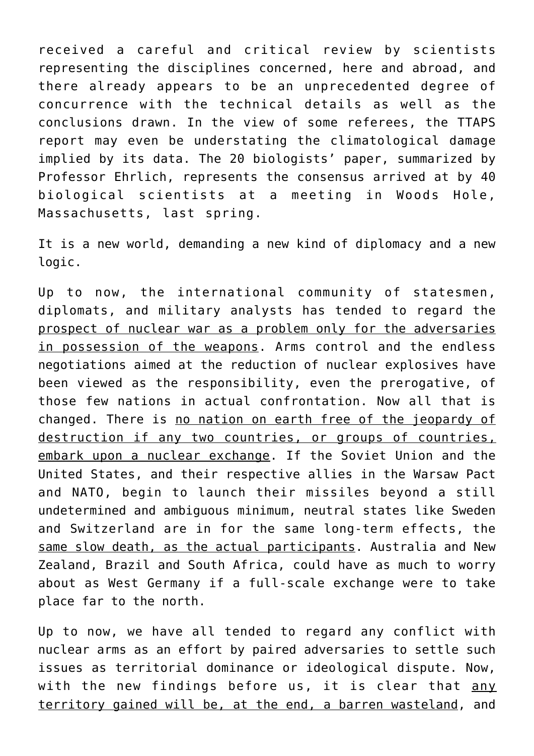received a careful and critical review by scientists representing the disciplines concerned, here and abroad, and there already appears to be an unprecedented degree of concurrence with the technical details as well as the conclusions drawn. In the view of some referees, the TTAPS report may even be understating the climatological damage implied by its data. The 20 biologists' paper, summarized by Professor Ehrlich, represents the consensus arrived at by 40 biological scientists at a meeting in Woods Hole, Massachusetts, last spring.

It is a new world, demanding a new kind of diplomacy and a new logic.

Up to now, the international community of statesmen, diplomats, and military analysts has tended to regard the prospect of nuclear war as a problem only for the adversaries in possession of the weapons. Arms control and the endless negotiations aimed at the reduction of nuclear explosives have been viewed as the responsibility, even the prerogative, of those few nations in actual confrontation. Now all that is changed. There is no nation on earth free of the jeopardy of destruction if any two countries, or groups of countries, embark upon a nuclear exchange. If the Soviet Union and the United States, and their respective allies in the Warsaw Pact and NATO, begin to launch their missiles beyond a still undetermined and ambiguous minimum, neutral states like Sweden and Switzerland are in for the same long-term effects, the same slow death, as the actual participants. Australia and New Zealand, Brazil and South Africa, could have as much to worry about as West Germany if a full-scale exchange were to take place far to the north.

Up to now, we have all tended to regard any conflict with nuclear arms as an effort by paired adversaries to settle such issues as territorial dominance or ideological dispute. Now, with the new findings before us, it is clear that any territory gained will be, at the end, a barren wasteland, and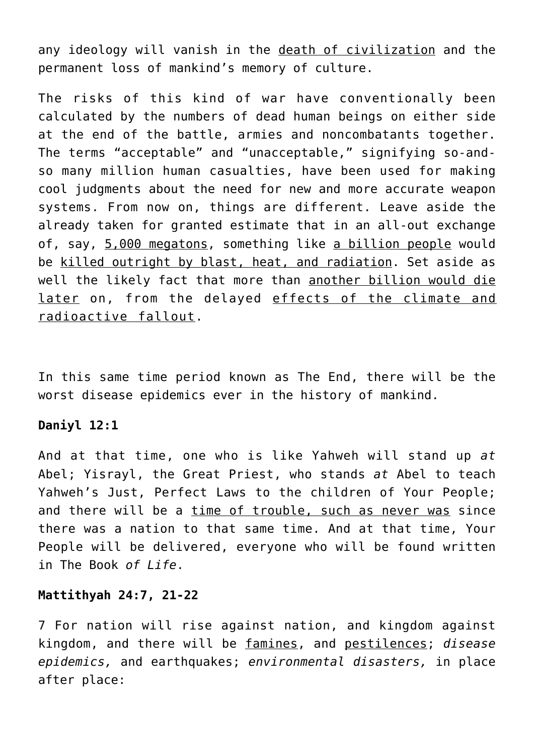any ideology will vanish in the death of civilization and the permanent loss of mankind's memory of culture.

The risks of this kind of war have conventionally been calculated by the numbers of dead human beings on either side at the end of the battle, armies and noncombatants together. The terms "acceptable" and "unacceptable," signifying so-andso many million human casualties, have been used for making cool judgments about the need for new and more accurate weapon systems. From now on, things are different. Leave aside the already taken for granted estimate that in an all-out exchange of, say, 5,000 megatons, something like a billion people would be killed outright by blast, heat, and radiation. Set aside as well the likely fact that more than another billion would die later on, from the delayed effects of the climate and radioactive fallout.

In this same time period known as The End, there will be the worst disease epidemics ever in the history of mankind.

## **Daniyl 12:1**

And at that time, one who is like Yahweh will stand up *at* Abel; Yisrayl, the Great Priest, who stands *at* Abel to teach Yahweh's Just, Perfect Laws to the children of Your People; and there will be a time of trouble, such as never was since there was a nation to that same time. And at that time, Your People will be delivered, everyone who will be found written in The Book *of Life*.

#### **Mattithyah 24:7, 21-22**

7 For nation will rise against nation, and kingdom against kingdom, and there will be famines, and pestilences; *disease epidemics,* and earthquakes; *environmental disasters,* in place after place: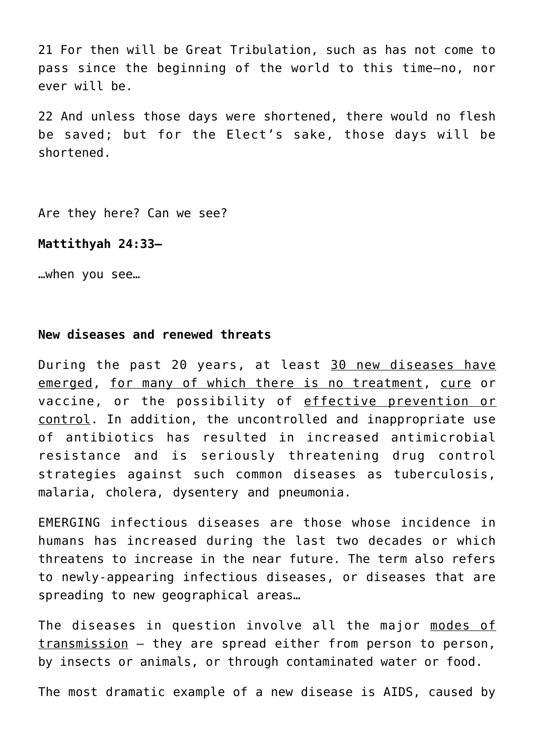21 For then will be Great Tribulation, such as has not come to pass since the beginning of the world to this time—no, nor ever will be.

22 And unless those days were shortened, there would no flesh be saved; but for the Elect's sake, those days will be shortened.

Are they here? Can we see?

#### **Mattithyah 24:33—**

…when you see…

#### **New diseases and renewed threats**

During the past 20 years, at least 30 new diseases have emerged, for many of which there is no treatment, cure or vaccine, or the possibility of effective prevention or control. In addition, the uncontrolled and inappropriate use of antibiotics has resulted in increased antimicrobial resistance and is seriously threatening drug control strategies against such common diseases as tuberculosis, malaria, cholera, dysentery and pneumonia.

EMERGING infectious diseases are those whose incidence in humans has increased during the last two decades or which threatens to increase in the near future. The term also refers to newly-appearing infectious diseases, or diseases that are spreading to new geographical areas…

The diseases in question involve all the major modes of transmission – they are spread either from person to person, by insects or animals, or through contaminated water or food.

The most dramatic example of a new disease is AIDS, caused by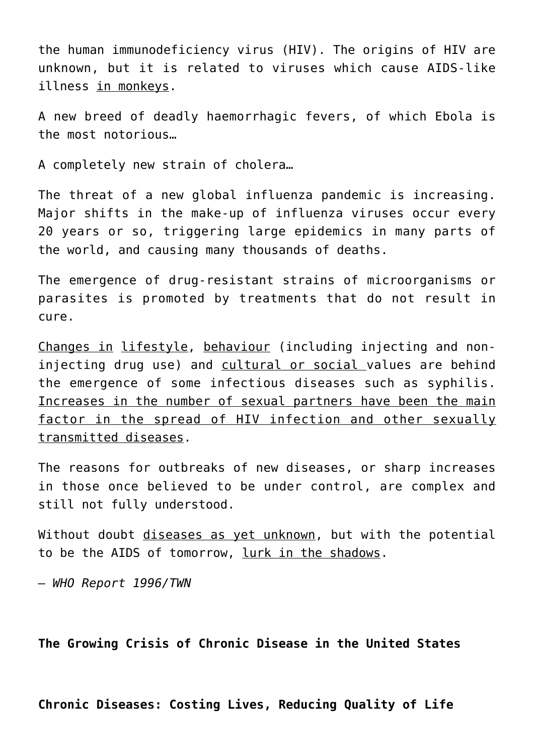the human immunodeficiency virus (HIV). The origins of HIV are unknown, but it is related to viruses which cause AIDS-like illness in monkeys.

A new breed of deadly haemorrhagic fevers, of which Ebola is the most notorious…

A completely new strain of cholera…

The threat of a new global influenza pandemic is increasing. Major shifts in the make-up of influenza viruses occur every 20 years or so, triggering large epidemics in many parts of the world, and causing many thousands of deaths.

The emergence of drug-resistant strains of microorganisms or parasites is promoted by treatments that do not result in cure.

Changes in lifestyle, behaviour (including injecting and noninjecting drug use) and cultural or social values are behind the emergence of some infectious diseases such as syphilis. Increases in the number of sexual partners have been the main factor in the spread of HIV infection and other sexually transmitted diseases.

The reasons for outbreaks of new diseases, or sharp increases in those once believed to be under control, are complex and still not fully understood.

Without doubt diseases as yet unknown, but with the potential to be the AIDS of tomorrow, lurk in the shadows.

*– WHO Report 1996/TWN*

**The Growing Crisis of Chronic Disease in the United States**

**Chronic Diseases: Costing Lives, Reducing Quality of Life**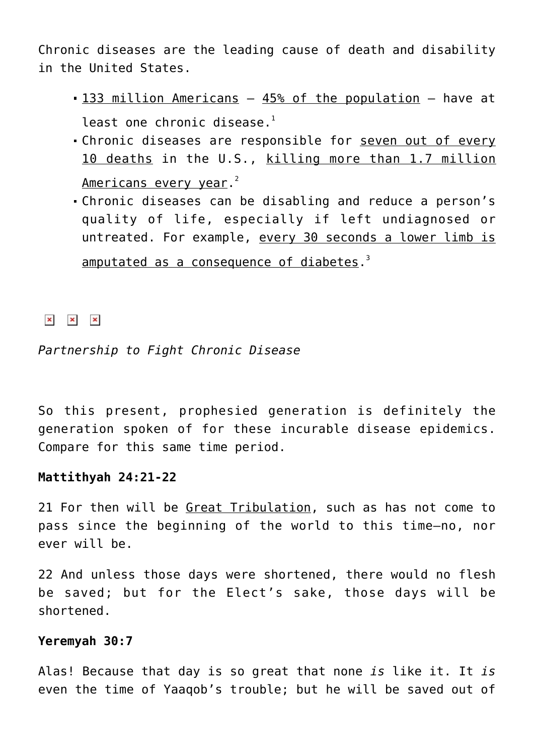Chronic diseases are the leading cause of death and disability in the United States.

- 133 million Americans 45% of the population have at least one chronic disease. $1$
- Chronic diseases are responsible for seven out of every 10 deaths in the U.S., killing more than 1.7 million <u>Americans every year</u>.<sup>2</sup>
- Chronic diseases can be disabling and reduce a person's quality of life, especially if left undiagnosed or untreated. For example, every 30 seconds a lower limb is amputated as a consequence of diabetes.<sup>3</sup>

 $\mathbf{x} = \mathbf{x}$ 

*Partnership to Fight Chronic Disease*

So this present, prophesied generation is definitely the generation spoken of for these incurable disease epidemics. Compare for this same time period.

## **Mattithyah 24:21-22**

21 For then will be Great Tribulation, such as has not come to pass since the beginning of the world to this time—no, nor ever will be.

22 And unless those days were shortened, there would no flesh be saved; but for the Elect's sake, those days will be shortened.

#### **Yeremyah 30:7**

Alas! Because that day is so great that none *is* like it. It *is* even the time of Yaaqob's trouble; but he will be saved out of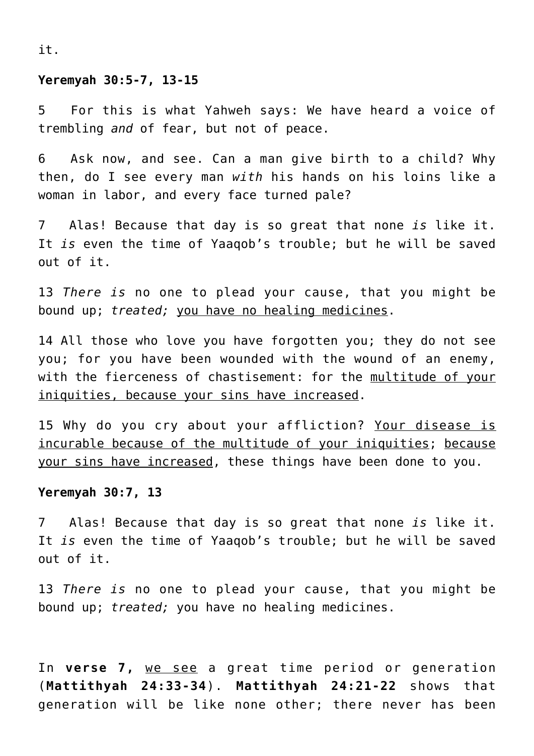it.

#### **Yeremyah 30:5-7, 13-15**

5 For this is what Yahweh says: We have heard a voice of trembling *and* of fear, but not of peace.

6 Ask now, and see. Can a man give birth to a child? Why then, do I see every man *with* his hands on his loins like a woman in labor, and every face turned pale?

7 Alas! Because that day is so great that none *is* like it. It *is* even the time of Yaaqob's trouble; but he will be saved out of it.

13 *There is* no one to plead your cause, that you might be bound up; *treated;* you have no healing medicines.

14 All those who love you have forgotten you; they do not see you; for you have been wounded with the wound of an enemy, with the fierceness of chastisement: for the multitude of your iniquities, because your sins have increased.

15 Why do you cry about your affliction? Your disease is incurable because of the multitude of your iniquities; because your sins have increased, these things have been done to you.

#### **Yeremyah 30:7, 13**

7 Alas! Because that day is so great that none *is* like it. It *is* even the time of Yaaqob's trouble; but he will be saved out of it.

13 *There is* no one to plead your cause, that you might be bound up; *treated;* you have no healing medicines.

In **verse 7,** we see a great time period or generation (**Mattithyah 24:33-34**). **Mattithyah 24:21-22** shows that generation will be like none other; there never has been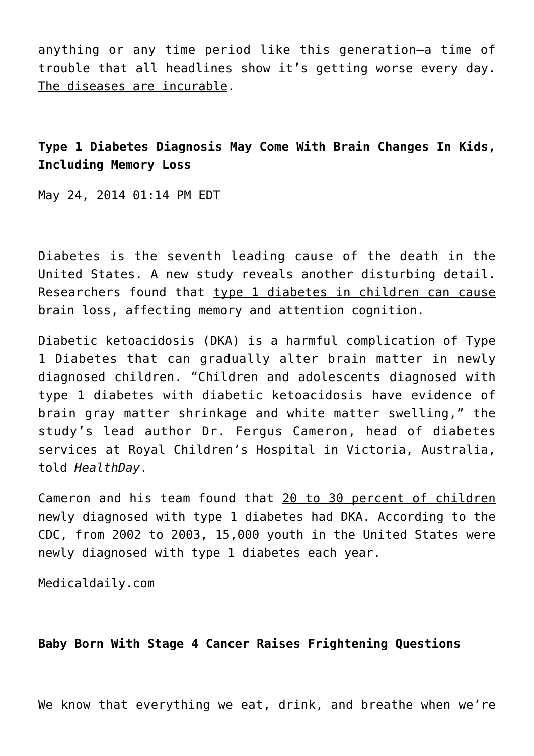anything or any time period like this generation–a time of trouble that all headlines show it's getting worse every day. The diseases are incurable.

**Type 1 Diabetes Diagnosis May Come With Brain Changes In Kids, Including Memory Loss**

May 24, 2014 01:14 PM EDT

Diabetes is the seventh leading cause of the death in the United States. A new study reveals another disturbing detail. Researchers found that type 1 diabetes in children can cause brain loss, affecting memory and attention cognition.

Diabetic ketoacidosis (DKA) is a harmful complication of Type 1 Diabetes that can gradually alter brain matter in newly diagnosed children. "Children and adolescents diagnosed with type 1 diabetes with diabetic ketoacidosis have evidence of brain gray matter shrinkage and white matter swelling," the study's lead author Dr. Fergus Cameron, head of diabetes services at Royal Children's Hospital in Victoria, Australia, told *HealthDay*.

Cameron and his team found that 20 to 30 percent of children newly diagnosed with type 1 diabetes had DKA. According to the CDC, from 2002 to 2003, 15,000 youth in the United States were newly diagnosed with type 1 diabetes each year.

Medicaldaily.com

**Baby Born With Stage 4 Cancer Raises Frightening Questions**

We know that everything we eat, drink, and breathe when we're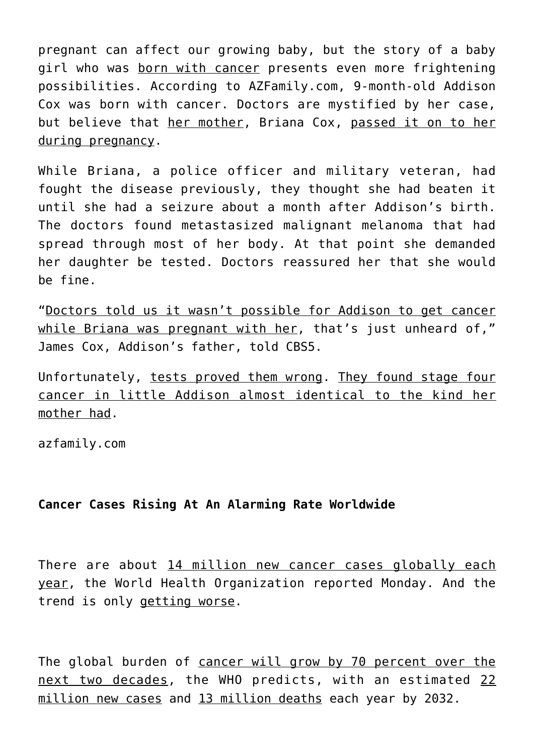pregnant can affect our growing baby, but the story of a baby girl who was born with cancer presents even more frightening possibilities. According to AZFamily.com, 9-month-old Addison Cox was born with cancer. Doctors are mystified by her case, but believe that her mother, Briana Cox, passed it on to her during pregnancy.

While Briana, a police officer and military veteran, had fought the disease previously, they thought she had beaten it until she had a seizure about a month after Addison's birth. The doctors found metastasized malignant melanoma that had spread through most of her body. At that point she demanded her daughter be tested. Doctors reassured her that she would be fine.

"Doctors told us it wasn't possible for Addison to get cancer while Briana was pregnant with her, that's just unheard of," James Cox, Addison's father, told CBS5.

Unfortunately, tests proved them wrong. They found stage four cancer in little Addison almost identical to the kind her mother had.

azfamily.com

## **Cancer Cases Rising At An Alarming Rate Worldwide**

There are about 14 million new cancer cases globally each year, the World Health Organization reported Monday. And the trend is only getting worse.

The global burden of cancer will grow by 70 percent over the next two decades, the WHO predicts, with an estimated 22 million new cases and 13 million deaths each year by 2032.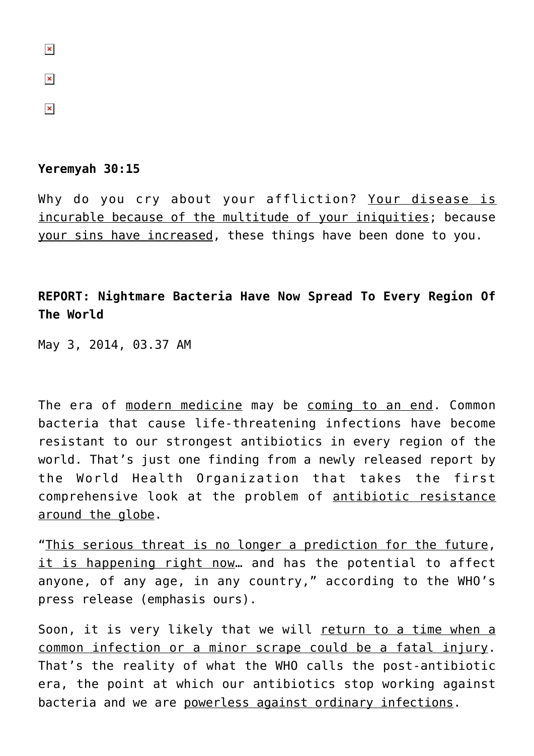$\pmb{\times}$ 

 $\pmb{\times}$ 

## **Yeremyah 30:15**

Why do you cry about your affliction? Your disease is incurable because of the multitude of your iniquities; because your sins have increased, these things have been done to you.

**REPORT: Nightmare Bacteria Have Now Spread To Every Region Of The World**

May 3, 2014, 03.37 AM

The era of modern medicine may be coming to an end. Common bacteria that cause life-threatening infections have become resistant to our strongest antibiotics in every region of the world. That's just one finding from a newly released report by the World Health Organization that takes the first comprehensive look at the problem of antibiotic resistance around the globe.

"This serious threat is no longer a prediction for the future, it is happening right now... and has the potential to affect anyone, of any age, in any country," according to the WHO's press release (emphasis ours).

Soon, it is very likely that we will return to a time when a common infection or a minor scrape could be a fatal injury. That's the reality of what the WHO calls the post-antibiotic era, the point at which our antibiotics stop working against bacteria and we are powerless against ordinary infections.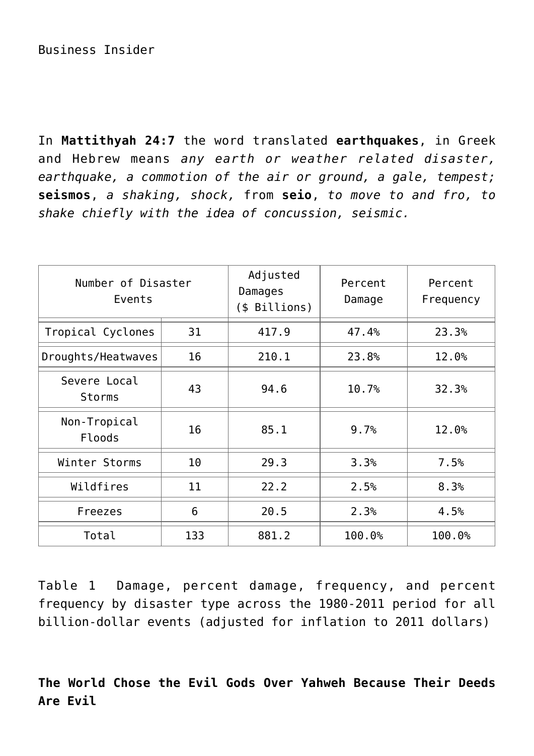In **Mattithyah 24:7** the word translated **earthquakes**, in Greek and Hebrew means *any earth or weather related disaster, earthquake, a commotion of the air or ground, a gale, tempest;* **seismos**, *a shaking, shock,* from **seio**, *to move to and fro, to shake chiefly with the idea of concussion, seismic.*

| Number of Disaster<br>Events |     | Adjusted<br>Damages<br>(\$ Billions) | Percent<br>Damage | Percent<br>Frequency |
|------------------------------|-----|--------------------------------------|-------------------|----------------------|
| Tropical Cyclones            | 31  | 417.9                                | 47.4%             | 23.3%                |
| Droughts/Heatwaves           | 16  | 210.1                                | 23.8%             | 12.0%                |
| Severe Local<br>Storms       | 43  | 94.6                                 | 10.7%             | 32.3%                |
| Non-Tropical<br>Floods       | 16  | 85.1                                 | 9.7%              | 12.0%                |
| Winter Storms                | 10  | 29.3                                 | 3.3%              | 7.5%                 |
| Wildfires                    | 11  | 22.2                                 | 2.5%              | 8.3%                 |
| Freezes                      | 6   | 20.5                                 | 2.3%              | 4.5%                 |
| Total                        | 133 | 881.2                                | 100.0%            | 100.0%               |

Table 1 Damage, percent damage, frequency, and percent frequency by disaster type across the 1980-2011 period for all billion-dollar events (adjusted for inflation to 2011 dollars)

**The World Chose the Evil Gods Over Yahweh Because Their Deeds Are Evil**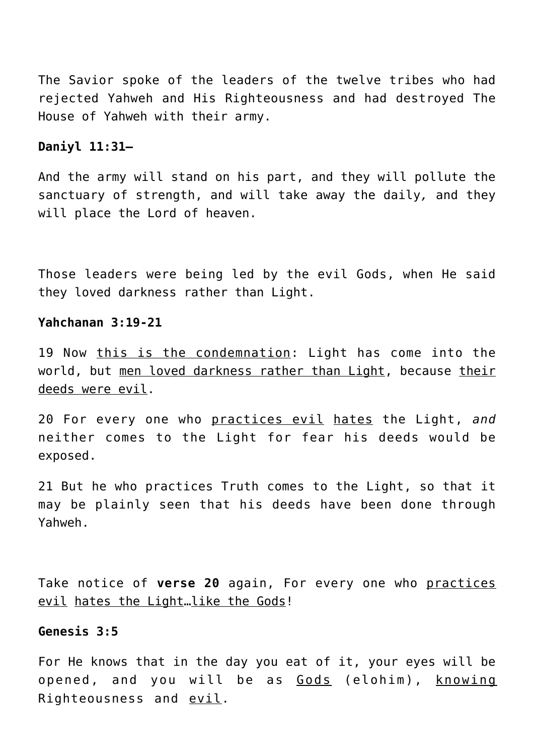The Savior spoke of the leaders of the twelve tribes who had rejected Yahweh and His Righteousness and had destroyed The House of Yahweh with their army.

# **Daniyl 11:31—**

And the army will stand on his part, and they will pollute the sanctuary of strength, and will take away the daily*,* and they will place the Lord of heaven.

Those leaders were being led by the evil Gods, when He said they loved darkness rather than Light.

## **Yahchanan 3:19-21**

19 Now this is the condemnation: Light has come into the world, but men loved darkness rather than Light, because their deeds were evil.

20 For every one who practices evil hates the Light, *and* neither comes to the Light for fear his deeds would be exposed.

21 But he who practices Truth comes to the Light, so that it may be plainly seen that his deeds have been done through Yahweh.

Take notice of **verse 20** again, For every one who practices evil hates the Light…like the Gods!

## **Genesis 3:5**

For He knows that in the day you eat of it, your eyes will be opened, and you will be as Gods (elohim), knowing Righteousness and evil.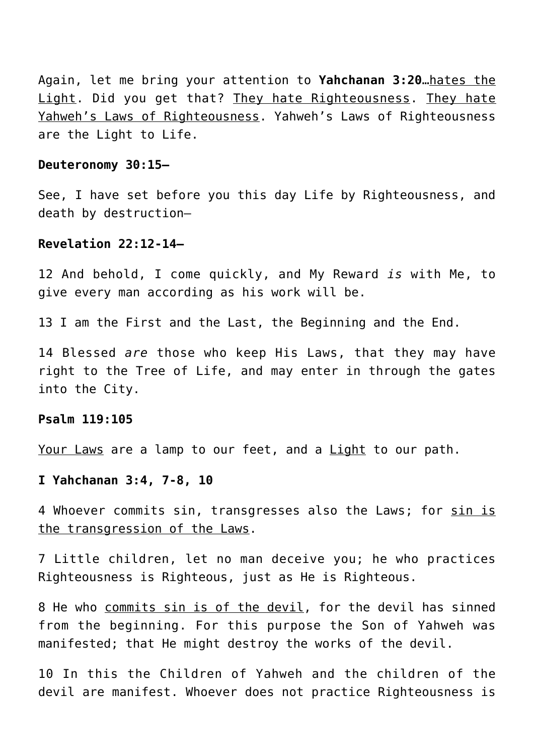Again, let me bring your attention to **Yahchanan 3:20**…hates the Light. Did you get that? They hate Righteousness. They hate Yahweh's Laws of Righteousness. Yahweh's Laws of Righteousness are the Light to Life.

#### **Deuteronomy 30:15—**

See, I have set before you this day Life by Righteousness, and death by destruction—

## **Revelation 22:12-14—**

12 And behold, I come quickly, and My Reward *is* with Me, to give every man according as his work will be.

13 I am the First and the Last, the Beginning and the End.

14 Blessed *are* those who keep His Laws, that they may have right to the Tree of Life, and may enter in through the gates into the City.

### **Psalm 119:105**

Your Laws are a lamp to our feet, and a Light to our path.

## **I Yahchanan 3:4, 7-8, 10**

4 Whoever commits sin, transgresses also the Laws; for sin is the transgression of the Laws.

7 Little children, let no man deceive you; he who practices Righteousness is Righteous, just as He is Righteous.

8 He who commits sin is of the devil, for the devil has sinned from the beginning. For this purpose the Son of Yahweh was manifested; that He might destroy the works of the devil.

10 In this the Children of Yahweh and the children of the devil are manifest. Whoever does not practice Righteousness is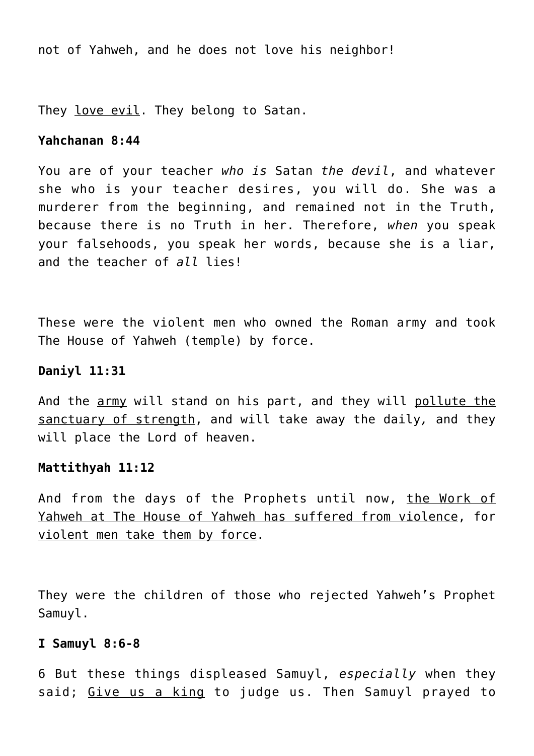not of Yahweh, and he does not love his neighbor!

They love evil. They belong to Satan.

## **Yahchanan 8:44**

You are of your teacher *who is* Satan *the devil*, and whatever she who is your teacher desires, you will do. She was a murderer from the beginning, and remained not in the Truth, because there is no Truth in her. Therefore, *when* you speak your falsehoods, you speak her words, because she is a liar, and the teacher of *all* lies!

These were the violent men who owned the Roman army and took The House of Yahweh (temple) by force.

## **Daniyl 11:31**

And the army will stand on his part, and they will pollute the sanctuary of strength, and will take away the daily*,* and they will place the Lord of heaven.

## **Mattithyah 11:12**

And from the days of the Prophets until now, the Work of Yahweh at The House of Yahweh has suffered from violence, for violent men take them by force.

They were the children of those who rejected Yahweh's Prophet Samuyl.

## **I Samuyl 8:6-8**

6 But these things displeased Samuyl, *especially* when they said; Give us a king to judge us. Then Samuyl prayed to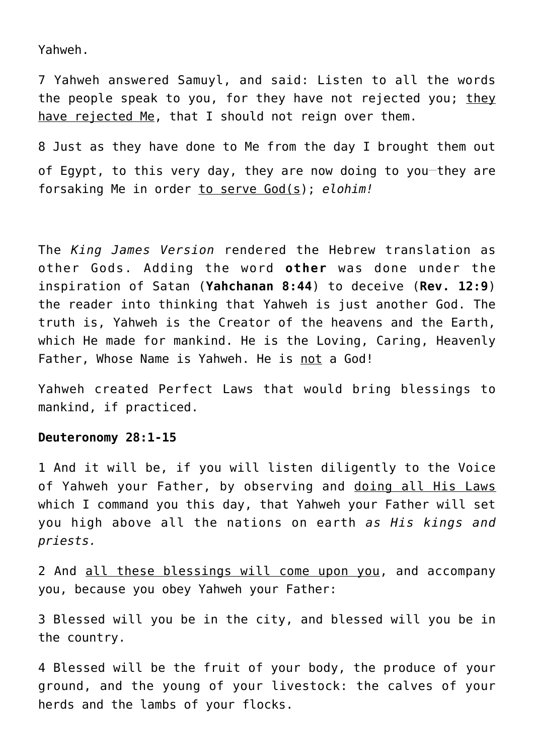Yahweh.

7 Yahweh answered Samuyl, and said: Listen to all the words the people speak to you, for they have not rejected you; they have rejected Me, that I should not reign over them.

8 Just as they have done to Me from the day I brought them out of Egypt, to this very day, they are now doing to you-they are forsaking Me in order to serve God(s); *elohim!*

The *King James Version* rendered the Hebrew translation as other Gods. Adding the word **other** was done under the inspiration of Satan (**Yahchanan 8:44**) to deceive (**Rev. 12:9**) the reader into thinking that Yahweh is just another God. The truth is, Yahweh is the Creator of the heavens and the Earth, which He made for mankind. He is the Loving, Caring, Heavenly Father, Whose Name is Yahweh. He is not a God!

Yahweh created Perfect Laws that would bring blessings to mankind, if practiced.

#### **Deuteronomy 28:1-15**

1 And it will be, if you will listen diligently to the Voice of Yahweh your Father, by observing and doing all His Laws which I command you this day, that Yahweh your Father will set you high above all the nations on earth *as His kings and priests.*

2 And all these blessings will come upon you, and accompany you, because you obey Yahweh your Father:

3 Blessed will you be in the city, and blessed will you be in the country.

4 Blessed will be the fruit of your body, the produce of your ground, and the young of your livestock: the calves of your herds and the lambs of your flocks.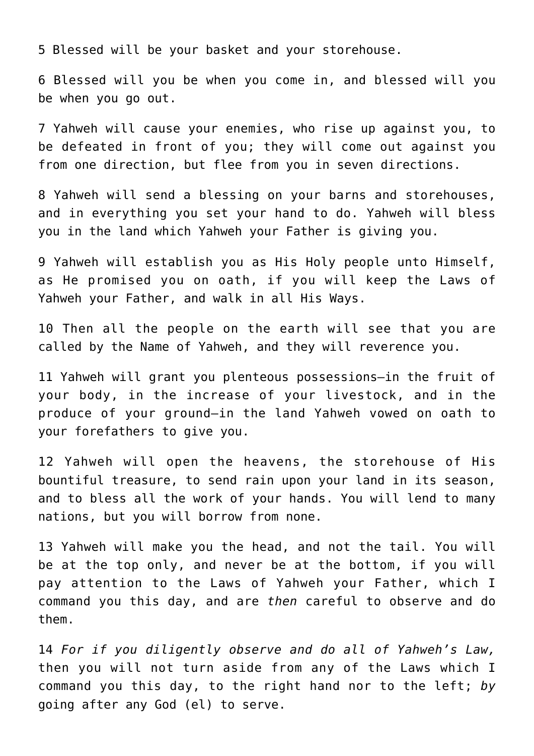5 Blessed will be your basket and your storehouse.

6 Blessed will you be when you come in, and blessed will you be when you go out.

7 Yahweh will cause your enemies, who rise up against you, to be defeated in front of you; they will come out against you from one direction, but flee from you in seven directions.

8 Yahweh will send a blessing on your barns and storehouses, and in everything you set your hand to do. Yahweh will bless you in the land which Yahweh your Father is giving you.

9 Yahweh will establish you as His Holy people unto Himself, as He promised you on oath, if you will keep the Laws of Yahweh your Father, and walk in all His Ways.

10 Then all the people on the earth will see that you are called by the Name of Yahweh, and they will reverence you.

11 Yahweh will grant you plenteous possessions—in the fruit of your body, in the increase of your livestock, and in the produce of your ground—in the land Yahweh vowed on oath to your forefathers to give you.

12 Yahweh will open the heavens, the storehouse of His bountiful treasure, to send rain upon your land in its season, and to bless all the work of your hands. You will lend to many nations, but you will borrow from none.

13 Yahweh will make you the head, and not the tail. You will be at the top only, and never be at the bottom, if you will pay attention to the Laws of Yahweh your Father, which I command you this day, and are *then* careful to observe and do them.

14 *For if you diligently observe and do all of Yahweh's Law,* then you will not turn aside from any of the Laws which I command you this day, to the right hand nor to the left; *by* going after any God (el) to serve.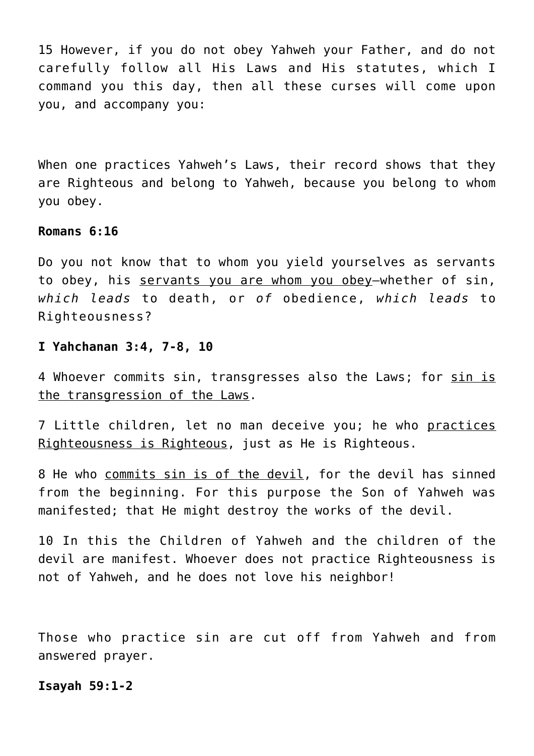15 However, if you do not obey Yahweh your Father, and do not carefully follow all His Laws and His statutes, which I command you this day, then all these curses will come upon you, and accompany you:

When one practices Yahweh's Laws, their record shows that they are Righteous and belong to Yahweh, because you belong to whom you obey.

### **Romans 6:16**

Do you not know that to whom you yield yourselves as servants to obey, his servants you are whom you obey—whether of sin, *which leads* to death, or *of* obedience, *which leads* to Righteousness?

## **I Yahchanan 3:4, 7-8, 10**

4 Whoever commits sin, transgresses also the Laws; for sin is the transgression of the Laws.

7 Little children, let no man deceive you; he who practices Righteousness is Righteous, just as He is Righteous.

8 He who commits sin is of the devil, for the devil has sinned from the beginning. For this purpose the Son of Yahweh was manifested; that He might destroy the works of the devil.

10 In this the Children of Yahweh and the children of the devil are manifest. Whoever does not practice Righteousness is not of Yahweh, and he does not love his neighbor!

Those who practice sin are cut off from Yahweh and from answered prayer.

## **Isayah 59:1-2**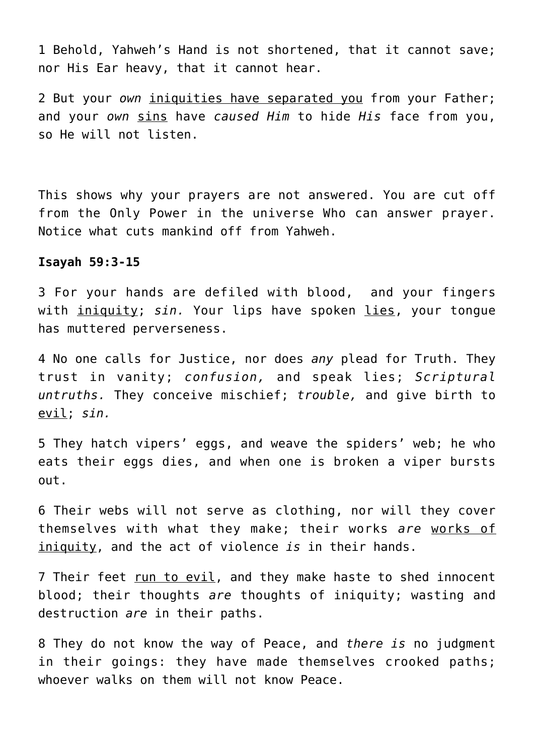1 Behold, Yahweh's Hand is not shortened, that it cannot save; nor His Ear heavy, that it cannot hear.

2 But your *own* iniquities have separated you from your Father; and your *own* sins have *caused Him* to hide *His* face from you, so He will not listen.

This shows why your prayers are not answered. You are cut off from the Only Power in the universe Who can answer prayer. Notice what cuts mankind off from Yahweh.

## **Isayah 59:3-15**

3 For your hands are defiled with blood, and your fingers with iniquity; sin. Your lips have spoken lies, your tonque has muttered perverseness.

4 No one calls for Justice, nor does *any* plead for Truth. They trust in vanity; *confusion,* and speak lies; *Scriptural untruths.* They conceive mischief; *trouble,* and give birth to evil; *sin.*

5 They hatch vipers' eggs, and weave the spiders' web; he who eats their eggs dies, and when one is broken a viper bursts out.

6 Their webs will not serve as clothing, nor will they cover themselves with what they make; their works *are* works of iniquity, and the act of violence *is* in their hands.

7 Their feet run to evil, and they make haste to shed innocent blood; their thoughts *are* thoughts of iniquity; wasting and destruction *are* in their paths.

8 They do not know the way of Peace, and *there is* no judgment in their goings: they have made themselves crooked paths; whoever walks on them will not know Peace.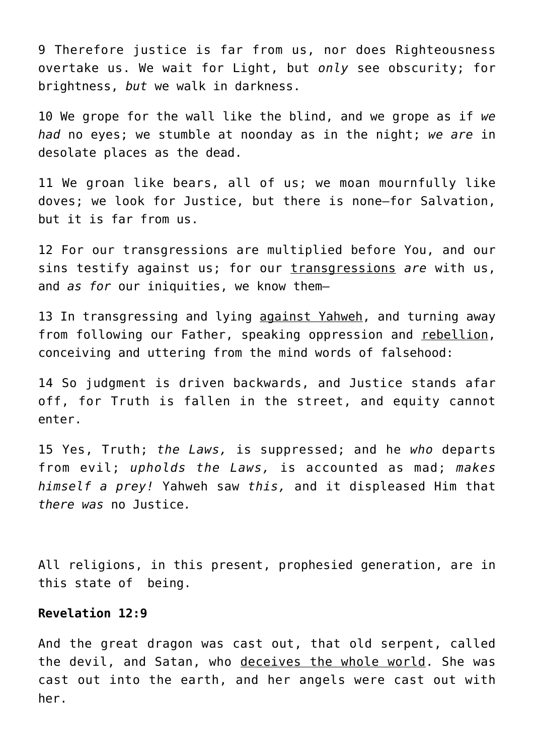9 Therefore justice is far from us, nor does Righteousness overtake us. We wait for Light, but *only* see obscurity; for brightness, *but* we walk in darkness.

10 We grope for the wall like the blind, and we grope as if *we had* no eyes; we stumble at noonday as in the night; *we are* in desolate places as the dead.

11 We groan like bears, all of us; we moan mournfully like doves; we look for Justice, but there is none—for Salvation, but it is far from us.

12 For our transgressions are multiplied before You, and our sins testify against us; for our transgressions *are* with us, and *as for* our iniquities, we know them—

13 In transgressing and lying against Yahweh, and turning away from following our Father, speaking oppression and rebellion, conceiving and uttering from the mind words of falsehood:

14 So judgment is driven backwards, and Justice stands afar off, for Truth is fallen in the street, and equity cannot enter.

15 Yes, Truth; *the Laws,* is suppressed; and he *who* departs from evil; *upholds the Laws,* is accounted as mad; *makes himself a prey!* Yahweh saw *this,* and it displeased Him that *there was* no Justice*.*

All religions, in this present, prophesied generation, are in this state of being.

## **Revelation 12:9**

And the great dragon was cast out, that old serpent, called the devil, and Satan, who deceives the whole world. She was cast out into the earth, and her angels were cast out with her.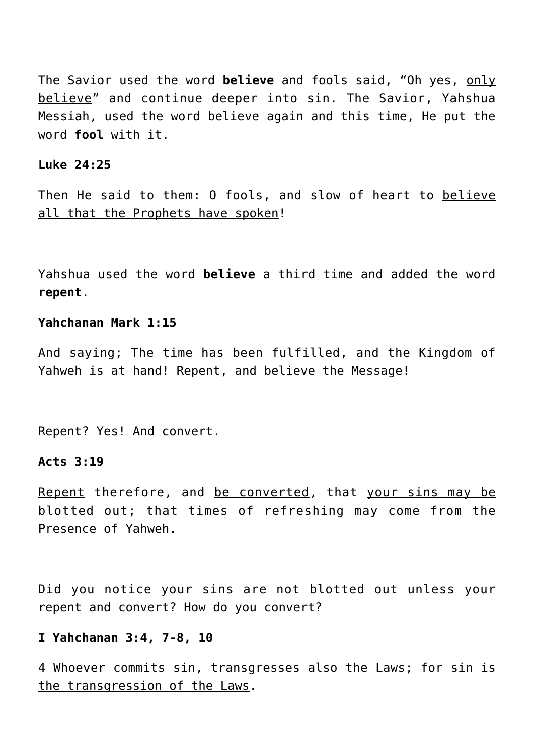The Savior used the word **believe** and fools said, "Oh yes, only believe" and continue deeper into sin. The Savior, Yahshua Messiah, used the word believe again and this time, He put the word **fool** with it.

### **Luke 24:25**

Then He said to them: O fools, and slow of heart to believe all that the Prophets have spoken!

Yahshua used the word **believe** a third time and added the word **repent**.

## **Yahchanan Mark 1:15**

And saying; The time has been fulfilled, and the Kingdom of Yahweh is at hand! Repent, and believe the Message!

Repent? Yes! And convert.

## **Acts 3:19**

Repent therefore, and be converted, that your sins may be blotted out; that times of refreshing may come from the Presence of Yahweh.

Did you notice your sins are not blotted out unless your repent and convert? How do you convert?

#### **I Yahchanan 3:4, 7-8, 10**

4 Whoever commits sin, transgresses also the Laws; for sin is the transgression of the Laws.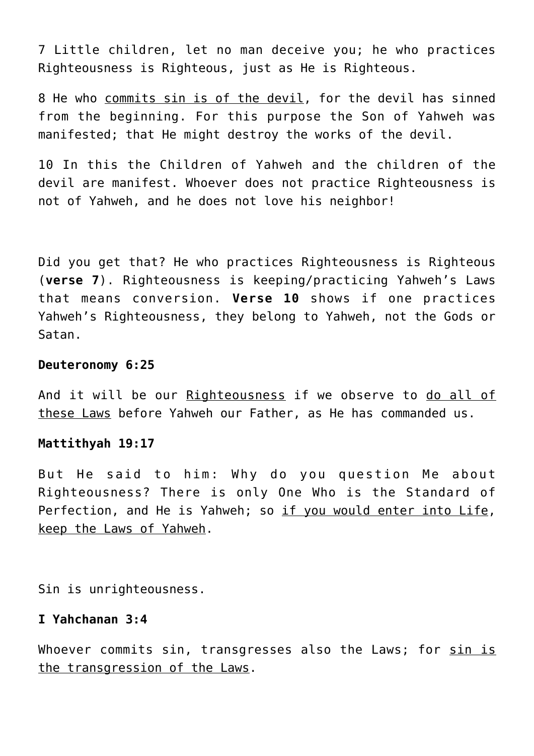7 Little children, let no man deceive you; he who practices Righteousness is Righteous, just as He is Righteous.

8 He who commits sin is of the devil, for the devil has sinned from the beginning. For this purpose the Son of Yahweh was manifested; that He might destroy the works of the devil.

10 In this the Children of Yahweh and the children of the devil are manifest. Whoever does not practice Righteousness is not of Yahweh, and he does not love his neighbor!

Did you get that? He who practices Righteousness is Righteous (**verse 7**). Righteousness is keeping/practicing Yahweh's Laws that means conversion. **Verse 10** shows if one practices Yahweh's Righteousness, they belong to Yahweh, not the Gods or Satan.

### **Deuteronomy 6:25**

And it will be our Righteousness if we observe to do all of these Laws before Yahweh our Father, as He has commanded us.

#### **Mattithyah 19:17**

But He said to him: Why do you question Me about Righteousness? There is only One Who is the Standard of Perfection, and He is Yahweh; so if you would enter into Life, keep the Laws of Yahweh.

Sin is unrighteousness.

## **I Yahchanan 3:4**

Whoever commits sin, transgresses also the Laws; for sin is the transgression of the Laws.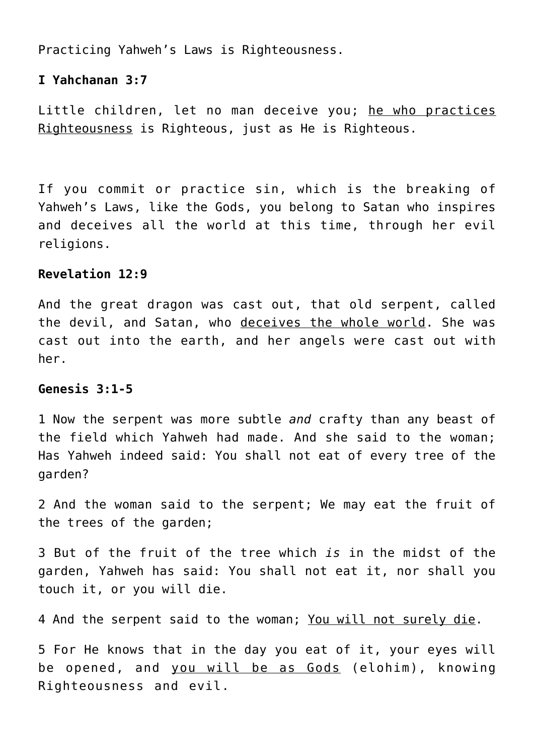Practicing Yahweh's Laws is Righteousness.

## **I Yahchanan 3:7**

Little children, let no man deceive you; he who practices Righteousness is Righteous, just as He is Righteous.

If you commit or practice sin, which is the breaking of Yahweh's Laws, like the Gods, you belong to Satan who inspires and deceives all the world at this time, through her evil religions.

## **Revelation 12:9**

And the great dragon was cast out, that old serpent, called the devil, and Satan, who deceives the whole world. She was cast out into the earth, and her angels were cast out with her.

## **Genesis 3:1-5**

1 Now the serpent was more subtle *and* crafty than any beast of the field which Yahweh had made. And she said to the woman; Has Yahweh indeed said: You shall not eat of every tree of the garden?

2 And the woman said to the serpent; We may eat the fruit of the trees of the garden;

3 But of the fruit of the tree which *is* in the midst of the garden, Yahweh has said: You shall not eat it, nor shall you touch it, or you will die.

4 And the serpent said to the woman; You will not surely die.

5 For He knows that in the day you eat of it, your eyes will be opened, and you will be as Gods (elohim), knowing Righteousness and evil.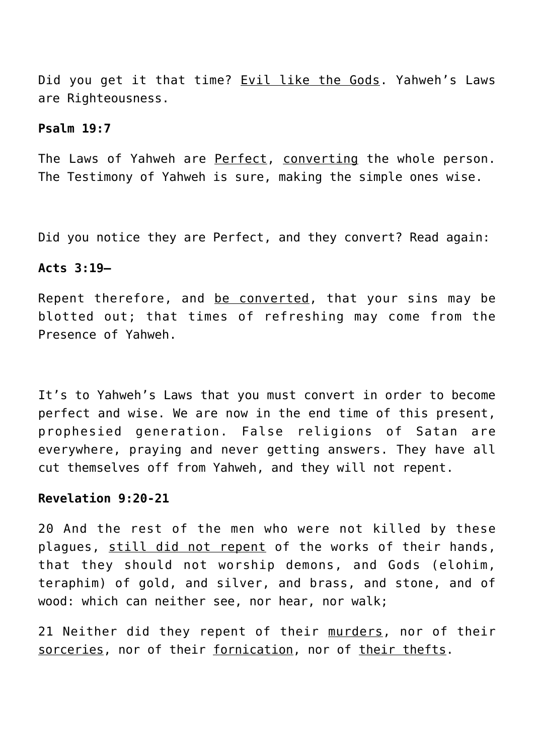Did you get it that time? Evil like the Gods. Yahweh's Laws are Righteousness.

#### **Psalm 19:7**

The Laws of Yahweh are Perfect, converting the whole person. The Testimony of Yahweh is sure, making the simple ones wise.

Did you notice they are Perfect, and they convert? Read again:

### **Acts 3:19—**

Repent therefore, and be converted, that your sins may be blotted out; that times of refreshing may come from the Presence of Yahweh.

It's to Yahweh's Laws that you must convert in order to become perfect and wise. We are now in the end time of this present, prophesied generation. False religions of Satan are everywhere, praying and never getting answers. They have all cut themselves off from Yahweh, and they will not repent.

## **Revelation 9:20-21**

20 And the rest of the men who were not killed by these plagues, still did not repent of the works of their hands, that they should not worship demons, and Gods (elohim, teraphim) of gold, and silver, and brass, and stone, and of wood: which can neither see, nor hear, nor walk;

21 Neither did they repent of their murders, nor of their sorceries, nor of their fornication, nor of their thefts.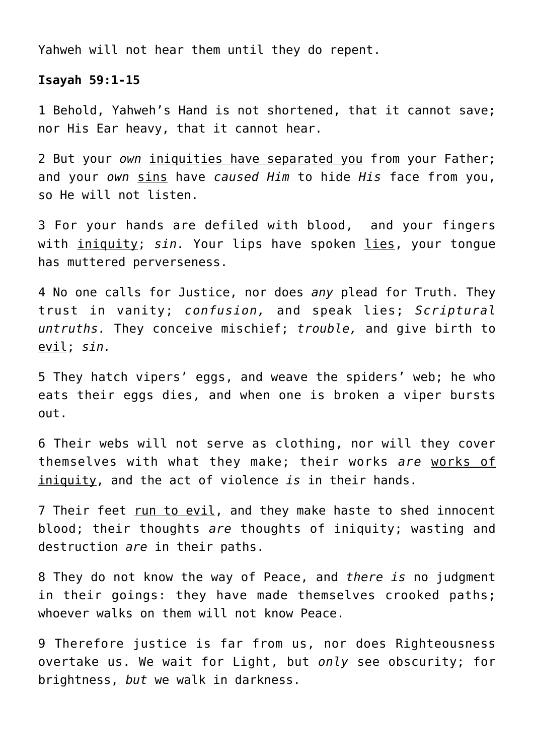Yahweh will not hear them until they do repent.

## **Isayah 59:1-15**

1 Behold, Yahweh's Hand is not shortened, that it cannot save; nor His Ear heavy, that it cannot hear.

2 But your *own* iniquities have separated you from your Father; and your *own* sins have *caused Him* to hide *His* face from you, so He will not listen.

3 For your hands are defiled with blood, and your fingers with iniquity; sin. Your lips have spoken lies, your tonque has muttered perverseness.

4 No one calls for Justice, nor does *any* plead for Truth. They trust in vanity; *confusion,* and speak lies; *Scriptural untruths.* They conceive mischief; *trouble,* and give birth to evil; *sin.*

5 They hatch vipers' eggs, and weave the spiders' web; he who eats their eggs dies, and when one is broken a viper bursts out.

6 Their webs will not serve as clothing, nor will they cover themselves with what they make; their works *are* works of iniquity, and the act of violence *is* in their hands.

7 Their feet run to evil, and they make haste to shed innocent blood; their thoughts *are* thoughts of iniquity; wasting and destruction *are* in their paths.

8 They do not know the way of Peace, and *there is* no judgment in their goings: they have made themselves crooked paths; whoever walks on them will not know Peace.

9 Therefore justice is far from us, nor does Righteousness overtake us. We wait for Light, but *only* see obscurity; for brightness, *but* we walk in darkness.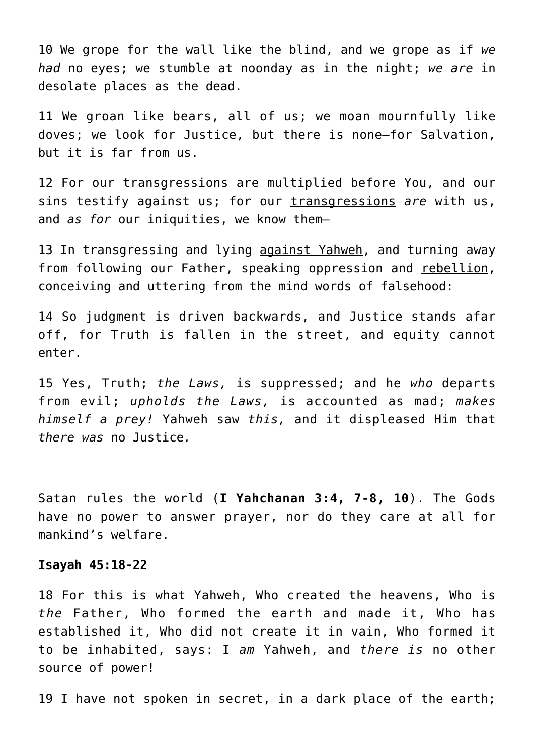10 We grope for the wall like the blind, and we grope as if *we had* no eyes; we stumble at noonday as in the night; *we are* in desolate places as the dead.

11 We groan like bears, all of us; we moan mournfully like doves; we look for Justice, but there is none—for Salvation, but it is far from us.

12 For our transgressions are multiplied before You, and our sins testify against us; for our transgressions *are* with us, and *as for* our iniquities, we know them—

13 In transgressing and lying against Yahweh, and turning away from following our Father, speaking oppression and rebellion, conceiving and uttering from the mind words of falsehood:

14 So judgment is driven backwards, and Justice stands afar off, for Truth is fallen in the street, and equity cannot enter.

15 Yes, Truth; *the Laws,* is suppressed; and he *who* departs from evil; *upholds the Laws,* is accounted as mad; *makes himself a prey!* Yahweh saw *this,* and it displeased Him that *there was* no Justice*.*

Satan rules the world (**I Yahchanan 3:4, 7-8, 10**). The Gods have no power to answer prayer, nor do they care at all for mankind's welfare.

#### **Isayah 45:18-22**

18 For this is what Yahweh, Who created the heavens, Who is *the* Father, Who formed the earth and made it, Who has established it, Who did not create it in vain, Who formed it to be inhabited, says: I *am* Yahweh, and *there is* no other source of power!

19 I have not spoken in secret, in a dark place of the earth;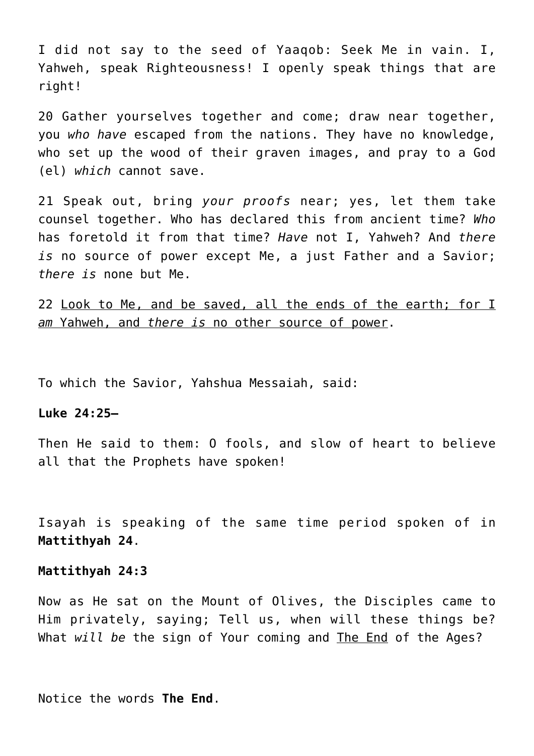I did not say to the seed of Yaaqob: Seek Me in vain. I, Yahweh, speak Righteousness! I openly speak things that are right!

20 Gather yourselves together and come; draw near together, you *who have* escaped from the nations. They have no knowledge, who set up the wood of their graven images, and pray to a God (el) *which* cannot save.

21 Speak out, bring *your proofs* near; yes, let them take counsel together. Who has declared this from ancient time? *Who* has foretold it from that time? *Have* not I, Yahweh? And *there is* no source of power except Me, a just Father and a Savior; *there is* none but Me.

22 Look to Me, and be saved, all the ends of the earth; for I *am* Yahweh, and *there is* no other source of power.

To which the Savior, Yahshua Messaiah, said:

## **Luke 24:25—**

Then He said to them: O fools, and slow of heart to believe all that the Prophets have spoken!

Isayah is speaking of the same time period spoken of in **Mattithyah 24**.

#### **Mattithyah 24:3**

Now as He sat on the Mount of Olives, the Disciples came to Him privately, saying; Tell us, when will these things be? What *will be* the sign of Your coming and The End of the Ages?

Notice the words **The End**.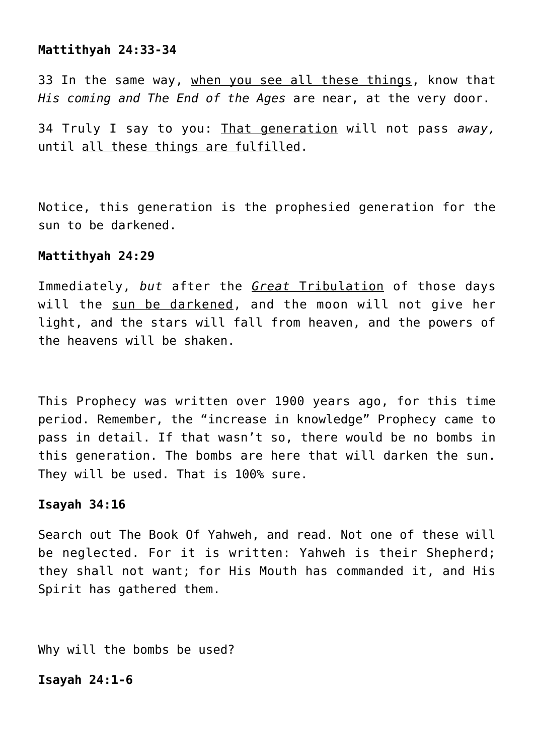### **Mattithyah 24:33-34**

33 In the same way, when you see all these things, know that *His coming and The End of the Ages* are near, at the very door.

34 Truly I say to you: That generation will not pass *away,* until all these things are fulfilled.

Notice, this generation is the prophesied generation for the sun to be darkened.

### **Mattithyah 24:29**

Immediately, *but* after the *Great* Tribulation of those days will the sun be darkened, and the moon will not give her light, and the stars will fall from heaven, and the powers of the heavens will be shaken.

This Prophecy was written over 1900 years ago, for this time period. Remember, the "increase in knowledge" Prophecy came to pass in detail. If that wasn't so, there would be no bombs in this generation. The bombs are here that will darken the sun. They will be used. That is 100% sure.

#### **Isayah 34:16**

Search out The Book Of Yahweh, and read. Not one of these will be neglected. For it is written: Yahweh is their Shepherd; they shall not want; for His Mouth has commanded it, and His Spirit has gathered them.

Why will the bombs be used?

**Isayah 24:1-6**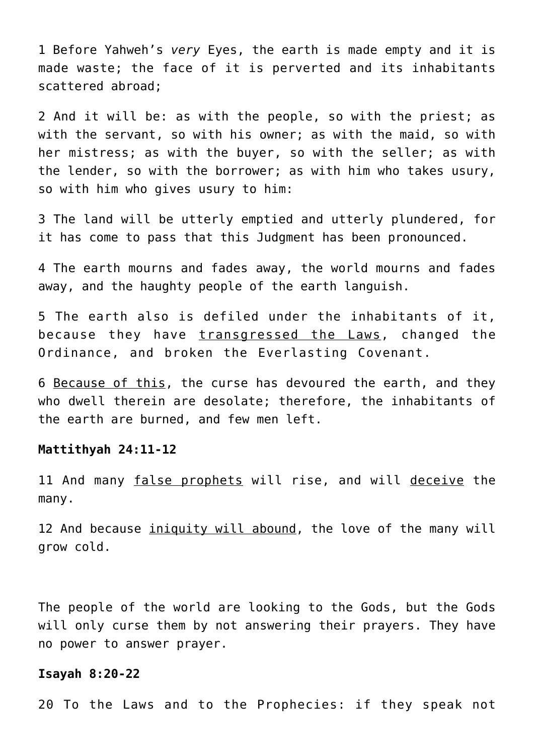1 Before Yahweh's *very* Eyes, the earth is made empty and it is made waste; the face of it is perverted and its inhabitants scattered abroad;

2 And it will be: as with the people, so with the priest; as with the servant, so with his owner; as with the maid, so with her mistress; as with the buyer, so with the seller; as with the lender, so with the borrower; as with him who takes usury, so with him who gives usury to him:

3 The land will be utterly emptied and utterly plundered, for it has come to pass that this Judgment has been pronounced.

4 The earth mourns and fades away, the world mourns and fades away, and the haughty people of the earth languish.

5 The earth also is defiled under the inhabitants of it, because they have transgressed the Laws, changed the Ordinance, and broken the Everlasting Covenant.

6 Because of this, the curse has devoured the earth, and they who dwell therein are desolate; therefore, the inhabitants of the earth are burned, and few men left.

#### **Mattithyah 24:11-12**

11 And many false prophets will rise, and will deceive the many.

12 And because iniquity will abound, the love of the many will grow cold.

The people of the world are looking to the Gods, but the Gods will only curse them by not answering their prayers. They have no power to answer prayer.

#### **Isayah 8:20-22**

20 To the Laws and to the Prophecies: if they speak not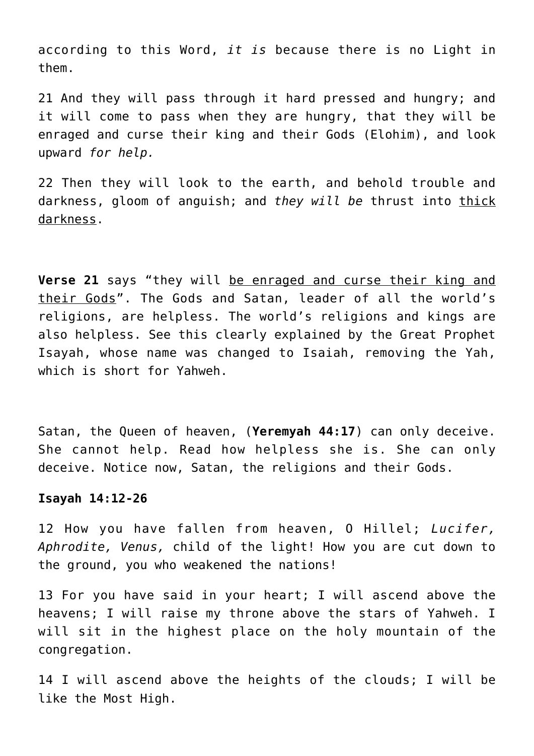according to this Word, *it is* because there is no Light in them.

21 And they will pass through it hard pressed and hungry; and it will come to pass when they are hungry, that they will be enraged and curse their king and their Gods (Elohim), and look upward *for help.*

22 Then they will look to the earth, and behold trouble and darkness, gloom of anguish; and *they will be* thrust into thick darkness.

**Verse 21** says "they will be enraged and curse their king and their Gods". The Gods and Satan, leader of all the world's religions, are helpless. The world's religions and kings are also helpless. See this clearly explained by the Great Prophet Isayah, whose name was changed to Isaiah, removing the Yah, which is short for Yahweh.

Satan, the Queen of heaven, (**Yeremyah 44:17**) can only deceive. She cannot help. Read how helpless she is. She can only deceive. Notice now, Satan, the religions and their Gods.

## **Isayah 14:12-26**

12 How you have fallen from heaven, O Hillel; *Lucifer, Aphrodite, Venus,* child of the light! How you are cut down to the ground, you who weakened the nations!

13 For you have said in your heart; I will ascend above the heavens; I will raise my throne above the stars of Yahweh. I will sit in the highest place on the holy mountain of the congregation.

14 I will ascend above the heights of the clouds; I will be like the Most High.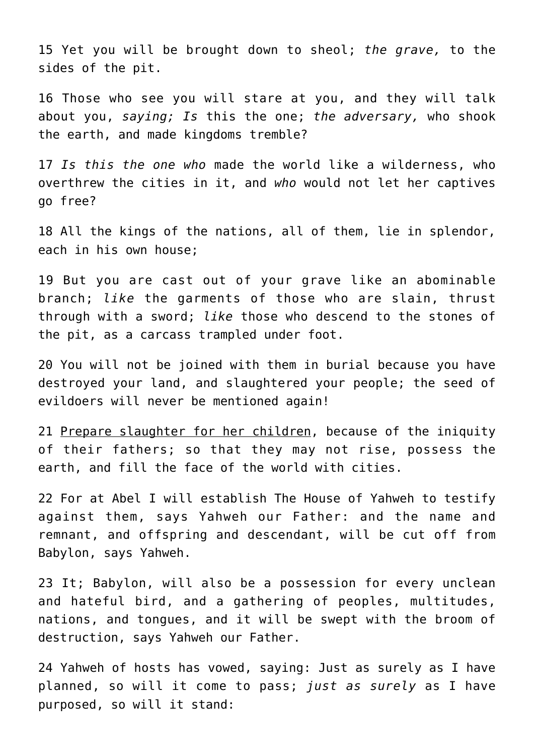15 Yet you will be brought down to sheol; *the grave,* to the sides of the pit.

16 Those who see you will stare at you, and they will talk about you, *saying; Is* this the one; *the adversary,* who shook the earth, and made kingdoms tremble?

17 *Is this the one who* made the world like a wilderness, who overthrew the cities in it, and *who* would not let her captives go free?

18 All the kings of the nations, all of them, lie in splendor, each in his own house;

19 But you are cast out of your grave like an abominable branch; *like* the garments of those who are slain, thrust through with a sword; *like* those who descend to the stones of the pit, as a carcass trampled under foot.

20 You will not be joined with them in burial because you have destroyed your land, and slaughtered your people; the seed of evildoers will never be mentioned again!

21 Prepare slaughter for her children, because of the iniquity of their fathers; so that they may not rise, possess the earth, and fill the face of the world with cities.

22 For at Abel I will establish The House of Yahweh to testify against them, says Yahweh our Father: and the name and remnant, and offspring and descendant, will be cut off from Babylon, says Yahweh.

23 It; Babylon, will also be a possession for every unclean and hateful bird, and a gathering of peoples, multitudes, nations, and tongues, and it will be swept with the broom of destruction, says Yahweh our Father.

24 Yahweh of hosts has vowed, saying: Just as surely as I have planned, so will it come to pass; *just as surely* as I have purposed, so will it stand: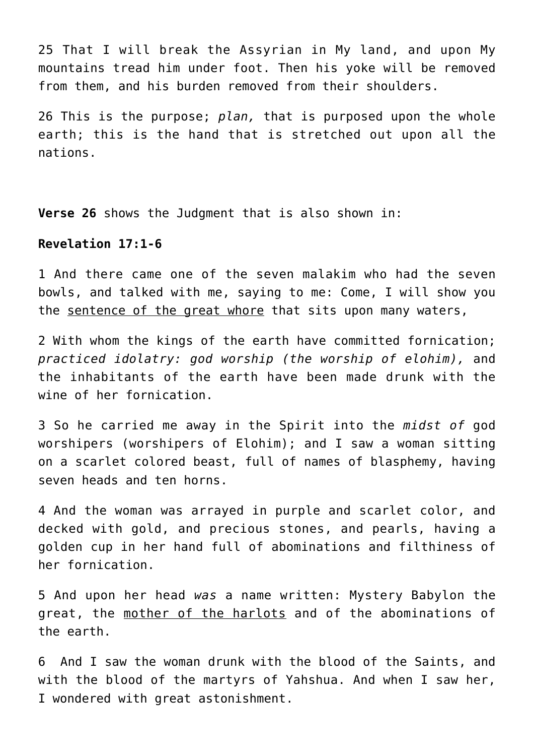25 That I will break the Assyrian in My land, and upon My mountains tread him under foot. Then his yoke will be removed from them, and his burden removed from their shoulders.

26 This is the purpose; *plan,* that is purposed upon the whole earth; this is the hand that is stretched out upon all the nations.

**Verse 26** shows the Judgment that is also shown in:

## **Revelation 17:1-6**

1 And there came one of the seven malakim who had the seven bowls, and talked with me, saying to me: Come, I will show you the sentence of the great whore that sits upon many waters,

2 With whom the kings of the earth have committed fornication; *practiced idolatry: god worship (the worship of elohim),* and the inhabitants of the earth have been made drunk with the wine of her fornication.

3 So he carried me away in the Spirit into the *midst of* god worshipers (worshipers of Elohim); and I saw a woman sitting on a scarlet colored beast, full of names of blasphemy, having seven heads and ten horns.

4 And the woman was arrayed in purple and scarlet color, and decked with gold, and precious stones, and pearls, having a golden cup in her hand full of abominations and filthiness of her fornication.

5 And upon her head *was* a name written: Mystery Babylon the great, the mother of the harlots and of the abominations of the earth.

6 And I saw the woman drunk with the blood of the Saints, and with the blood of the martyrs of Yahshua. And when I saw her, I wondered with great astonishment.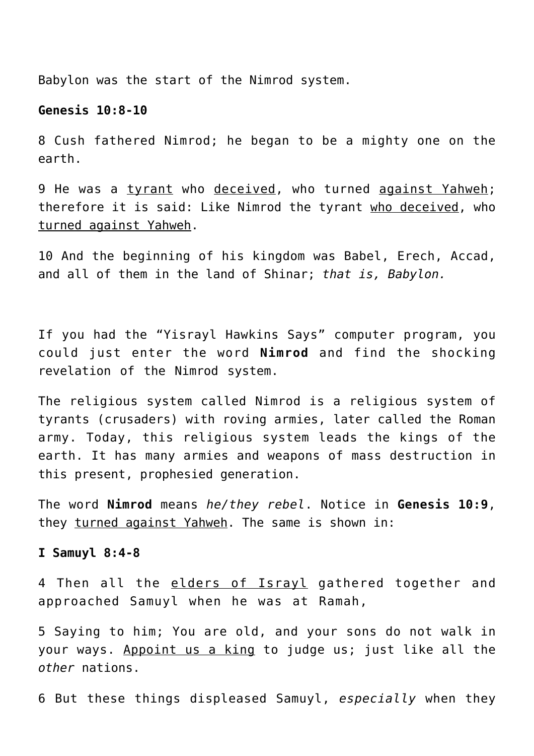Babylon was the start of the Nimrod system.

#### **Genesis 10:8-10**

8 Cush fathered Nimrod; he began to be a mighty one on the earth.

9 He was a tyrant who deceived, who turned against Yahweh; therefore it is said: Like Nimrod the tyrant who deceived, who turned against Yahweh.

10 And the beginning of his kingdom was Babel, Erech, Accad, and all of them in the land of Shinar; *that is, Babylon.*

If you had the "Yisrayl Hawkins Says" computer program, you could just enter the word **Nimrod** and find the shocking revelation of the Nimrod system.

The religious system called Nimrod is a religious system of tyrants (crusaders) with roving armies, later called the Roman army. Today, this religious system leads the kings of the earth. It has many armies and weapons of mass destruction in this present, prophesied generation.

The word **Nimrod** means *he/they rebel*. Notice in **Genesis 10:9**, they turned against Yahweh. The same is shown in:

#### **I Samuyl 8:4-8**

4 Then all the elders of Israyl gathered together and approached Samuyl when he was at Ramah,

5 Saying to him; You are old, and your sons do not walk in your ways. Appoint us a king to judge us; just like all the *other* nations.

6 But these things displeased Samuyl, *especially* when they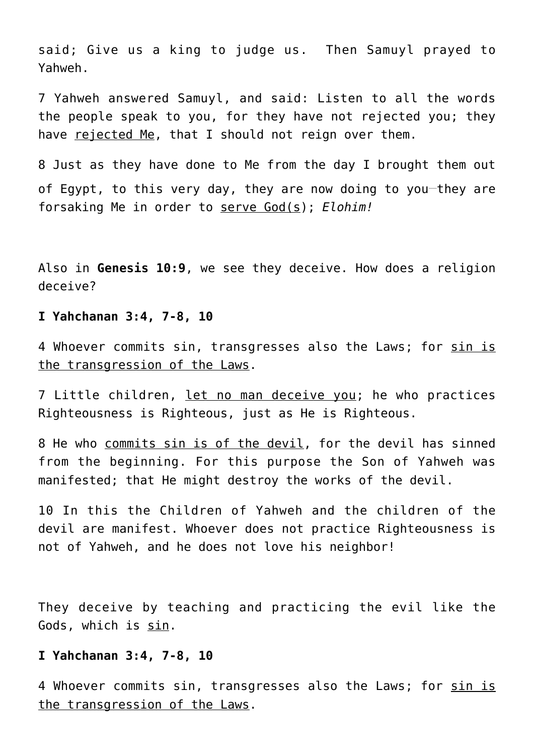said; Give us a king to judge us. Then Samuyl prayed to Yahweh.

7 Yahweh answered Samuyl, and said: Listen to all the words the people speak to you, for they have not rejected you; they have rejected Me, that I should not reign over them.

8 Just as they have done to Me from the day I brought them out of Egypt, to this very day, they are now doing to you-they are forsaking Me in order to serve God(s); *Elohim!*

Also in **Genesis 10:9**, we see they deceive. How does a religion deceive?

#### **I Yahchanan 3:4, 7-8, 10**

4 Whoever commits sin, transgresses also the Laws; for sin is the transgression of the Laws.

7 Little children, let no man deceive you; he who practices Righteousness is Righteous, just as He is Righteous.

8 He who commits sin is of the devil, for the devil has sinned from the beginning. For this purpose the Son of Yahweh was manifested; that He might destroy the works of the devil.

10 In this the Children of Yahweh and the children of the devil are manifest. Whoever does not practice Righteousness is not of Yahweh, and he does not love his neighbor!

They deceive by teaching and practicing the evil like the Gods, which is sin.

#### **I Yahchanan 3:4, 7-8, 10**

4 Whoever commits sin, transgresses also the Laws; for sin is the transgression of the Laws.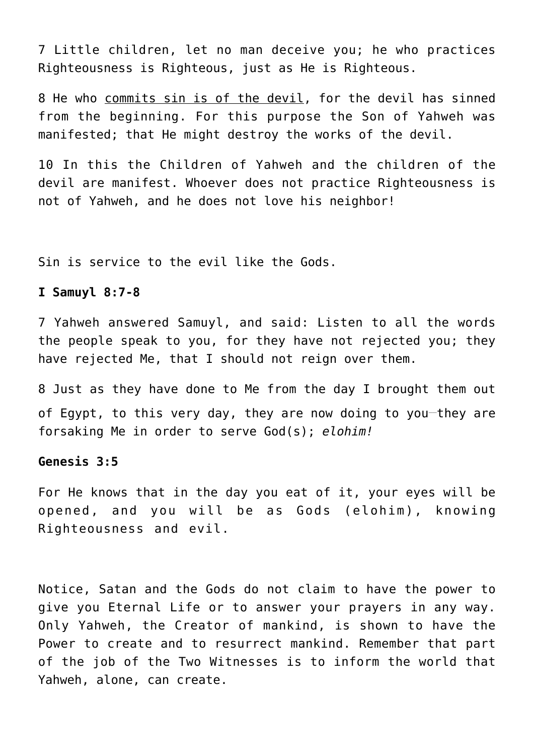7 Little children, let no man deceive you; he who practices Righteousness is Righteous, just as He is Righteous.

8 He who commits sin is of the devil, for the devil has sinned from the beginning. For this purpose the Son of Yahweh was manifested; that He might destroy the works of the devil.

10 In this the Children of Yahweh and the children of the devil are manifest. Whoever does not practice Righteousness is not of Yahweh, and he does not love his neighbor!

Sin is service to the evil like the Gods.

## **I Samuyl 8:7-8**

7 Yahweh answered Samuyl, and said: Listen to all the words the people speak to you, for they have not rejected you; they have rejected Me, that I should not reign over them.

8 Just as they have done to Me from the day I brought them out of Egypt, to this very day, they are now doing to you-they are forsaking Me in order to serve God(s); *elohim!*

## **Genesis 3:5**

For He knows that in the day you eat of it, your eyes will be opened, and you will be as Gods (elohim), knowing Righteousness and evil.

Notice, Satan and the Gods do not claim to have the power to give you Eternal Life or to answer your prayers in any way. Only Yahweh, the Creator of mankind, is shown to have the Power to create and to resurrect mankind. Remember that part of the job of the Two Witnesses is to inform the world that Yahweh, alone, can create.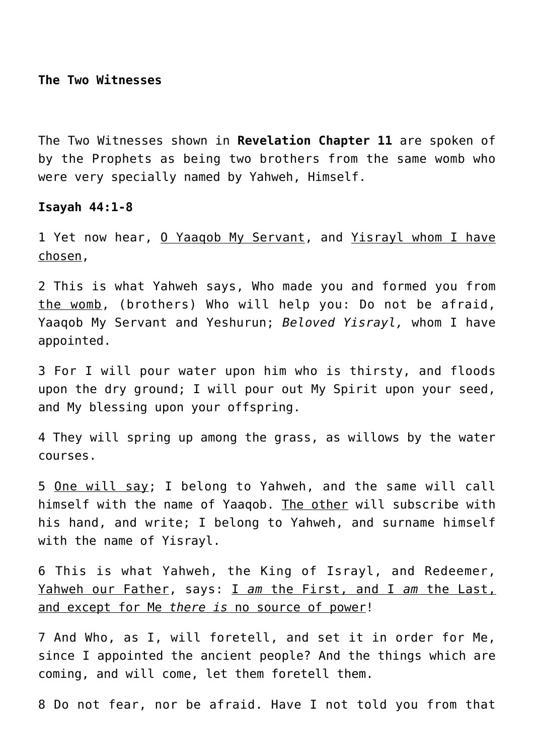**The Two Witnesses**

The Two Witnesses shown in **Revelation Chapter 11** are spoken of by the Prophets as being two brothers from the same womb who were very specially named by Yahweh, Himself.

**Isayah 44:1-8**

1 Yet now hear, 0 Yaagob My Servant, and Yisrayl whom I have chosen,

2 This is what Yahweh says, Who made you and formed you from the womb, (brothers) Who will help you: Do not be afraid, Yaaqob My Servant and Yeshurun; *Beloved Yisrayl,* whom I have appointed.

3 For I will pour water upon him who is thirsty, and floods upon the dry ground; I will pour out My Spirit upon your seed, and My blessing upon your offspring.

4 They will spring up among the grass, as willows by the water courses.

5 One will say; I belong to Yahweh, and the same will call himself with the name of Yaaqob. The other will subscribe with his hand, and write; I belong to Yahweh, and surname himself with the name of Yisrayl.

6 This is what Yahweh, the King of Israyl, and Redeemer, Yahweh our Father, says: I *am* the First, and I *am* the Last, and except for Me *there is* no source of power!

7 And Who, as I, will foretell, and set it in order for Me, since I appointed the ancient people? And the things which are coming, and will come, let them foretell them.

8 Do not fear, nor be afraid. Have I not told you from that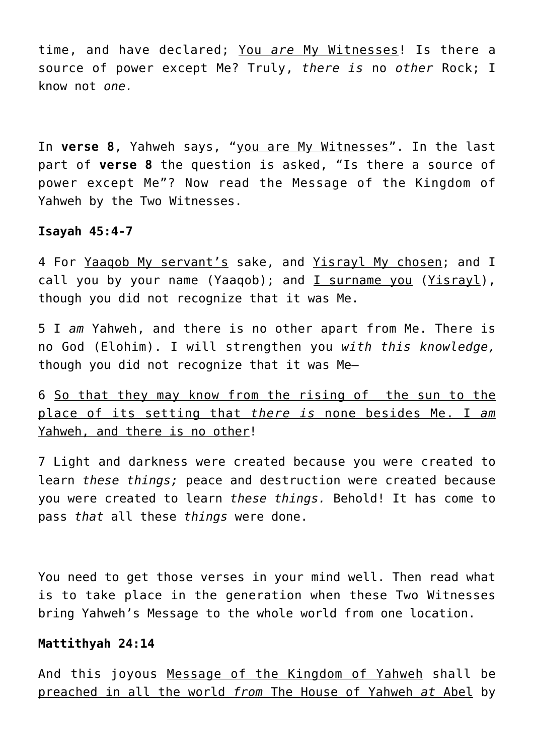time, and have declared; You *are* My Witnesses! Is there a source of power except Me? Truly, *there is* no *other* Rock; I know not *one.*

In **verse 8**, Yahweh says, "you are My Witnesses". In the last part of **verse 8** the question is asked, "Is there a source of power except Me"? Now read the Message of the Kingdom of Yahweh by the Two Witnesses.

### **Isayah 45:4-7**

4 For Yaaqob My servant's sake, and Yisrayl My chosen; and I call you by your name (Yaaqob); and I surname you (Yisrayl), though you did not recognize that it was Me.

5 I *am* Yahweh, and there is no other apart from Me. There is no God (Elohim). I will strengthen you *with this knowledge,* though you did not recognize that it was Me—

6 So that they may know from the rising of the sun to the place of its setting that *there is* none besides Me. I *am* Yahweh, and there is no other!

7 Light and darkness were created because you were created to learn *these things;* peace and destruction were created because you were created to learn *these things.* Behold! It has come to pass *that* all these *things* were done.

You need to get those verses in your mind well. Then read what is to take place in the generation when these Two Witnesses bring Yahweh's Message to the whole world from one location.

## **Mattithyah 24:14**

And this joyous Message of the Kingdom of Yahweh shall be preached in all the world *from* The House of Yahweh *at* Abel by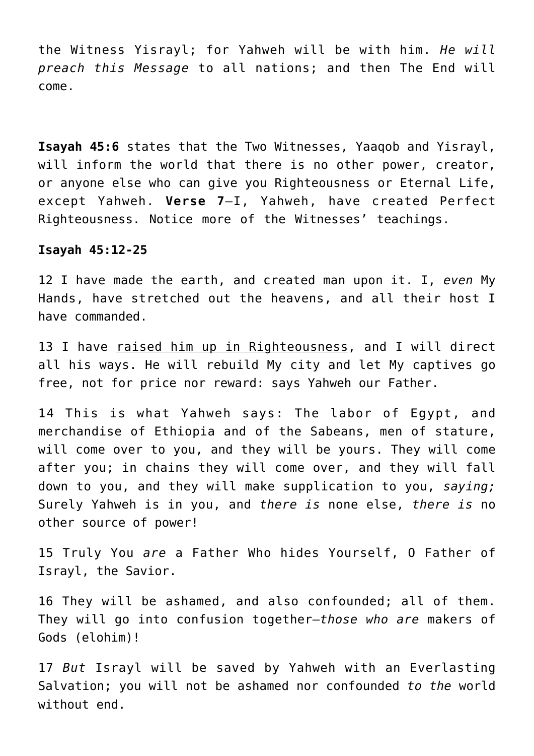the Witness Yisrayl; for Yahweh will be with him. *He will preach this Message* to all nations; and then The End will come.

**Isayah 45:6** states that the Two Witnesses, Yaaqob and Yisrayl, will inform the world that there is no other power, creator, or anyone else who can give you Righteousness or Eternal Life, except Yahweh. **Verse 7**—I, Yahweh, have created Perfect Righteousness. Notice more of the Witnesses' teachings.

#### **Isayah 45:12-25**

12 I have made the earth, and created man upon it. I, *even* My Hands, have stretched out the heavens, and all their host I have commanded.

13 I have raised him up in Righteousness, and I will direct all his ways. He will rebuild My city and let My captives go free, not for price nor reward: says Yahweh our Father.

14 This is what Yahweh says: The labor of Egypt, and merchandise of Ethiopia and of the Sabeans, men of stature, will come over to you, and they will be yours. They will come after you; in chains they will come over, and they will fall down to you, and they will make supplication to you, *saying;* Surely Yahweh is in you, and *there is* none else, *there is* no other source of power!

15 Truly You *are* a Father Who hides Yourself, O Father of Israyl, the Savior.

16 They will be ashamed, and also confounded; all of them. They will go into confusion together—*those who are* makers of Gods (elohim)!

17 *But* Israyl will be saved by Yahweh with an Everlasting Salvation; you will not be ashamed nor confounded *to the* world without end.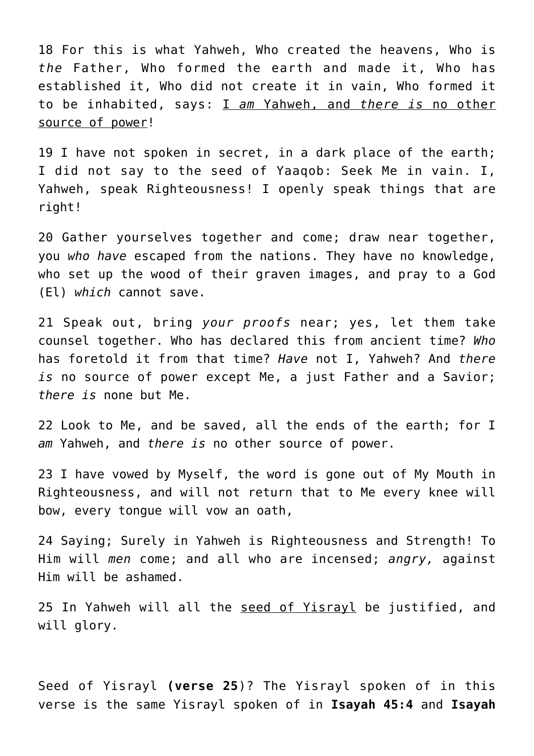18 For this is what Yahweh, Who created the heavens, Who is *the* Father, Who formed the earth and made it, Who has established it, Who did not create it in vain, Who formed it to be inhabited, says: I *am* Yahweh, and *there is* no other source of power!

19 I have not spoken in secret, in a dark place of the earth; I did not say to the seed of Yaaqob: Seek Me in vain. I, Yahweh, speak Righteousness! I openly speak things that are right!

20 Gather yourselves together and come; draw near together, you *who have* escaped from the nations. They have no knowledge, who set up the wood of their graven images, and pray to a God (El) *which* cannot save.

21 Speak out, bring *your proofs* near; yes, let them take counsel together. Who has declared this from ancient time? *Who* has foretold it from that time? *Have* not I, Yahweh? And *there is* no source of power except Me, a just Father and a Savior; *there is* none but Me.

22 Look to Me, and be saved, all the ends of the earth; for I *am* Yahweh, and *there is* no other source of power.

23 I have vowed by Myself, the word is gone out of My Mouth in Righteousness, and will not return that to Me every knee will bow, every tongue will vow an oath,

24 Saying; Surely in Yahweh is Righteousness and Strength! To Him will *men* come; and all who are incensed; *angry,* against Him will be ashamed.

25 In Yahweh will all the seed of Yisrayl be justified, and will glory.

Seed of Yisrayl **(verse 25**)? The Yisrayl spoken of in this verse is the same Yisrayl spoken of in **Isayah 45:4** and **Isayah**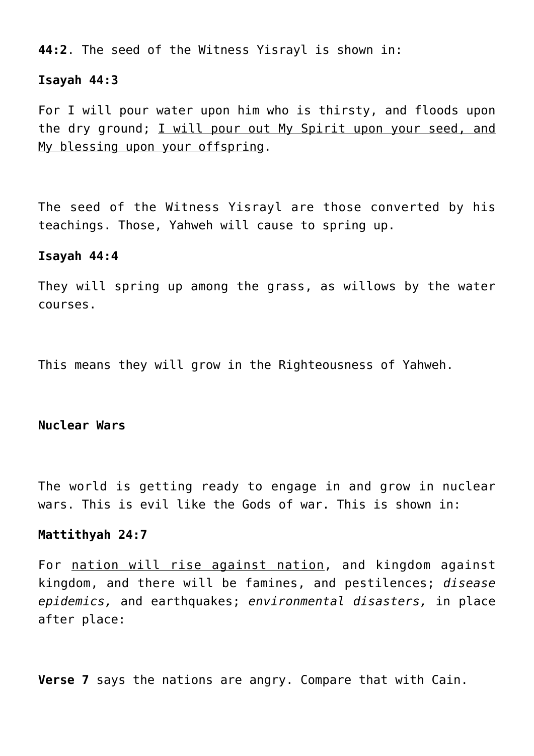**44:2**. The seed of the Witness Yisrayl is shown in:

#### **Isayah 44:3**

For I will pour water upon him who is thirsty, and floods upon the dry ground; I will pour out My Spirit upon your seed, and My blessing upon your offspring.

The seed of the Witness Yisrayl are those converted by his teachings. Those, Yahweh will cause to spring up.

### **Isayah 44:4**

They will spring up among the grass, as willows by the water courses.

This means they will grow in the Righteousness of Yahweh.

#### **Nuclear Wars**

The world is getting ready to engage in and grow in nuclear wars. This is evil like the Gods of war. This is shown in:

#### **Mattithyah 24:7**

For nation will rise against nation, and kingdom against kingdom, and there will be famines, and pestilences; *disease epidemics,* and earthquakes; *environmental disasters,* in place after place:

**Verse 7** says the nations are angry. Compare that with Cain.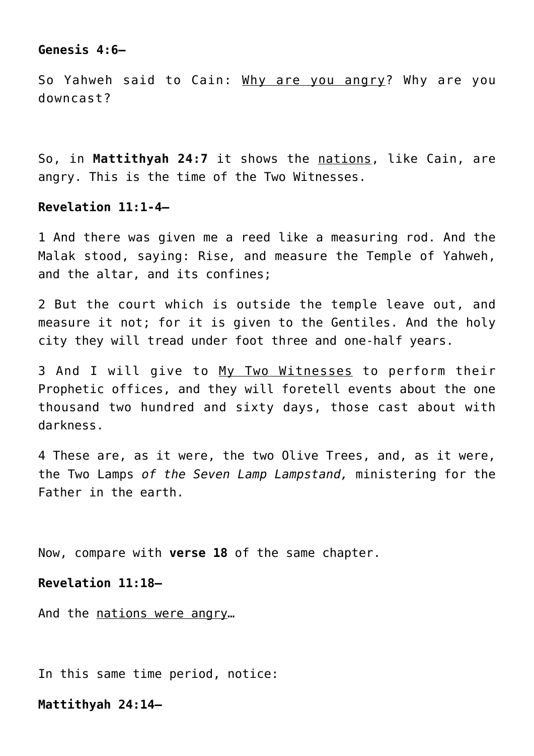## **Genesis 4:6—**

So Yahweh said to Cain: Why are you angry? Why are you downcast?

So, in **Mattithyah 24:7** it shows the nations, like Cain, are angry. This is the time of the Two Witnesses.

## **Revelation 11:1-4—**

1 And there was given me a reed like a measuring rod. And the Malak stood, saying: Rise, and measure the Temple of Yahweh, and the altar, and its confines;

2 But the court which is outside the temple leave out, and measure it not; for it is given to the Gentiles. And the holy city they will tread under foot three and one-half years.

3 And I will give to My Two Witnesses to perform their Prophetic offices, and they will foretell events about the one thousand two hundred and sixty days, those cast about with darkness.

4 These are, as it were, the two Olive Trees, and, as it were, the Two Lamps *of the Seven Lamp Lampstand,* ministering for the Father in the earth.

Now, compare with **verse 18** of the same chapter.

#### **Revelation 11:18—**

And the nations were angry…

In this same time period, notice:

**Mattithyah 24:14—**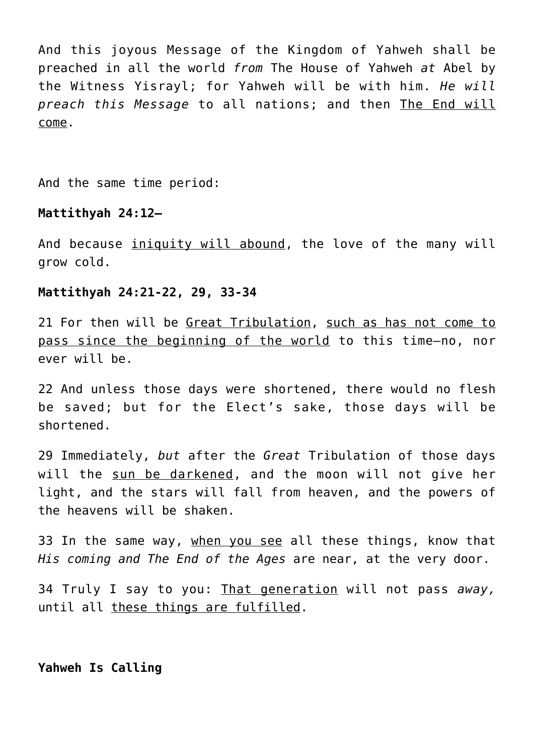And this joyous Message of the Kingdom of Yahweh shall be preached in all the world *from* The House of Yahweh *at* Abel by the Witness Yisrayl; for Yahweh will be with him. *He will preach this Message* to all nations; and then The End will come.

And the same time period:

## **Mattithyah 24:12—**

And because iniquity will abound, the love of the many will grow cold.

## **Mattithyah 24:21-22, 29, 33-34**

21 For then will be Great Tribulation, such as has not come to pass since the beginning of the world to this time—no, nor ever will be.

22 And unless those days were shortened, there would no flesh be saved; but for the Elect's sake, those days will be shortened.

29 Immediately, *but* after the *Great* Tribulation of those days will the sun be darkened, and the moon will not give her light, and the stars will fall from heaven, and the powers of the heavens will be shaken.

33 In the same way, when you see all these things, know that *His coming and The End of the Ages* are near, at the very door.

34 Truly I say to you: That generation will not pass *away,* until all these things are fulfilled.

### **Yahweh Is Calling**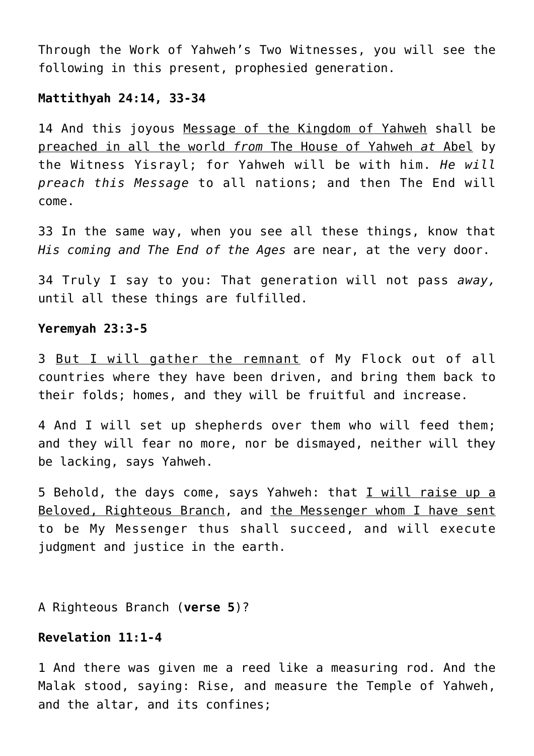Through the Work of Yahweh's Two Witnesses, you will see the following in this present, prophesied generation.

## **Mattithyah 24:14, 33-34**

14 And this joyous Message of the Kingdom of Yahweh shall be preached in all the world *from* The House of Yahweh *at* Abel by the Witness Yisrayl; for Yahweh will be with him. *He will preach this Message* to all nations; and then The End will come.

33 In the same way, when you see all these things, know that *His coming and The End of the Ages* are near, at the very door.

34 Truly I say to you: That generation will not pass *away,* until all these things are fulfilled.

#### **Yeremyah 23:3-5**

3 But I will gather the remnant of My Flock out of all countries where they have been driven, and bring them back to their folds; homes, and they will be fruitful and increase.

4 And I will set up shepherds over them who will feed them; and they will fear no more, nor be dismayed, neither will they be lacking, says Yahweh.

5 Behold, the days come, says Yahweh: that I will raise up a Beloved, Righteous Branch, and the Messenger whom I have sent to be My Messenger thus shall succeed, and will execute judgment and justice in the earth.

A Righteous Branch (**verse 5**)?

## **Revelation 11:1-4**

1 And there was given me a reed like a measuring rod. And the Malak stood, saying: Rise, and measure the Temple of Yahweh, and the altar, and its confines;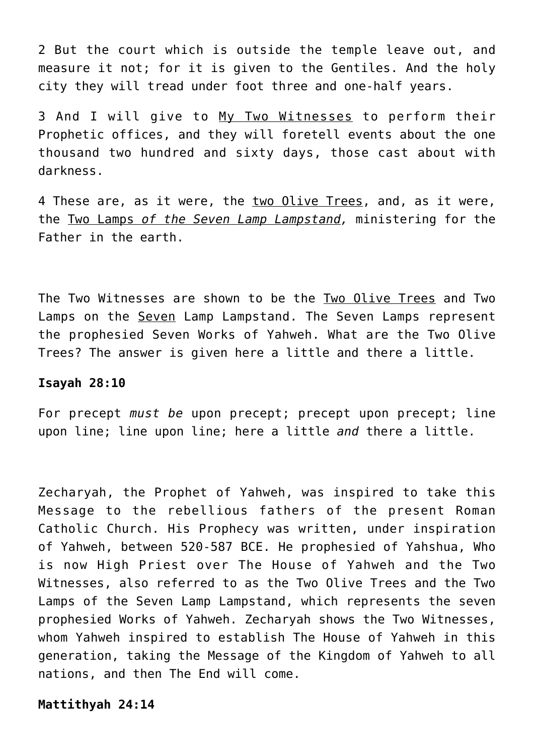2 But the court which is outside the temple leave out, and measure it not; for it is given to the Gentiles. And the holy city they will tread under foot three and one-half years.

3 And I will give to My Two Witnesses to perform their Prophetic offices, and they will foretell events about the one thousand two hundred and sixty days, those cast about with darkness.

4 These are, as it were, the two Olive Trees, and, as it were, the Two Lamps *of the Seven Lamp Lampstand,* ministering for the Father in the earth.

The Two Witnesses are shown to be the Two Olive Trees and Two Lamps on the Seven Lamp Lampstand. The Seven Lamps represent the prophesied Seven Works of Yahweh. What are the Two Olive Trees? The answer is given here a little and there a little.

#### **Isayah 28:10**

For precept *must be* upon precept; precept upon precept; line upon line; line upon line; here a little *and* there a little.

Zecharyah, the Prophet of Yahweh, was inspired to take this Message to the rebellious fathers of the present Roman Catholic Church. His Prophecy was written, under inspiration of Yahweh, between 520-587 BCE. He prophesied of Yahshua, Who is now High Priest over The House of Yahweh and the Two Witnesses, also referred to as the Two Olive Trees and the Two Lamps of the Seven Lamp Lampstand, which represents the seven prophesied Works of Yahweh. Zecharyah shows the Two Witnesses, whom Yahweh inspired to establish The House of Yahweh in this generation, taking the Message of the Kingdom of Yahweh to all nations, and then The End will come.

**Mattithyah 24:14**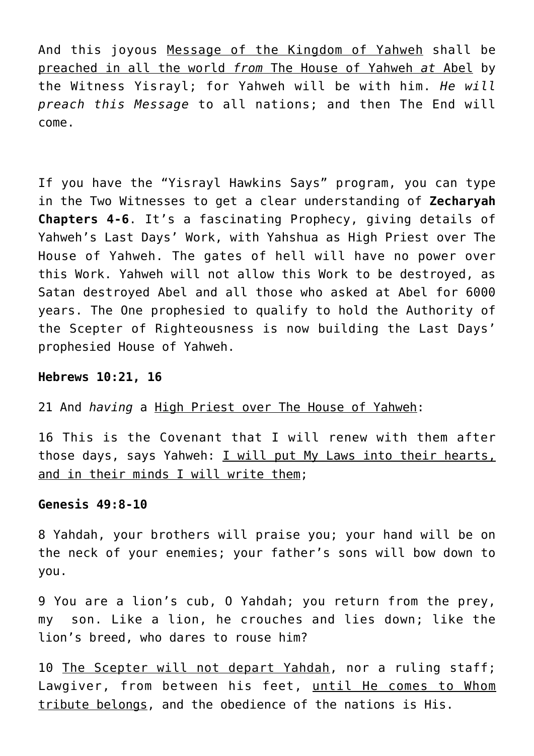And this joyous Message of the Kingdom of Yahweh shall be preached in all the world *from* The House of Yahweh *at* Abel by the Witness Yisrayl; for Yahweh will be with him. *He will preach this Message* to all nations; and then The End will come.

If you have the "Yisrayl Hawkins Says" program, you can type in the Two Witnesses to get a clear understanding of **Zecharyah Chapters 4-6**. It's a fascinating Prophecy, giving details of Yahweh's Last Days' Work, with Yahshua as High Priest over The House of Yahweh. The gates of hell will have no power over this Work. Yahweh will not allow this Work to be destroyed, as Satan destroyed Abel and all those who asked at Abel for 6000 years. The One prophesied to qualify to hold the Authority of the Scepter of Righteousness is now building the Last Days' prophesied House of Yahweh.

## **Hebrews 10:21, 16**

21 And *having* a High Priest over The House of Yahweh:

16 This is the Covenant that I will renew with them after those days, says Yahweh: I will put My Laws into their hearts, and in their minds I will write them;

## **Genesis 49:8-10**

8 Yahdah, your brothers will praise you; your hand will be on the neck of your enemies; your father's sons will bow down to you.

9 You are a lion's cub, O Yahdah; you return from the prey, my son. Like a lion, he crouches and lies down; like the lion's breed, who dares to rouse him?

10 The Scepter will not depart Yahdah, nor a ruling staff; Lawgiver, from between his feet, until He comes to Whom tribute belongs, and the obedience of the nations is His.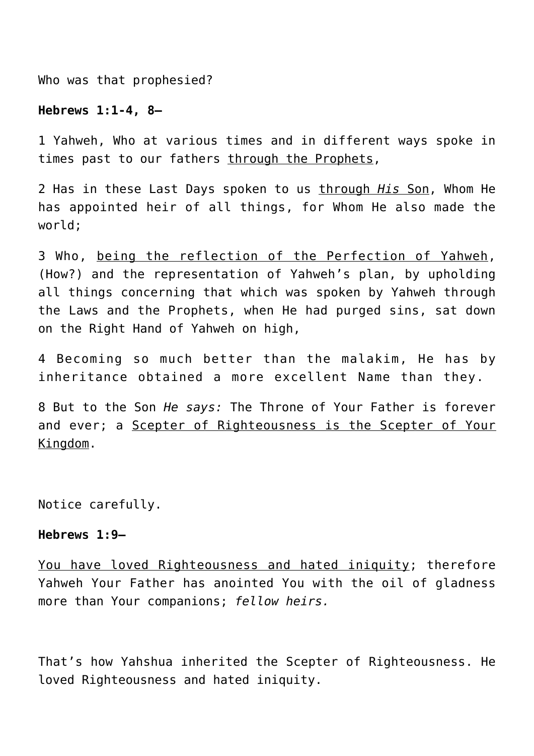Who was that prophesied?

## **Hebrews 1:1-4, 8—**

1 Yahweh, Who at various times and in different ways spoke in times past to our fathers through the Prophets,

2 Has in these Last Days spoken to us through *His* Son, Whom He has appointed heir of all things, for Whom He also made the world;

3 Who, being the reflection of the Perfection of Yahweh, (How?) and the representation of Yahweh's plan, by upholding all things concerning that which was spoken by Yahweh through the Laws and the Prophets, when He had purged sins, sat down on the Right Hand of Yahweh on high,

4 Becoming so much better than the malakim, He has by inheritance obtained a more excellent Name than they.

8 But to the Son *He says:* The Throne of Your Father is forever and ever; a Scepter of Righteousness is the Scepter of Your Kingdom.

Notice carefully.

#### **Hebrews 1:9—**

You have loved Righteousness and hated iniquity; therefore Yahweh Your Father has anointed You with the oil of gladness more than Your companions; *fellow heirs.*

That's how Yahshua inherited the Scepter of Righteousness. He loved Righteousness and hated iniquity.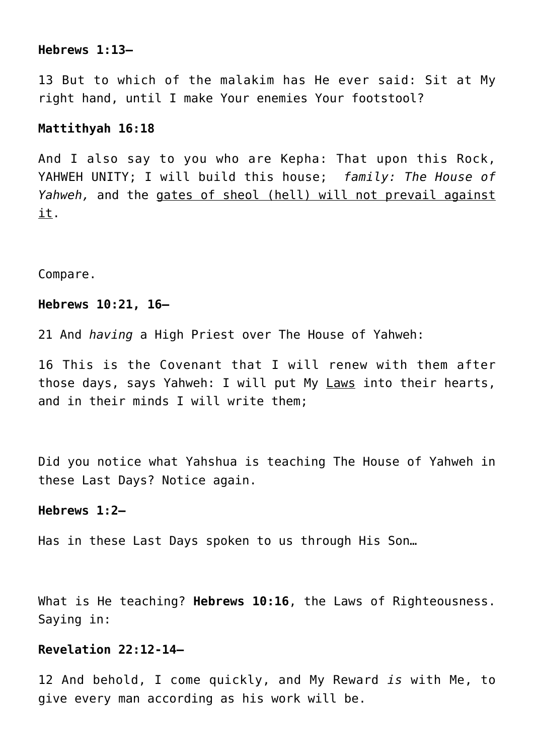## **Hebrews 1:13—**

13 But to which of the malakim has He ever said: Sit at My right hand, until I make Your enemies Your footstool?

## **Mattithyah 16:18**

And I also say to you who are Kepha: That upon this Rock, YAHWEH UNITY; I will build this house; *family: The House of Yahweh,* and the gates of sheol (hell) will not prevail against it.

Compare.

#### **Hebrews 10:21, 16—**

21 And *having* a High Priest over The House of Yahweh:

16 This is the Covenant that I will renew with them after those days, says Yahweh: I will put My Laws into their hearts, and in their minds I will write them;

Did you notice what Yahshua is teaching The House of Yahweh in these Last Days? Notice again.

### **Hebrews 1:2—**

Has in these Last Days spoken to us through His Son…

What is He teaching? **Hebrews 10:16**, the Laws of Righteousness. Saying in:

# **Revelation 22:12-14—**

12 And behold, I come quickly, and My Reward *is* with Me, to give every man according as his work will be.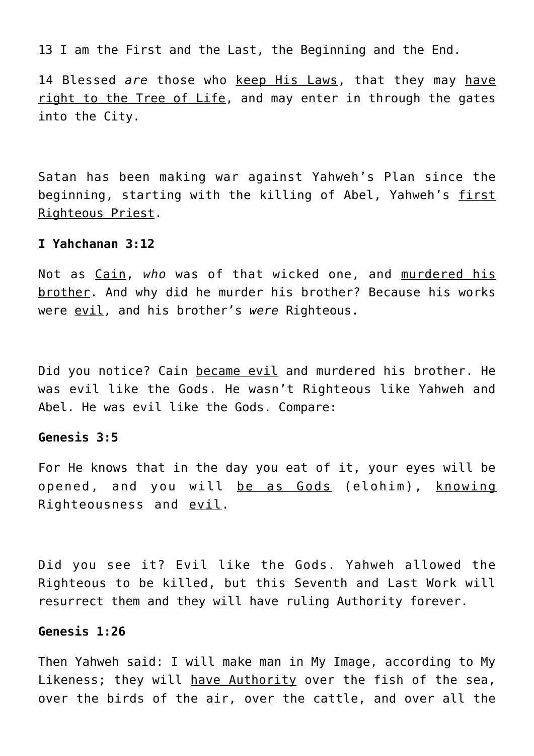13 I am the First and the Last, the Beginning and the End.

14 Blessed *are* those who keep His Laws, that they may have right to the Tree of Life, and may enter in through the gates into the City.

Satan has been making war against Yahweh's Plan since the beginning, starting with the killing of Abel, Yahweh's first Righteous Priest.

### **I Yahchanan 3:12**

Not as Cain, *who* was of that wicked one, and murdered his brother. And why did he murder his brother? Because his works were evil, and his brother's *were* Righteous.

Did you notice? Cain became evil and murdered his brother. He was evil like the Gods. He wasn't Righteous like Yahweh and Abel. He was evil like the Gods. Compare:

## **Genesis 3:5**

For He knows that in the day you eat of it, your eyes will be opened, and you will be as Gods (elohim), knowing Righteousness and evil.

Did you see it? Evil like the Gods. Yahweh allowed the Righteous to be killed, but this Seventh and Last Work will resurrect them and they will have ruling Authority forever.

### **Genesis 1:26**

Then Yahweh said: I will make man in My Image, according to My Likeness; they will have Authority over the fish of the sea, over the birds of the air, over the cattle, and over all the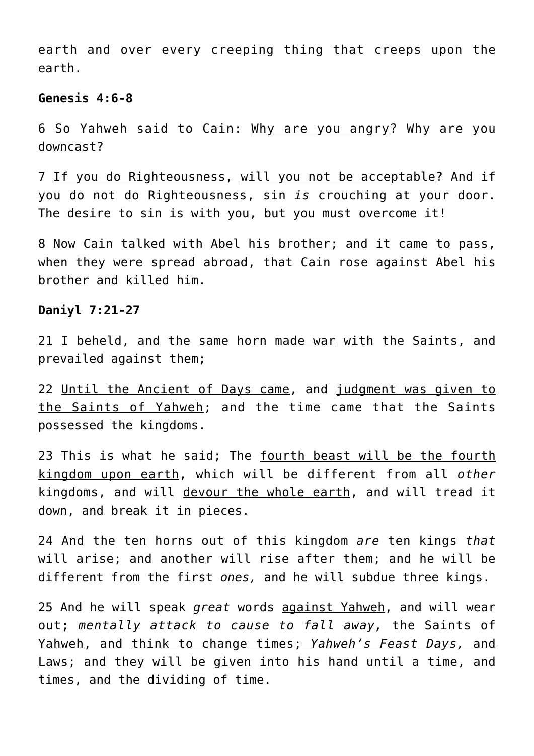earth and over every creeping thing that creeps upon the earth.

### **Genesis 4:6-8**

6 So Yahweh said to Cain: Why are you angry? Why are you downcast?

7 If you do Righteousness, will you not be acceptable? And if you do not do Righteousness, sin *is* crouching at your door. The desire to sin is with you, but you must overcome it!

8 Now Cain talked with Abel his brother; and it came to pass, when they were spread abroad, that Cain rose against Abel his brother and killed him.

### **Daniyl 7:21-27**

21 I beheld, and the same horn made war with the Saints, and prevailed against them;

22 Until the Ancient of Days came, and judgment was given to the Saints of Yahweh; and the time came that the Saints possessed the kingdoms.

23 This is what he said; The fourth beast will be the fourth kingdom upon earth, which will be different from all *other* kingdoms, and will devour the whole earth, and will tread it down, and break it in pieces.

24 And the ten horns out of this kingdom *are* ten kings *that* will arise; and another will rise after them; and he will be different from the first *ones,* and he will subdue three kings.

25 And he will speak *great* words against Yahweh, and will wear out; *mentally attack to cause to fall away,* the Saints of Yahweh, and think to change times; *Yahweh's Feast Days,* and Laws; and they will be given into his hand until a time, and times, and the dividing of time.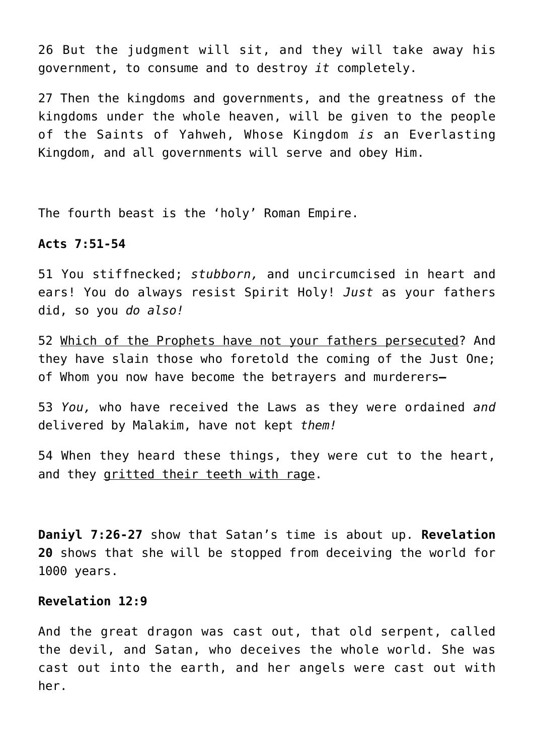26 But the judgment will sit, and they will take away his government, to consume and to destroy *it* completely.

27 Then the kingdoms and governments, and the greatness of the kingdoms under the whole heaven, will be given to the people of the Saints of Yahweh, Whose Kingdom *is* an Everlasting Kingdom, and all governments will serve and obey Him.

The fourth beast is the 'holy' Roman Empire.

### **Acts 7:51-54**

51 You stiffnecked; *stubborn,* and uncircumcised in heart and ears! You do always resist Spirit Holy! *Just* as your fathers did, so you *do also!*

52 Which of the Prophets have not your fathers persecuted? And they have slain those who foretold the coming of the Just One; of Whom you now have become the betrayers and murderers**—**

53 *You,* who have received the Laws as they were ordained *and* delivered by Malakim, have not kept *them!*

54 When they heard these things, they were cut to the heart, and they gritted their teeth with rage.

**Daniyl 7:26-27** show that Satan's time is about up. **Revelation 20** shows that she will be stopped from deceiving the world for 1000 years.

# **Revelation 12:9**

And the great dragon was cast out, that old serpent, called the devil, and Satan, who deceives the whole world. She was cast out into the earth, and her angels were cast out with her.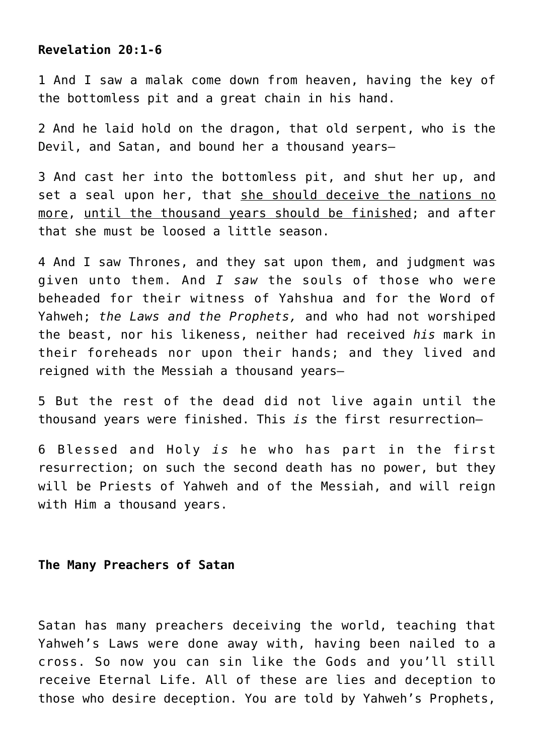# **Revelation 20:1-6**

1 And I saw a malak come down from heaven, having the key of the bottomless pit and a great chain in his hand.

2 And he laid hold on the dragon, that old serpent, who is the Devil, and Satan, and bound her a thousand years—

3 And cast her into the bottomless pit, and shut her up, and set a seal upon her, that she should deceive the nations no more, until the thousand years should be finished; and after that she must be loosed a little season.

4 And I saw Thrones, and they sat upon them, and judgment was given unto them. And *I saw* the souls of those who were beheaded for their witness of Yahshua and for the Word of Yahweh; *the Laws and the Prophets,* and who had not worshiped the beast, nor his likeness, neither had received *his* mark in their foreheads nor upon their hands; and they lived and reigned with the Messiah a thousand years—

5 But the rest of the dead did not live again until the thousand years were finished. This *is* the first resurrection—

6 Blessed and Holy *is* he who has part in the first resurrection; on such the second death has no power, but they will be Priests of Yahweh and of the Messiah, and will reign with Him a thousand years.

# **The Many Preachers of Satan**

Satan has many preachers deceiving the world, teaching that Yahweh's Laws were done away with, having been nailed to a cross. So now you can sin like the Gods and you'll still receive Eternal Life. All of these are lies and deception to those who desire deception. You are told by Yahweh's Prophets,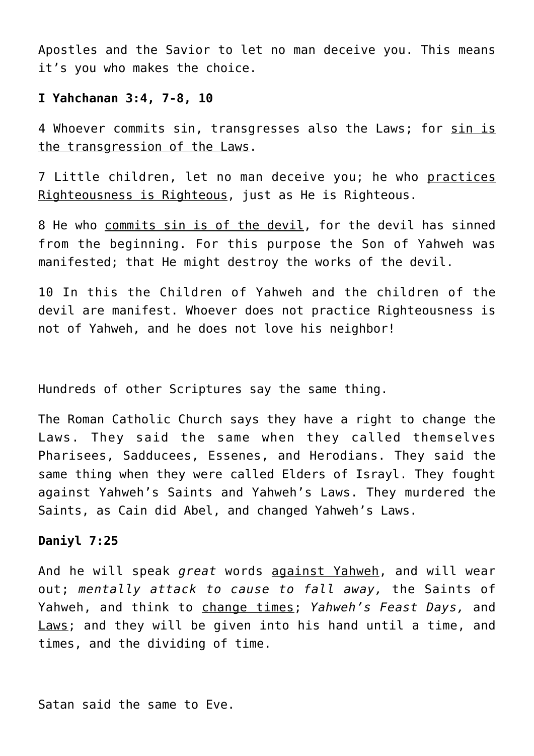Apostles and the Savior to let no man deceive you. This means it's you who makes the choice.

# **I Yahchanan 3:4, 7-8, 10**

4 Whoever commits sin, transgresses also the Laws; for sin is the transgression of the Laws.

7 Little children, let no man deceive you; he who practices Righteousness is Righteous, just as He is Righteous.

8 He who commits sin is of the devil, for the devil has sinned from the beginning. For this purpose the Son of Yahweh was manifested; that He might destroy the works of the devil.

10 In this the Children of Yahweh and the children of the devil are manifest. Whoever does not practice Righteousness is not of Yahweh, and he does not love his neighbor!

Hundreds of other Scriptures say the same thing.

The Roman Catholic Church says they have a right to change the Laws. They said the same when they called themselves Pharisees, Sadducees, Essenes, and Herodians. They said the same thing when they were called Elders of Israyl. They fought against Yahweh's Saints and Yahweh's Laws. They murdered the Saints, as Cain did Abel, and changed Yahweh's Laws.

# **Daniyl 7:25**

And he will speak *great* words against Yahweh, and will wear out; *mentally attack to cause to fall away,* the Saints of Yahweh, and think to change times; *Yahweh's Feast Days,* and Laws; and they will be given into his hand until a time, and times, and the dividing of time.

Satan said the same to Eve.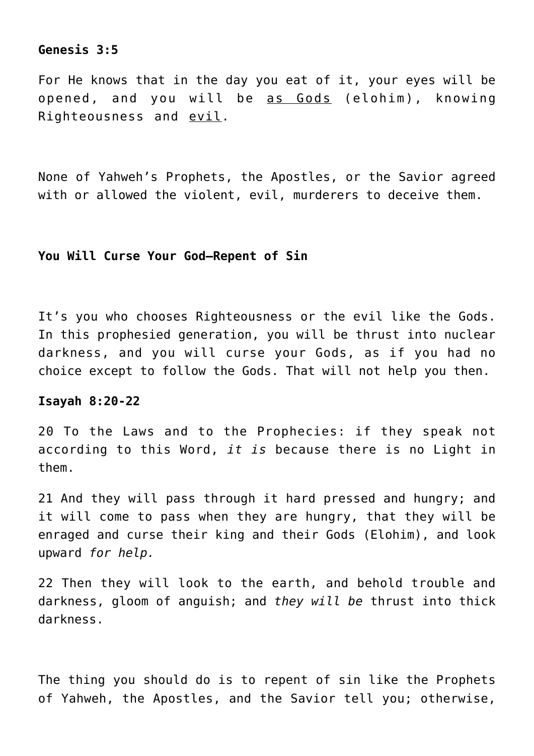# **Genesis 3:5**

For He knows that in the day you eat of it, your eyes will be opened, and you will be as Gods (elohim), knowing Righteousness and evil.

None of Yahweh's Prophets, the Apostles, or the Savior agreed with or allowed the violent, evil, murderers to deceive them.

#### **You Will Curse Your God–Repent of Sin**

It's you who chooses Righteousness or the evil like the Gods. In this prophesied generation, you will be thrust into nuclear darkness, and you will curse your Gods, as if you had no choice except to follow the Gods. That will not help you then.

#### **Isayah 8:20-22**

20 To the Laws and to the Prophecies: if they speak not according to this Word, *it is* because there is no Light in them.

21 And they will pass through it hard pressed and hungry; and it will come to pass when they are hungry, that they will be enraged and curse their king and their Gods (Elohim), and look upward *for help.*

22 Then they will look to the earth, and behold trouble and darkness, gloom of anguish; and *they will be* thrust into thick darkness.

The thing you should do is to repent of sin like the Prophets of Yahweh, the Apostles, and the Savior tell you; otherwise,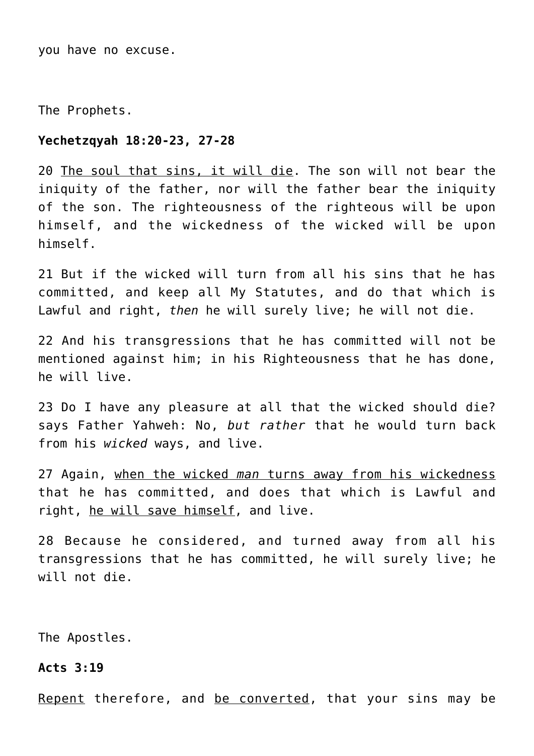you have no excuse.

The Prophets.

### **Yechetzqyah 18:20-23, 27-28**

20 The soul that sins, it will die. The son will not bear the iniquity of the father, nor will the father bear the iniquity of the son. The righteousness of the righteous will be upon himself, and the wickedness of the wicked will be upon himself.

21 But if the wicked will turn from all his sins that he has committed, and keep all My Statutes, and do that which is Lawful and right, *then* he will surely live; he will not die.

22 And his transgressions that he has committed will not be mentioned against him; in his Righteousness that he has done, he will live.

23 Do I have any pleasure at all that the wicked should die? says Father Yahweh: No, *but rather* that he would turn back from his *wicked* ways, and live.

27 Again, when the wicked *man* turns away from his wickedness that he has committed, and does that which is Lawful and right, he will save himself, and live.

28 Because he considered, and turned away from all his transgressions that he has committed, he will surely live; he will not die.

The Apostles.

**Acts 3:19**

Repent therefore, and be converted, that your sins may be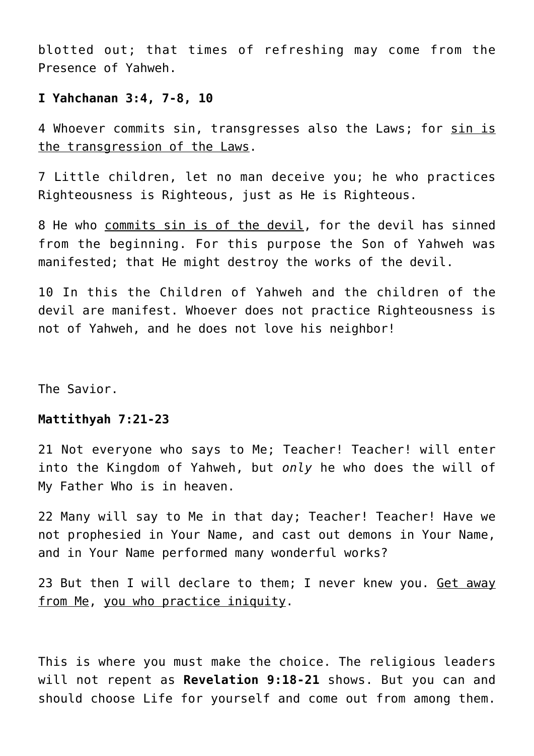blotted out; that times of refreshing may come from the Presence of Yahweh.

# **I Yahchanan 3:4, 7-8, 10**

4 Whoever commits sin, transgresses also the Laws; for sin is the transgression of the Laws.

7 Little children, let no man deceive you; he who practices Righteousness is Righteous, just as He is Righteous.

8 He who commits sin is of the devil, for the devil has sinned from the beginning. For this purpose the Son of Yahweh was manifested; that He might destroy the works of the devil.

10 In this the Children of Yahweh and the children of the devil are manifest. Whoever does not practice Righteousness is not of Yahweh, and he does not love his neighbor!

The Savior.

#### **Mattithyah 7:21-23**

21 Not everyone who says to Me; Teacher! Teacher! will enter into the Kingdom of Yahweh, but *only* he who does the will of My Father Who is in heaven.

22 Many will say to Me in that day; Teacher! Teacher! Have we not prophesied in Your Name, and cast out demons in Your Name, and in Your Name performed many wonderful works?

23 But then I will declare to them; I never knew you. Get away from Me, you who practice iniquity.

This is where you must make the choice. The religious leaders will not repent as **Revelation 9:18-21** shows. But you can and should choose Life for yourself and come out from among them.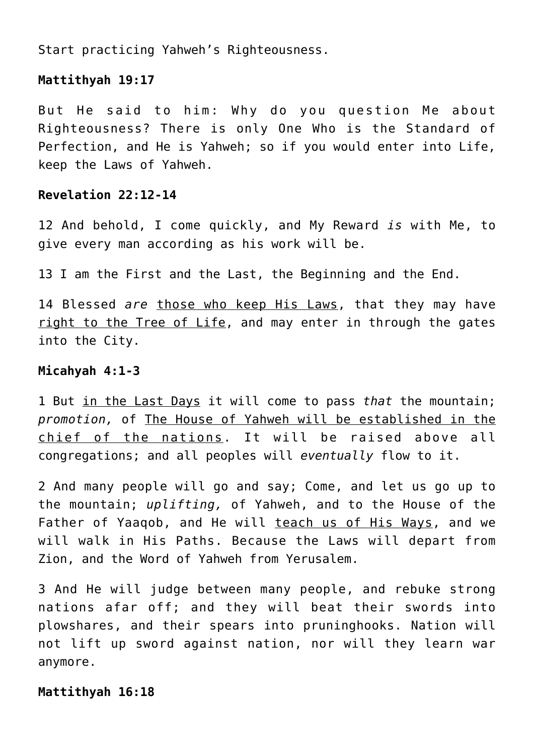Start practicing Yahweh's Righteousness.

# **Mattithyah 19:17**

But He said to him: Why do you question Me about Righteousness? There is only One Who is the Standard of Perfection, and He is Yahweh; so if you would enter into Life, keep the Laws of Yahweh.

# **Revelation 22:12-14**

12 And behold, I come quickly, and My Reward *is* with Me, to give every man according as his work will be.

13 I am the First and the Last, the Beginning and the End.

14 Blessed *are* those who keep His Laws, that they may have right to the Tree of Life, and may enter in through the gates into the City.

# **Micahyah 4:1-3**

1 But in the Last Days it will come to pass *that* the mountain; *promotion,* of The House of Yahweh will be established in the chief of the nations. It will be raised above all congregations; and all peoples will *eventually* flow to it.

2 And many people will go and say; Come, and let us go up to the mountain; *uplifting,* of Yahweh, and to the House of the Father of Yaaqob, and He will teach us of His Ways, and we will walk in His Paths. Because the Laws will depart from Zion, and the Word of Yahweh from Yerusalem.

3 And He will judge between many people, and rebuke strong nations afar off; and they will beat their swords into plowshares, and their spears into pruninghooks. Nation will not lift up sword against nation, nor will they learn war anymore.

# **Mattithyah 16:18**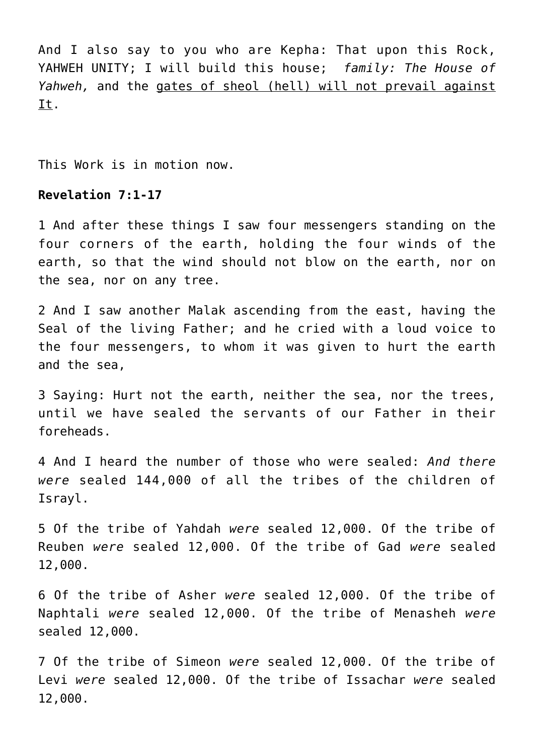And I also say to you who are Kepha: That upon this Rock, YAHWEH UNITY; I will build this house; *family: The House of Yahweh,* and the gates of sheol (hell) will not prevail against It.

This Work is in motion now.

# **Revelation 7:1-17**

1 And after these things I saw four messengers standing on the four corners of the earth, holding the four winds of the earth, so that the wind should not blow on the earth, nor on the sea, nor on any tree.

2 And I saw another Malak ascending from the east, having the Seal of the living Father; and he cried with a loud voice to the four messengers, to whom it was given to hurt the earth and the sea,

3 Saying: Hurt not the earth, neither the sea, nor the trees, until we have sealed the servants of our Father in their foreheads.

4 And I heard the number of those who were sealed: *And there were* sealed 144,000 of all the tribes of the children of Israyl.

5 Of the tribe of Yahdah *were* sealed 12,000. Of the tribe of Reuben *were* sealed 12,000. Of the tribe of Gad *were* sealed 12,000.

6 Of the tribe of Asher *were* sealed 12,000. Of the tribe of Naphtali *were* sealed 12,000. Of the tribe of Menasheh *were* sealed 12,000.

7 Of the tribe of Simeon *were* sealed 12,000. Of the tribe of Levi *were* sealed 12,000. Of the tribe of Issachar *were* sealed 12,000.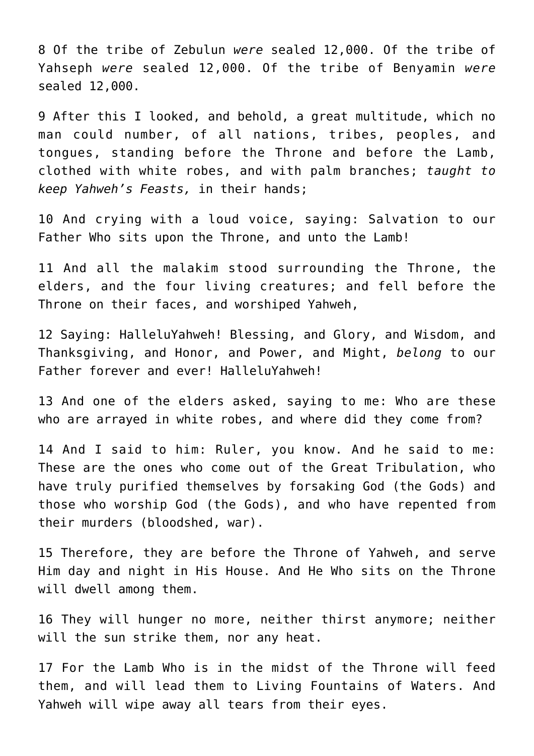8 Of the tribe of Zebulun *were* sealed 12,000. Of the tribe of Yahseph *were* sealed 12,000. Of the tribe of Benyamin *were* sealed 12,000.

9 After this I looked, and behold, a great multitude, which no man could number, of all nations, tribes, peoples, and tongues, standing before the Throne and before the Lamb, clothed with white robes, and with palm branches; *taught to keep Yahweh's Feasts,* in their hands;

10 And crying with a loud voice, saying: Salvation to our Father Who sits upon the Throne, and unto the Lamb!

11 And all the malakim stood surrounding the Throne, the elders, and the four living creatures; and fell before the Throne on their faces, and worshiped Yahweh,

12 Saying: HalleluYahweh! Blessing, and Glory, and Wisdom, and Thanksgiving, and Honor, and Power, and Might, *belong* to our Father forever and ever! HalleluYahweh!

13 And one of the elders asked, saying to me: Who are these who are arrayed in white robes, and where did they come from?

14 And I said to him: Ruler, you know. And he said to me: These are the ones who come out of the Great Tribulation, who have truly purified themselves by forsaking God (the Gods) and those who worship God (the Gods), and who have repented from their murders (bloodshed, war).

15 Therefore, they are before the Throne of Yahweh, and serve Him day and night in His House. And He Who sits on the Throne will dwell among them.

16 They will hunger no more, neither thirst anymore; neither will the sun strike them, nor any heat.

17 For the Lamb Who is in the midst of the Throne will feed them, and will lead them to Living Fountains of Waters. And Yahweh will wipe away all tears from their eyes.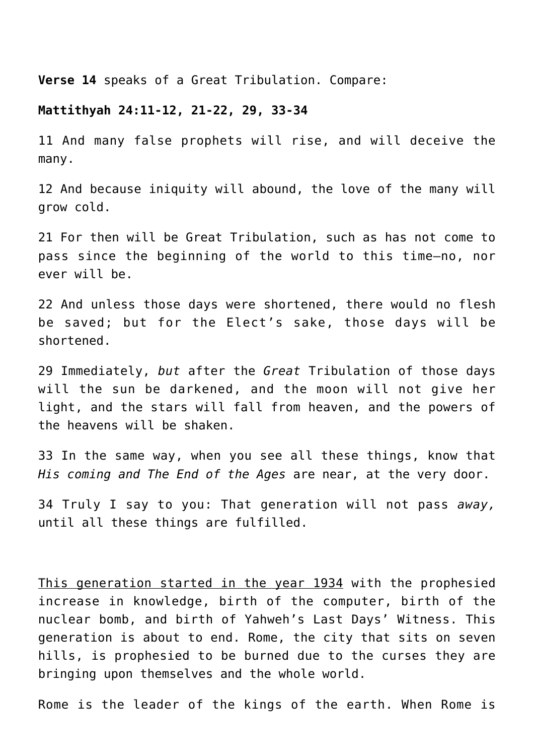**Verse 14** speaks of a Great Tribulation. Compare:

#### **Mattithyah 24:11-12, 21-22, 29, 33-34**

11 And many false prophets will rise, and will deceive the many.

12 And because iniquity will abound, the love of the many will grow cold.

21 For then will be Great Tribulation, such as has not come to pass since the beginning of the world to this time—no, nor ever will be.

22 And unless those days were shortened, there would no flesh be saved; but for the Elect's sake, those days will be shortened.

29 Immediately, *but* after the *Great* Tribulation of those days will the sun be darkened, and the moon will not give her light, and the stars will fall from heaven, and the powers of the heavens will be shaken.

33 In the same way, when you see all these things, know that *His coming and The End of the Ages* are near, at the very door.

34 Truly I say to you: That generation will not pass *away,* until all these things are fulfilled.

This generation started in the year 1934 with the prophesied increase in knowledge, birth of the computer, birth of the nuclear bomb, and birth of Yahweh's Last Days' Witness. This generation is about to end. Rome, the city that sits on seven hills, is prophesied to be burned due to the curses they are bringing upon themselves and the whole world.

Rome is the leader of the kings of the earth. When Rome is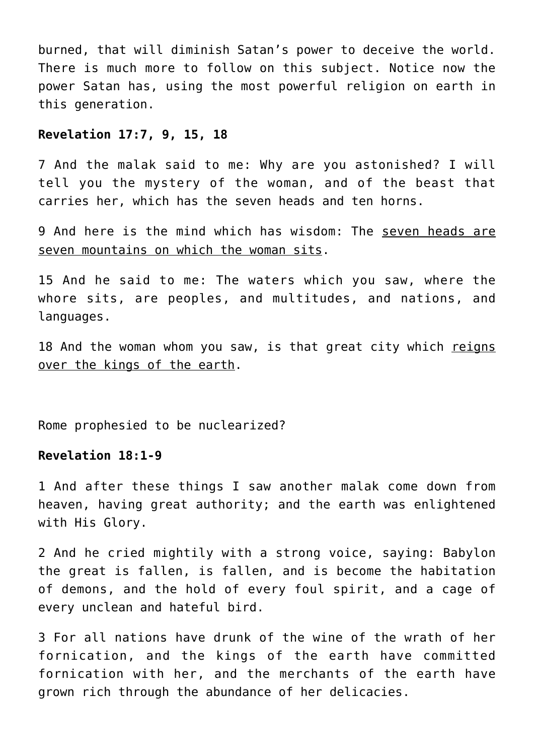burned, that will diminish Satan's power to deceive the world. There is much more to follow on this subject. Notice now the power Satan has, using the most powerful religion on earth in this generation.

## **Revelation 17:7, 9, 15, 18**

7 And the malak said to me: Why are you astonished? I will tell you the mystery of the woman, and of the beast that carries her, which has the seven heads and ten horns.

9 And here is the mind which has wisdom: The seven heads are seven mountains on which the woman sits.

15 And he said to me: The waters which you saw, where the whore sits, are peoples, and multitudes, and nations, and languages.

18 And the woman whom you saw, is that great city which reigns over the kings of the earth.

Rome prophesied to be nuclearized?

### **Revelation 18:1-9**

1 And after these things I saw another malak come down from heaven, having great authority; and the earth was enlightened with His Glory.

2 And he cried mightily with a strong voice, saying: Babylon the great is fallen, is fallen, and is become the habitation of demons, and the hold of every foul spirit, and a cage of every unclean and hateful bird.

3 For all nations have drunk of the wine of the wrath of her fornication, and the kings of the earth have committed fornication with her, and the merchants of the earth have grown rich through the abundance of her delicacies.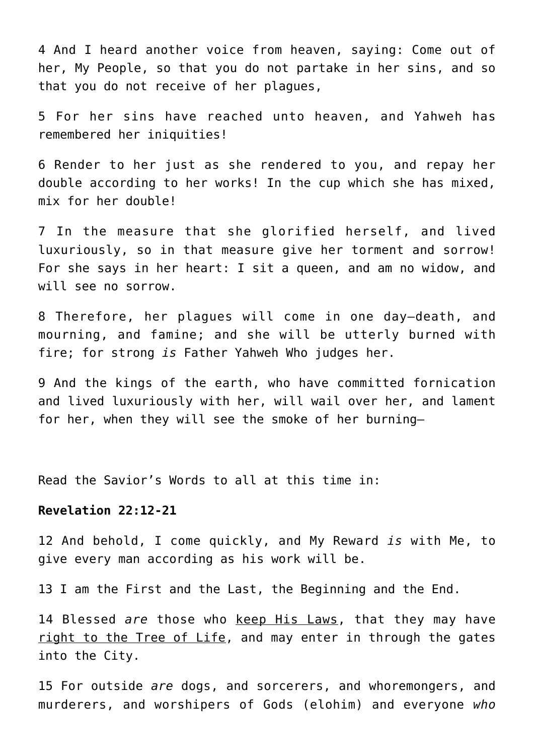4 And I heard another voice from heaven, saying: Come out of her, My People, so that you do not partake in her sins, and so that you do not receive of her plagues,

5 For her sins have reached unto heaven, and Yahweh has remembered her iniquities!

6 Render to her just as she rendered to you, and repay her double according to her works! In the cup which she has mixed, mix for her double!

7 In the measure that she glorified herself, and lived luxuriously, so in that measure give her torment and sorrow! For she says in her heart: I sit a queen, and am no widow, and will see no sorrow.

8 Therefore, her plagues will come in one day—death, and mourning, and famine; and she will be utterly burned with fire; for strong *is* Father Yahweh Who judges her.

9 And the kings of the earth, who have committed fornication and lived luxuriously with her, will wail over her, and lament for her, when they will see the smoke of her burning—

Read the Savior's Words to all at this time in:

#### **Revelation 22:12-21**

12 And behold, I come quickly, and My Reward *is* with Me, to give every man according as his work will be.

13 I am the First and the Last, the Beginning and the End.

14 Blessed *are* those who keep His Laws, that they may have right to the Tree of Life, and may enter in through the gates into the City.

15 For outside *are* dogs, and sorcerers, and whoremongers, and murderers, and worshipers of Gods (elohim) and everyone *who*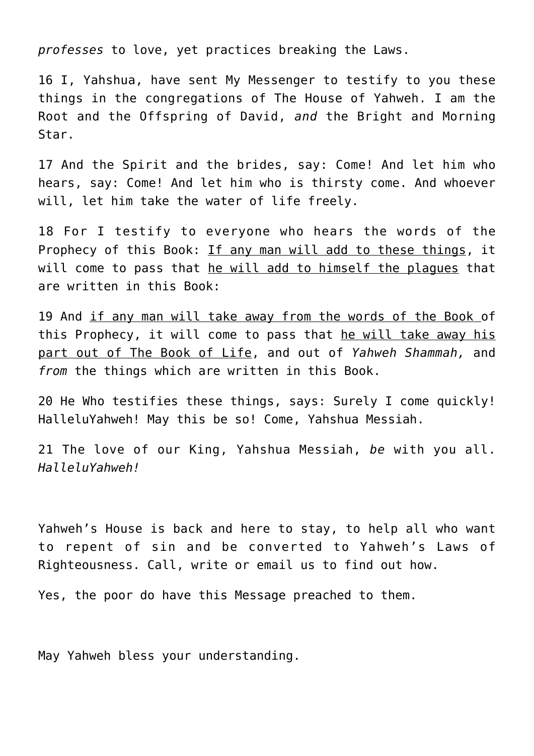*professes* to love, yet practices breaking the Laws.

16 I, Yahshua, have sent My Messenger to testify to you these things in the congregations of The House of Yahweh. I am the Root and the Offspring of David, *and* the Bright and Morning Star.

17 And the Spirit and the brides, say: Come! And let him who hears, say: Come! And let him who is thirsty come. And whoever will, let him take the water of life freely.

18 For I testify to everyone who hears the words of the Prophecy of this Book: If any man will add to these things, it will come to pass that he will add to himself the plagues that are written in this Book:

19 And if any man will take away from the words of the Book of this Prophecy, it will come to pass that he will take away his part out of The Book of Life, and out of *Yahweh Shammah,* and *from* the things which are written in this Book.

20 He Who testifies these things, says: Surely I come quickly! HalleluYahweh! May this be so! Come, Yahshua Messiah.

21 The love of our King, Yahshua Messiah, *be* with you all. *HalleluYahweh!*

Yahweh's House is back and here to stay, to help all who want to repent of sin and be converted to Yahweh's Laws of Righteousness. Call, write or email us to find out how.

Yes, the poor do have this Message preached to them.

May Yahweh bless your understanding.